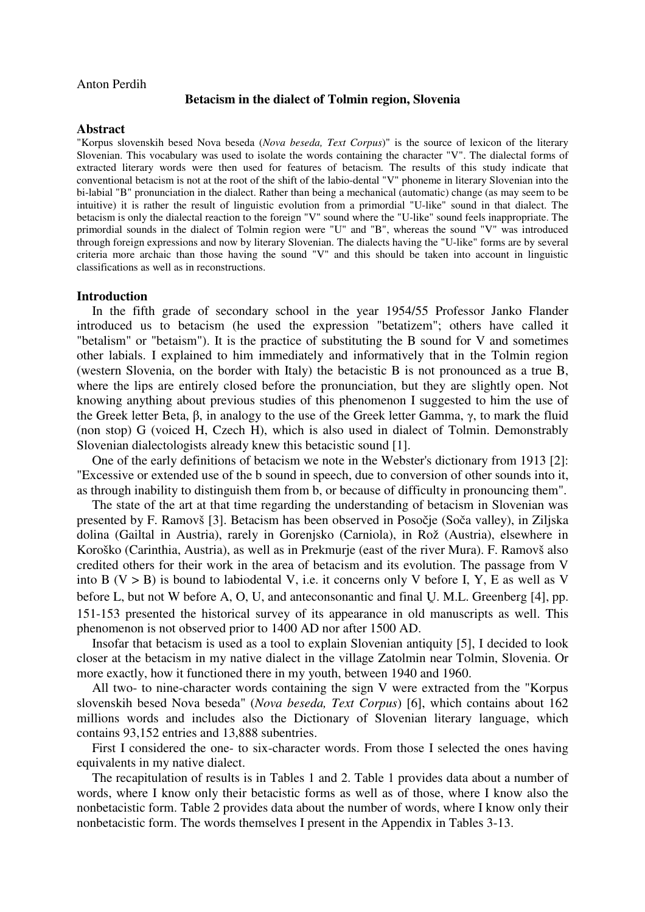#### Anton Perdih

#### **Betacism in the dialect of Tolmin region, Slovenia**

#### **Abstract**

"Korpus slovenskih besed Nova beseda (*Nova beseda, Text Corpus*)" is the source of lexicon of the literary Slovenian. This vocabulary was used to isolate the words containing the character "V". The dialectal forms of extracted literary words were then used for features of betacism. The results of this study indicate that conventional betacism is not at the root of the shift of the labio-dental "V" phoneme in literary Slovenian into the bi-labial "B" pronunciation in the dialect. Rather than being a mechanical (automatic) change (as may seem to be intuitive) it is rather the result of linguistic evolution from a primordial "U-like" sound in that dialect. The betacism is only the dialectal reaction to the foreign "V" sound where the "U-like" sound feels inappropriate. The primordial sounds in the dialect of Tolmin region were "U" and "B", whereas the sound "V" was introduced through foreign expressions and now by literary Slovenian. The dialects having the "U-like" forms are by several criteria more archaic than those having the sound "V" and this should be taken into account in linguistic classifications as well as in reconstructions.

### **Introduction**

In the fifth grade of secondary school in the year 1954/55 Professor Janko Flander introduced us to betacism (he used the expression "betatizem"; others have called it "betalism" or "betaism"). It is the practice of substituting the B sound for V and sometimes other labials. I explained to him immediately and informatively that in the Tolmin region (western Slovenia, on the border with Italy) the betacistic B is not pronounced as a true B, where the lips are entirely closed before the pronunciation, but they are slightly open. Not knowing anything about previous studies of this phenomenon I suggested to him the use of the Greek letter Beta, β, in analogy to the use of the Greek letter Gamma, γ, to mark the fluid (non stop) G (voiced H, Czech H), which is also used in dialect of Tolmin. Demonstrably Slovenian dialectologists already knew this betacistic sound [1].

One of the early definitions of betacism we note in the Webster's dictionary from 1913 [2]: "Excessive or extended use of the b sound in speech, due to conversion of other sounds into it, as through inability to distinguish them from b, or because of difficulty in pronouncing them".

The state of the art at that time regarding the understanding of betacism in Slovenian was presented by F. Ramovš [3]. Betacism has been observed in Posočje (Soča valley), in Ziljska dolina (Gailtal in Austria), rarely in Gorenjsko (Carniola), in Rož (Austria), elsewhere in Koroško (Carinthia, Austria), as well as in Prekmurje (east of the river Mura). F. Ramovš also credited others for their work in the area of betacism and its evolution. The passage from V into B  $(V > B)$  is bound to labiodental V, i.e. it concerns only V before I, Y, E as well as V before L, but not W before A, O, U, and anteconsonantic and final U. M.L. Greenberg  $[4]$ , pp. 151-153 presented the historical survey of its appearance in old manuscripts as well. This phenomenon is not observed prior to 1400 AD nor after 1500 AD.

Insofar that betacism is used as a tool to explain Slovenian antiquity [5], I decided to look closer at the betacism in my native dialect in the village Zatolmin near Tolmin, Slovenia. Or more exactly, how it functioned there in my youth, between 1940 and 1960.

All two- to nine-character words containing the sign V were extracted from the "Korpus slovenskih besed Nova beseda" (*Nova beseda, Text Corpus*) [6], which contains about 162 millions words and includes also the Dictionary of Slovenian literary language, which contains 93,152 entries and 13,888 subentries.

First I considered the one- to six-character words. From those I selected the ones having equivalents in my native dialect.

The recapitulation of results is in Tables 1 and 2. Table 1 provides data about a number of words, where I know only their betacistic forms as well as of those, where I know also the nonbetacistic form. Table 2 provides data about the number of words, where I know only their nonbetacistic form. The words themselves I present in the Appendix in Tables 3-13.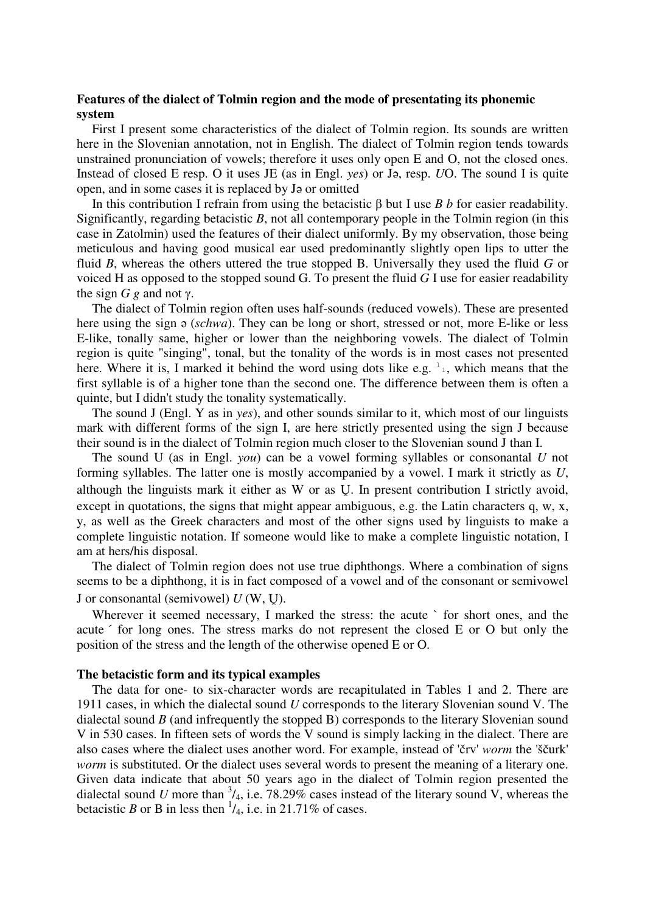### **Features of the dialect of Tolmin region and the mode of presentating its phonemic system**

First I present some characteristics of the dialect of Tolmin region. Its sounds are written here in the Slovenian annotation, not in English. The dialect of Tolmin region tends towards unstrained pronunciation of vowels; therefore it uses only open E and O, not the closed ones. Instead of closed E resp. O it uses JE (as in Engl. *yes*) or Jə, resp. *U*O. The sound I is quite open, and in some cases it is replaced by Jə or omitted

In this contribution I refrain from using the betacistic β but I use *B b* for easier readability. Significantly, regarding betacistic *B*, not all contemporary people in the Tolmin region (in this case in Zatolmin) used the features of their dialect uniformly. By my observation, those being meticulous and having good musical ear used predominantly slightly open lips to utter the fluid *B*, whereas the others uttered the true stopped B. Universally they used the fluid *G* or voiced H as opposed to the stopped sound G. To present the fluid *G* I use for easier readability the sign *G* g and not  $\gamma$ .

The dialect of Tolmin region often uses half-sounds (reduced vowels). These are presented here using the sign ə (*schwa*). They can be long or short, stressed or not, more E-like or less E-like, tonally same, higher or lower than the neighboring vowels. The dialect of Tolmin region is quite "singing", tonal, but the tonality of the words is in most cases not presented here. Where it is, I marked it behind the word using dots like e.g.  $\frac{1}{1}$ , which means that the first syllable is of a higher tone than the second one. The difference between them is often a quinte, but I didn't study the tonality systematically.

The sound J (Engl. Y as in *yes*), and other sounds similar to it, which most of our linguists mark with different forms of the sign I, are here strictly presented using the sign J because their sound is in the dialect of Tolmin region much closer to the Slovenian sound J than I.

The sound U (as in Engl. *you*) can be a vowel forming syllables or consonantal *U* not forming syllables. The latter one is mostly accompanied by a vowel. I mark it strictly as *U*, although the linguists mark it either as W or as U. In present contribution I strictly avoid, except in quotations, the signs that might appear ambiguous, e.g. the Latin characters q, w, x, y, as well as the Greek characters and most of the other signs used by linguists to make a complete linguistic notation. If someone would like to make a complete linguistic notation, I am at hers/his disposal.

The dialect of Tolmin region does not use true diphthongs. Where a combination of signs seems to be a diphthong, it is in fact composed of a vowel and of the consonant or semivowel J or consonantal (semivowel) *U* (W, U).

Wherever it seemed necessary, I marked the stress: the acute ` for short ones, and the acute ´ for long ones. The stress marks do not represent the closed E or O but only the position of the stress and the length of the otherwise opened E or O.

#### **The betacistic form and its typical examples**

The data for one- to six-character words are recapitulated in Tables 1 and 2. There are 1911 cases, in which the dialectal sound *U* corresponds to the literary Slovenian sound V. The dialectal sound *B* (and infrequently the stopped B) corresponds to the literary Slovenian sound V in 530 cases. In fifteen sets of words the V sound is simply lacking in the dialect. There are also cases where the dialect uses another word. For example, instead of 'črv' *worm* the 'ščurk' *worm* is substituted. Or the dialect uses several words to present the meaning of a literary one. Given data indicate that about 50 years ago in the dialect of Tolmin region presented the dialectal sound *U* more than  $\frac{3}{4}$ , i.e. 78.29% cases instead of the literary sound V, whereas the betacistic *B* or B in less then  $\frac{1}{4}$ , i.e. in 21.71% of cases.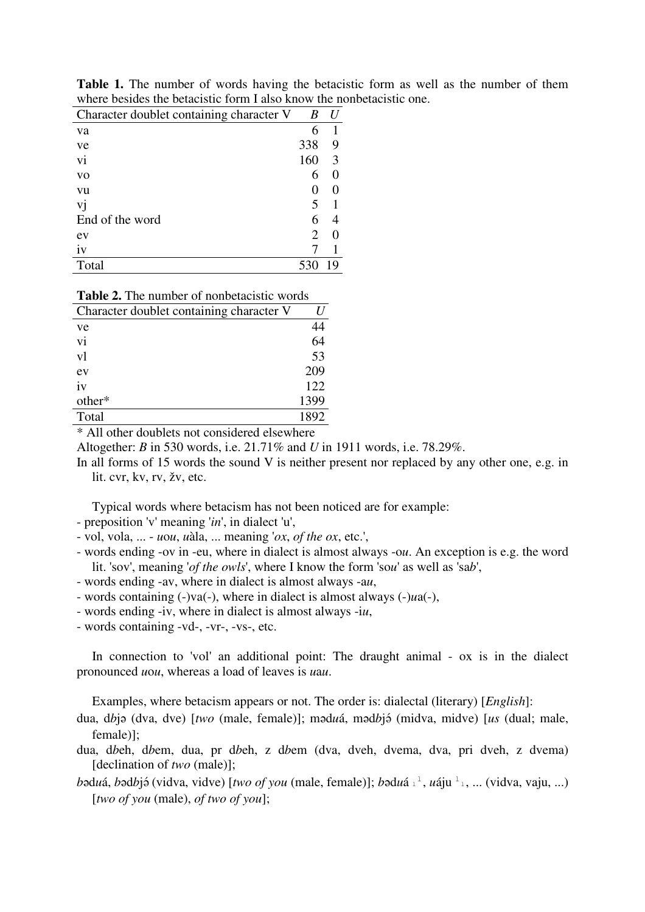| where beging and behaviour for<br>III I dibo Kilow the fit |     |    |
|------------------------------------------------------------|-----|----|
| Character doublet containing character V                   | B   |    |
| va                                                         | h   |    |
| ve                                                         | 338 |    |
| vi                                                         | 160 | 3  |
| <b>VO</b>                                                  | 6   |    |
| vu                                                         |     |    |
| vj                                                         | 5   |    |
| End of the word                                            | 6   |    |
| ev                                                         | 2   |    |
| iv                                                         |     |    |
| Total                                                      |     | 19 |

**Table 1.** The number of words having the betacistic form as well as the number of them where besides the betacistic form I also know the nonbetacistic one.

| Character doublet containing character V |      |
|------------------------------------------|------|
| ve                                       |      |
| vi                                       | 64   |
| vl                                       | 53   |
| ev                                       | 209  |
| iv                                       | 122  |
| other*                                   | 1399 |
| Total                                    | 1892 |

\* All other doublets not considered elsewhere

Altogether: *B* in 530 words, i.e. 21.71% and *U* in 1911 words, i.e. 78.29%.

In all forms of 15 words the sound V is neither present nor replaced by any other one, e.g. in lit. cvr, kv, rv, žv, etc.

Typical words where betacism has not been noticed are for example:

- preposition 'v' meaning '*in*', in dialect 'u',

- vol, vola, ... - *u*o*u*, *u*àla, ... meaning '*ox*, *of the ox*, etc.',

- words ending -ov in -eu, where in dialect is almost always -o*u*. An exception is e.g. the word lit. 'sov', meaning '*of the owls*', where I know the form 'so*u*' as well as 'sa*b*',

- words ending -av, where in dialect is almost always -a*u*,
- words containing (-)va(-), where in dialect is almost always (-)*u*a(-),
- words ending -iv, where in dialect is almost always -i*u*,
- words containing -vd-, -vr-, -vs-, etc.

In connection to 'vol' an additional point: The draught animal - ox is in the dialect pronounced *u*o*u*, whereas a load of leaves is *u*a*u*.

Examples, where betacism appears or not. The order is: dialectal (literary) [*English*]:

dua, dbjə (dva, dve) *[two* (male, female)]; məd*u*á, mədbjə (midva, midve) *[us* (dual; male, female)];

dua, d*b*eh, d*b*em, dua, pr d*b*eh, z d*b*em (dva, dveh, dvema, dva, pri dveh, z dvema) [declination of *two* (male)];

bəd*u*á, bədbjə́ (vidva, vidve) [*two of you* (male, female)]; *b*əd*u*á <sup>1</sup>, *u*áju <sup>1</sup><sub>1</sub>, ... (vidva, vaju, ...) [*two of you* (male), *of two of you*];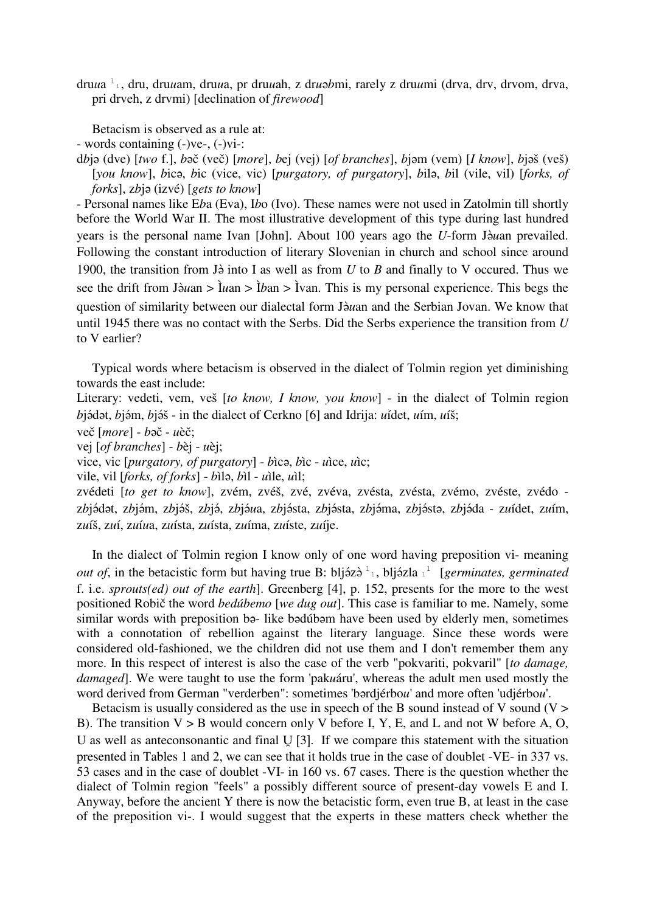dru*u*a <sup>l</sup> <sup>l</sup>, dru, dru*u*am, dru*u*a, pr dru*u*ah, z dr*u*ə*b*mi, rarely z dru*u*mi (drva, drv, drvom, drva, pri drveh, z drvmi) [declination of *firewood*]

Betacism is observed as a rule at:

- words containing (-)ve-, (-)vi-:

d*b*jə (dve) [*two* f.], *b*əč (več) [*more*], *b*ej (vej) [*of branches*], *b*jəm (vem) [*I know*], *b*jəš (veš) [*you know*], *b*icə, *b*ic (vice, vic) [*purgatory, of purgatory*], *b*ilə, *b*il (vile, vil) [*forks, of forks*], z*b*jə (izvé) [*gets to know*]

- Personal names like E*b*a (Eva), I*b*o (Ivo). These names were not used in Zatolmin till shortly before the World War II. The most illustrative development of this type during last hundred years is the personal name Ivan [John]. About 100 years ago the *U*-form J*u*an prevailed. Following the constant introduction of literary Slovenian in church and school since around 1900, the transition from J $\dot{\theta}$  into I as well as from *U* to *B* and finally to V occured. Thus we see the drift from J*u*an > Ì*u*an > Ì*b*an > Ìvan. This is my personal experience. This begs the question of similarity between our dialectal form J*u*an and the Serbian Jovan. We know that until 1945 there was no contact with the Serbs. Did the Serbs experience the transition from *U* to V earlier?

Typical words where betacism is observed in the dialect of Tolmin region yet diminishing towards the east include:

Literary: vedeti, vem, veš [*to know, I know, you know*] - in the dialect of Tolmin region *b*jádət, *b*jám, *b*jáš - in the dialect of Cerkno [6] and Idrija: *uidet, uim, uiš*;

več [*more*] - *b*əč - *u*èč;

vej [*of branches*] - *b*èj - *u*èj;

vice, vic [*purgatory, of purgatory*] - *b*ìcə, *b*ìc - *u*ìce, *u*ìc;

vile, vil [*forks, of forks*] - *b*ìlə, *b*ìl - *u*ìle, *u*ìl;

zvédeti [*to get to know*], zvém, zvéš, zvé, zvéva, zvésta, zvésta, zvémo, zvéste, zvédo z*b*jdət, z*b*jm, z*b*jš, z*b*j, z*b*j*u*a, z*b*jsta, z*b*jsta, z*b*jma, z*b*jstə, z*b*jda - z*u*ídet, z*u*ím, z*u*íš, z*u*í, z*u*í*u*a, z*u*ísta, z*u*ísta, z*u*íma, z*u*íste, z*u*íje.

In the dialect of Tolmin region I know only of one word having preposition vi- meaning *out of*, in the betacistic form but having true B: bljázà<sup>1</sup><sub>1</sub>, bljázla<sup>1</sup> [*germinates, germinated* f. i.e. *sprouts(ed) out of the earth*]. Greenberg [4], p. 152, presents for the more to the west positioned Robič the word *bedúbemo* [*we dug out*]. This case is familiar to me. Namely, some similar words with preposition bə- like bədúbəm have been used by elderly men, sometimes with a connotation of rebellion against the literary language. Since these words were considered old-fashioned, we the children did not use them and I don't remember them any more. In this respect of interest is also the case of the verb "pokvariti, pokvaril" [*to damage, damaged*]. We were taught to use the form 'pak*u*áru', whereas the adult men used mostly the word derived from German "verderben": sometimes 'bərdjérbo*u*' and more often 'udjérbo*u*'.

Betacism is usually considered as the use in speech of the B sound instead of V sound  $(V > 0)$ B). The transition  $V > B$  would concern only V before I, Y, E, and L and not W before A, O, U as well as anteconsonantic and final  $U$  [3]. If we compare this statement with the situation presented in Tables 1 and 2, we can see that it holds true in the case of doublet -VE- in 337 vs. 53 cases and in the case of doublet -VI- in 160 vs. 67 cases. There is the question whether the dialect of Tolmin region "feels" a possibly different source of present-day vowels E and I. Anyway, before the ancient Y there is now the betacistic form, even true B, at least in the case of the preposition vi-. I would suggest that the experts in these matters check whether the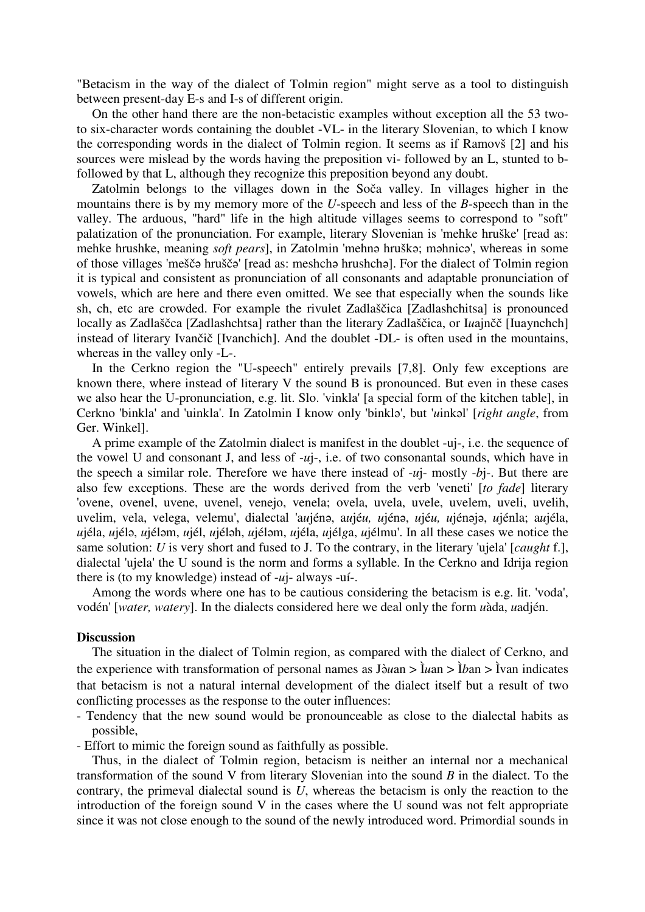"Betacism in the way of the dialect of Tolmin region" might serve as a tool to distinguish between present-day E-s and I-s of different origin.

On the other hand there are the non-betacistic examples without exception all the 53 twoto six-character words containing the doublet -VL- in the literary Slovenian, to which I know the corresponding words in the dialect of Tolmin region. It seems as if Ramovš [2] and his sources were mislead by the words having the preposition vi- followed by an L, stunted to bfollowed by that L, although they recognize this preposition beyond any doubt.

Zatolmin belongs to the villages down in the Soča valley. In villages higher in the mountains there is by my memory more of the *U*-speech and less of the *B*-speech than in the valley. The arduous, "hard" life in the high altitude villages seems to correspond to "soft" palatization of the pronunciation. For example, literary Slovenian is 'mehke hruške' [read as: mehke hrushke, meaning *soft pears*], in Zatolmin 'mehnə hruškə; məhnicə', whereas in some of those villages 'meščə hruščə' [read as: meshchə hrushchə]. For the dialect of Tolmin region it is typical and consistent as pronunciation of all consonants and adaptable pronunciation of vowels, which are here and there even omitted. We see that especially when the sounds like sh, ch, etc are crowded. For example the rivulet Zadlaščica [Zadlashchitsa] is pronounced locally as Zadlaščca [Zadlashchtsa] rather than the literary Zadlaščica, or I*u*ajnčč [Iuaynchch] instead of literary Ivančič [Ivanchich]. And the doublet -DL- is often used in the mountains, whereas in the valley only -L-.

In the Cerkno region the "U-speech" entirely prevails [7,8]. Only few exceptions are known there, where instead of literary V the sound B is pronounced. But even in these cases we also hear the U-pronunciation, e.g. lit. Slo. 'vinkla' [a special form of the kitchen table], in Cerkno 'binkla' and 'uinkla'. In Zatolmin I know only 'binklə', but '*u*inkəl' [*right angle*, from Ger. Winkel].

A prime example of the Zatolmin dialect is manifest in the doublet -uj-, i.e. the sequence of the vowel U and consonant J, and less of -*u*j-, i.e. of two consonantal sounds, which have in the speech a similar role. Therefore we have there instead of -*u*j- mostly -*b*j-. But there are also few exceptions. These are the words derived from the verb 'veneti' [*to fade*] literary 'ovene, ovenel, uvene, uvenel, venejo, venela; ovela, uvela, uvele, uvelem, uveli, uvelih, uvelim, vela, velega, velemu', dialectal 'a*u*jénə, a*u*jé*u, u*jénə, *u*jé*u, u*jénəjə, *u*jénla; a*u*jéla, *u*jéla, *u*jélə, *u*jéləm, *u*jél, *u*jéləh, *u*jéləm, *u*jéla, *u*jél*g*a, *u*jélmu'. In all these cases we notice the same solution: *U* is very short and fused to J. To the contrary, in the literary 'ujela' [*caught* f.], dialectal 'ujela' the U sound is the norm and forms a syllable. In the Cerkno and Idrija region there is (to my knowledge) instead of -*u*j- always -uí-.

Among the words where one has to be cautious considering the betacism is e.g. lit. 'voda', vodén' [*water, watery*]. In the dialects considered here we deal only the form *u*àda, *u*adjén.

#### **Discussion**

The situation in the dialect of Tolmin region, as compared with the dialect of Cerkno, and the experience with transformation of personal names as J*u*an > Ì*u*an > Ì*b*an > Ìvan indicates that betacism is not a natural internal development of the dialect itself but a result of two conflicting processes as the response to the outer influences:

- Tendency that the new sound would be pronounceable as close to the dialectal habits as possible,
- Effort to mimic the foreign sound as faithfully as possible.

Thus, in the dialect of Tolmin region, betacism is neither an internal nor a mechanical transformation of the sound V from literary Slovenian into the sound *B* in the dialect. To the contrary, the primeval dialectal sound is *U*, whereas the betacism is only the reaction to the introduction of the foreign sound V in the cases where the U sound was not felt appropriate since it was not close enough to the sound of the newly introduced word. Primordial sounds in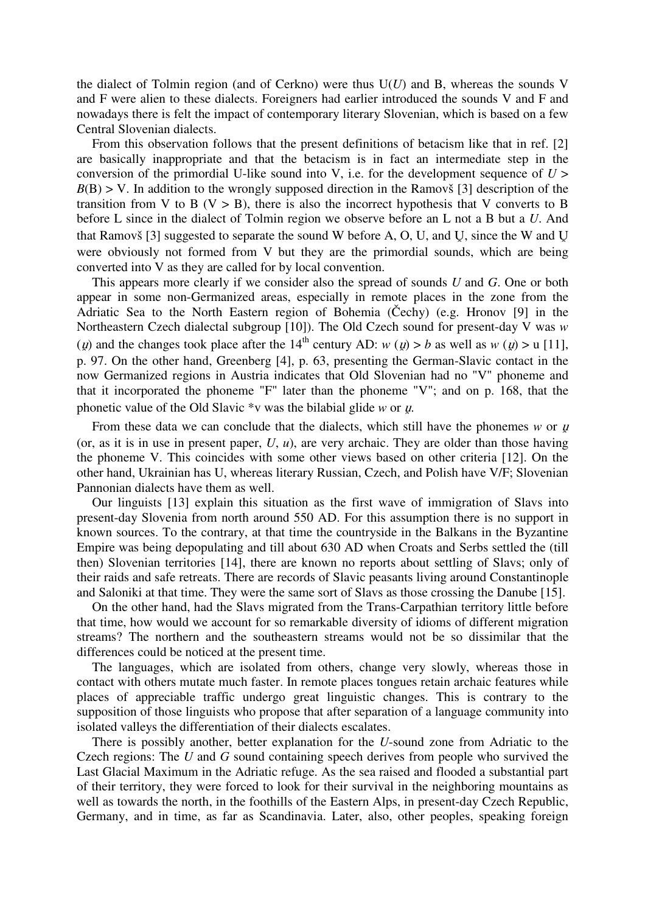the dialect of Tolmin region (and of Cerkno) were thus U(*U*) and B, whereas the sounds V and F were alien to these dialects. Foreigners had earlier introduced the sounds V and F and nowadays there is felt the impact of contemporary literary Slovenian, which is based on a few Central Slovenian dialects.

From this observation follows that the present definitions of betacism like that in ref. [2] are basically inappropriate and that the betacism is in fact an intermediate step in the conversion of the primordial U-like sound into V, i.e. for the development sequence of  $U$  >  $B(B)$  > V. In addition to the wrongly supposed direction in the Ramovš [3] description of the transition from V to B ( $V > B$ ), there is also the incorrect hypothesis that V converts to B before L since in the dialect of Tolmin region we observe before an L not a B but a *U*. And that Ramovš [3] suggested to separate the sound W before A, O, U, and U, since the W and U were obviously not formed from V but they are the primordial sounds, which are being converted into V as they are called for by local convention.

This appears more clearly if we consider also the spread of sounds *U* and *G*. One or both appear in some non-Germanized areas, especially in remote places in the zone from the Adriatic Sea to the North Eastern region of Bohemia (Čechy) (e.g. Hronov [9] in the Northeastern Czech dialectal subgroup [10]). The Old Czech sound for present-day V was *w* (*u*) and the changes took place after the 14<sup>th</sup> century AD: *w* (*u*) > *b* as well as *w* (*u*) > u [11], p. 97. On the other hand, Greenberg [4], p. 63, presenting the German-Slavic contact in the now Germanized regions in Austria indicates that Old Slovenian had no "V" phoneme and that it incorporated the phoneme "F" later than the phoneme "V"; and on p. 168, that the phonetic value of the Old Slavic  $*v$  was the bilabial glide *w* or  $\mu$ .

From these data we can conclude that the dialects, which still have the phonemes  $w$  or  $q$ (or, as it is in use in present paper, *U*, *u*), are very archaic. They are older than those having the phoneme V. This coincides with some other views based on other criteria [12]. On the other hand, Ukrainian has U, whereas literary Russian, Czech, and Polish have V/F; Slovenian Pannonian dialects have them as well.

Our linguists [13] explain this situation as the first wave of immigration of Slavs into present-day Slovenia from north around 550 AD. For this assumption there is no support in known sources. To the contrary, at that time the countryside in the Balkans in the Byzantine Empire was being depopulating and till about 630 AD when Croats and Serbs settled the (till then) Slovenian territories [14], there are known no reports about settling of Slavs; only of their raids and safe retreats. There are records of Slavic peasants living around Constantinople and Saloniki at that time. They were the same sort of Slavs as those crossing the Danube [15].

On the other hand, had the Slavs migrated from the Trans-Carpathian territory little before that time, how would we account for so remarkable diversity of idioms of different migration streams? The northern and the southeastern streams would not be so dissimilar that the differences could be noticed at the present time.

The languages, which are isolated from others, change very slowly, whereas those in contact with others mutate much faster. In remote places tongues retain archaic features while places of appreciable traffic undergo great linguistic changes. This is contrary to the supposition of those linguists who propose that after separation of a language community into isolated valleys the differentiation of their dialects escalates.

There is possibly another, better explanation for the *U*-sound zone from Adriatic to the Czech regions: The *U* and *G* sound containing speech derives from people who survived the Last Glacial Maximum in the Adriatic refuge. As the sea raised and flooded a substantial part of their territory, they were forced to look for their survival in the neighboring mountains as well as towards the north, in the foothills of the Eastern Alps, in present-day Czech Republic, Germany, and in time, as far as Scandinavia. Later, also, other peoples, speaking foreign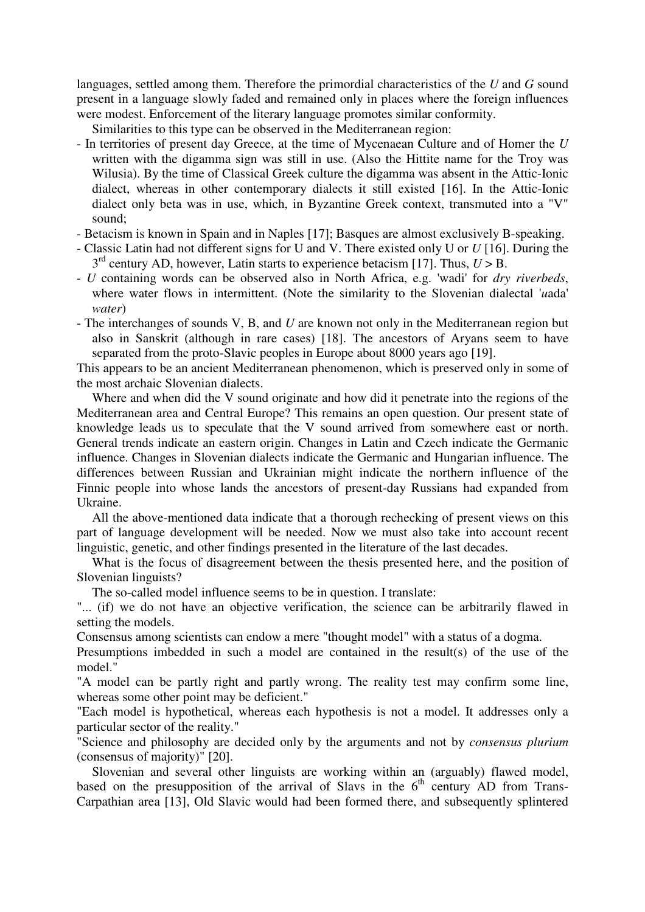languages, settled among them. Therefore the primordial characteristics of the *U* and *G* sound present in a language slowly faded and remained only in places where the foreign influences were modest. Enforcement of the literary language promotes similar conformity.

Similarities to this type can be observed in the Mediterranean region:

- In territories of present day Greece, at the time of Mycenaean Culture and of Homer the *U* written with the digamma sign was still in use. (Also the Hittite name for the Troy was Wilusia). By the time of Classical Greek culture the digamma was absent in the Attic-Ionic dialect, whereas in other contemporary dialects it still existed [16]. In the Attic-Ionic dialect only beta was in use, which, in Byzantine Greek context, transmuted into a "V" sound;
- Betacism is known in Spain and in Naples [17]; Basques are almost exclusively B-speaking.
- Classic Latin had not different signs for U and V. There existed only U or *U* [16]. During the  $3<sup>rd</sup>$  century AD, however, Latin starts to experience betacism [17]. Thus,  $U > B$ .
- *U* containing words can be observed also in North Africa, e.g. 'wadi' for *dry riverbeds*, where water flows in intermittent. (Note the similarity to the Slovenian dialectal '*u*ada' *water*)
- The interchanges of sounds V, B, and *U* are known not only in the Mediterranean region but also in Sanskrit (although in rare cases) [18]. The ancestors of Aryans seem to have separated from the proto-Slavic peoples in Europe about 8000 years ago [19].

This appears to be an ancient Mediterranean phenomenon, which is preserved only in some of the most archaic Slovenian dialects.

Where and when did the V sound originate and how did it penetrate into the regions of the Mediterranean area and Central Europe? This remains an open question. Our present state of knowledge leads us to speculate that the V sound arrived from somewhere east or north. General trends indicate an eastern origin. Changes in Latin and Czech indicate the Germanic influence. Changes in Slovenian dialects indicate the Germanic and Hungarian influence. The differences between Russian and Ukrainian might indicate the northern influence of the Finnic people into whose lands the ancestors of present-day Russians had expanded from Ukraine.

All the above-mentioned data indicate that a thorough rechecking of present views on this part of language development will be needed. Now we must also take into account recent linguistic, genetic, and other findings presented in the literature of the last decades.

What is the focus of disagreement between the thesis presented here, and the position of Slovenian linguists?

The so-called model influence seems to be in question. I translate:

"... (if) we do not have an objective verification, the science can be arbitrarily flawed in setting the models.

Consensus among scientists can endow a mere "thought model" with a status of a dogma.

Presumptions imbedded in such a model are contained in the result(s) of the use of the model."

"A model can be partly right and partly wrong. The reality test may confirm some line, whereas some other point may be deficient."

"Each model is hypothetical, whereas each hypothesis is not a model. It addresses only a particular sector of the reality."

"Science and philosophy are decided only by the arguments and not by *consensus plurium* (consensus of majority)" [20].

Slovenian and several other linguists are working within an (arguably) flawed model, based on the presupposition of the arrival of Slavs in the  $6<sup>th</sup>$  century AD from Trans-Carpathian area [13], Old Slavic would had been formed there, and subsequently splintered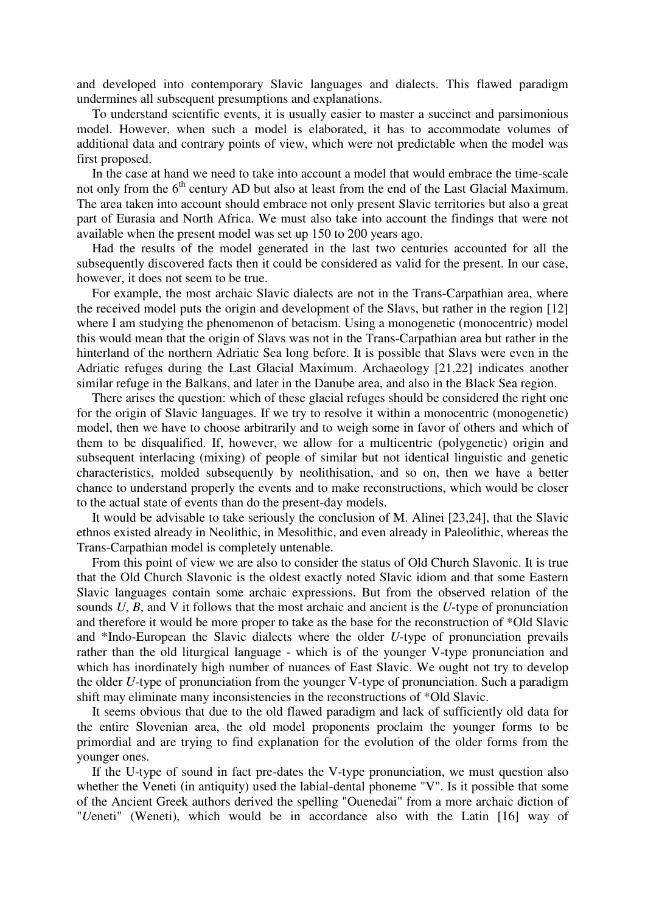and developed into contemporary Slavic languages and dialects. This flawed paradigm undermines all subsequent presumptions and explanations.

To understand scientific events, it is usually easier to master a succinct and parsimonious model. However, when such a model is elaborated, it has to accommodate volumes of additional data and contrary points of view, which were not predictable when the model was first proposed.

In the case at hand we need to take into account a model that would embrace the time-scale not only from the  $6<sup>th</sup>$  century AD but also at least from the end of the Last Glacial Maximum. The area taken into account should embrace not only present Slavic territories but also a great part of Eurasia and North Africa. We must also take into account the findings that were not available when the present model was set up 150 to 200 years ago.

Had the results of the model generated in the last two centuries accounted for all the subsequently discovered facts then it could be considered as valid for the present. In our case, however, it does not seem to be true.

For example, the most archaic Slavic dialects are not in the Trans-Carpathian area, where the received model puts the origin and development of the Slavs, but rather in the region [12] where I am studying the phenomenon of betacism. Using a monogenetic (monocentric) model this would mean that the origin of Slavs was not in the Trans-Carpathian area but rather in the hinterland of the northern Adriatic Sea long before. It is possible that Slavs were even in the Adriatic refuges during the Last Glacial Maximum. Archaeology [21,22] indicates another similar refuge in the Balkans, and later in the Danube area, and also in the Black Sea region.

There arises the question: which of these glacial refuges should be considered the right one for the origin of Slavic languages. If we try to resolve it within a monocentric (monogenetic) model, then we have to choose arbitrarily and to weigh some in favor of others and which of them to be disqualified. If, however, we allow for a multicentric (polygenetic) origin and subsequent interlacing (mixing) of people of similar but not identical linguistic and genetic characteristics, molded subsequently by neolithisation, and so on, then we have a better chance to understand properly the events and to make reconstructions, which would be closer to the actual state of events than do the present-day models.

It would be advisable to take seriously the conclusion of M. Alinei [23,24], that the Slavic ethnos existed already in Neolithic, in Mesolithic, and even already in Paleolithic, whereas the Trans-Carpathian model is completely untenable.

From this point of view we are also to consider the status of Old Church Slavonic. It is true that the Old Church Slavonic is the oldest exactly noted Slavic idiom and that some Eastern Slavic languages contain some archaic expressions. But from the observed relation of the sounds *U*, *B*, and V it follows that the most archaic and ancient is the *U*-type of pronunciation and therefore it would be more proper to take as the base for the reconstruction of \*Old Slavic and \*Indo-European the Slavic dialects where the older *U*-type of pronunciation prevails rather than the old liturgical language - which is of the younger V-type pronunciation and which has inordinately high number of nuances of East Slavic. We ought not try to develop the older *U*-type of pronunciation from the younger V-type of pronunciation. Such a paradigm shift may eliminate many inconsistencies in the reconstructions of \*Old Slavic.

It seems obvious that due to the old flawed paradigm and lack of sufficiently old data for the entire Slovenian area, the old model proponents proclaim the younger forms to be primordial and are trying to find explanation for the evolution of the older forms from the younger ones.

If the U-type of sound in fact pre-dates the V-type pronunciation, we must question also whether the Veneti (in antiquity) used the labial-dental phoneme "V". Is it possible that some of the Ancient Greek authors derived the spelling "Ouenedai" from a more archaic diction of "*U*eneti" (Weneti), which would be in accordance also with the Latin [16] way of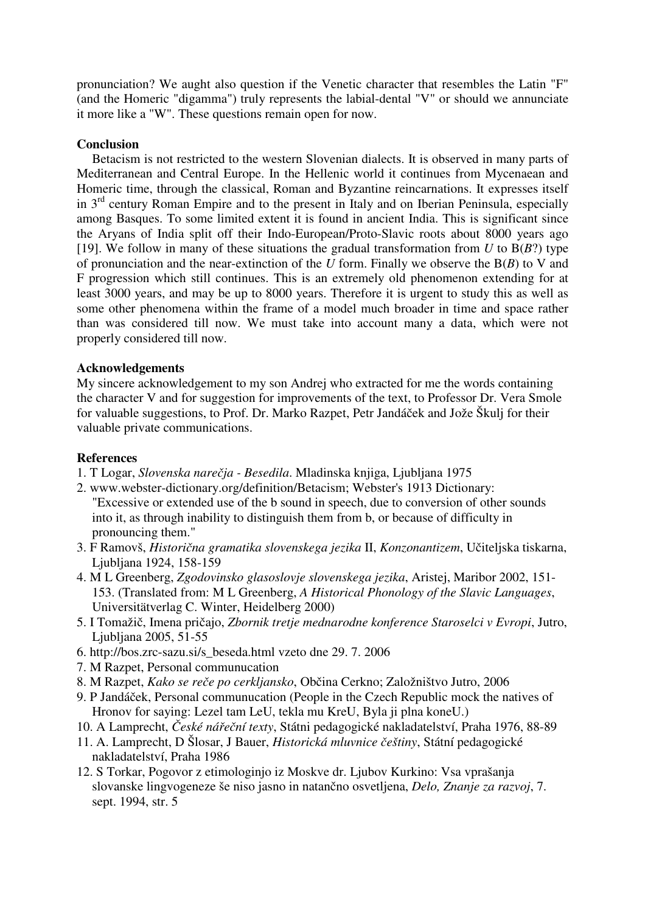pronunciation? We aught also question if the Venetic character that resembles the Latin "F" (and the Homeric "digamma") truly represents the labial-dental "V" or should we annunciate it more like a "W". These questions remain open for now.

# **Conclusion**

Betacism is not restricted to the western Slovenian dialects. It is observed in many parts of Mediterranean and Central Europe. In the Hellenic world it continues from Mycenaean and Homeric time, through the classical, Roman and Byzantine reincarnations. It expresses itself in  $3<sup>rd</sup>$  century Roman Empire and to the present in Italy and on Iberian Peninsula, especially among Basques. To some limited extent it is found in ancient India. This is significant since the Aryans of India split off their Indo-European/Proto-Slavic roots about 8000 years ago [19]. We follow in many of these situations the gradual transformation from  $U$  to  $B(B)$ ?) type of pronunciation and the near-extinction of the *U* form. Finally we observe the B(*B*) to V and F progression which still continues. This is an extremely old phenomenon extending for at least 3000 years, and may be up to 8000 years. Therefore it is urgent to study this as well as some other phenomena within the frame of a model much broader in time and space rather than was considered till now. We must take into account many a data, which were not properly considered till now.

# **Acknowledgements**

My sincere acknowledgement to my son Andrej who extracted for me the words containing the character V and for suggestion for improvements of the text, to Professor Dr. Vera Smole for valuable suggestions, to Prof. Dr. Marko Razpet, Petr Jandáček and Jože Škulj for their valuable private communications.

# **References**

- 1. T Logar, *Slovenska narečja Besedila*. Mladinska knjiga, Ljubljana 1975
- 2. www.webster-dictionary.org/definition/Betacism; Webster's 1913 Dictionary: "Excessive or extended use of the b sound in speech, due to conversion of other sounds into it, as through inability to distinguish them from b, or because of difficulty in pronouncing them."
- 3. F Ramovš, *Historična gramatika slovenskega jezika* II, *Konzonantizem*, Učiteljska tiskarna, Ljubljana 1924, 158-159
- 4. M L Greenberg, *Zgodovinsko glasoslovje slovenskega jezika*, Aristej, Maribor 2002, 151- 153. (Translated from: M L Greenberg, *A Historical Phonology of the Slavic Languages*, Universitätverlag C. Winter, Heidelberg 2000)
- 5. I Tomažič, Imena pričajo, *Zbornik tretje mednarodne konference Staroselci v Evropi*, Jutro, Ljubljana 2005, 51-55
- 6. http://bos.zrc-sazu.si/s\_beseda.html vzeto dne 29. 7. 2006
- 7. M Razpet, Personal communucation
- 8. M Razpet, *Kako se reče po cerkljansko*, Občina Cerkno; Založništvo Jutro, 2006
- 9. P Jandáček, Personal communucation (People in the Czech Republic mock the natives of Hronov for saying: Lezel tam LeU, tekla mu KreU, Byla ji plna koneU.)
- 10. A Lamprecht, *České nářeční texty*, Státni pedagogické nakladatelství, Praha 1976, 88-89
- 11. A. Lamprecht, D Šlosar, J Bauer, *Historická mluvnice češtiny*, Státní pedagogické nakladatelství, Praha 1986
- 12. S Torkar, Pogovor z etimologinjo iz Moskve dr. Ljubov Kurkino: Vsa vprašanja slovanske lingvogeneze še niso jasno in natančno osvetljena, *Delo, Znanje za razvoj*, 7. sept. 1994, str. 5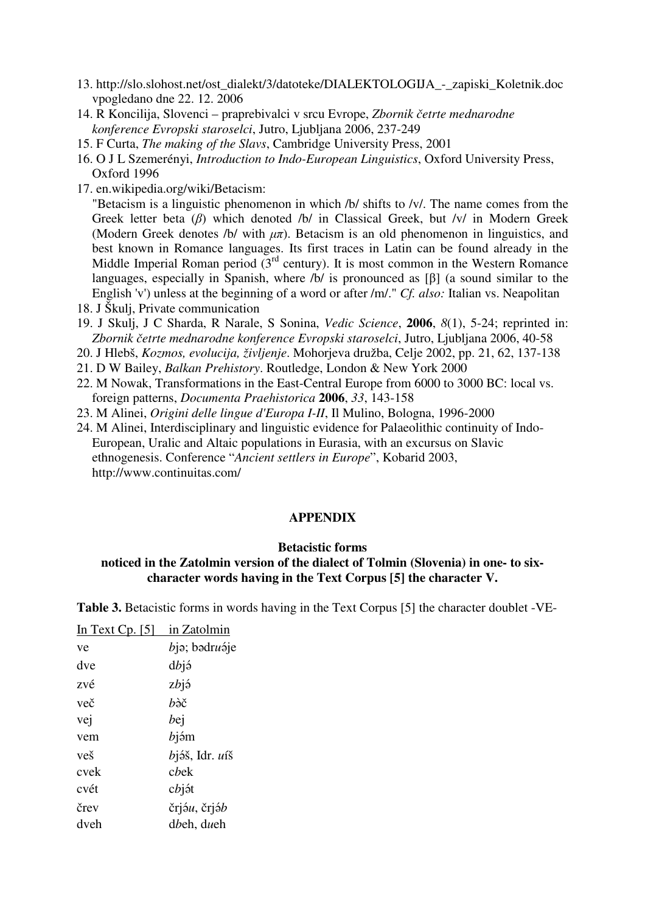- 13. http://slo.slohost.net/ost\_dialekt/3/datoteke/DIALEKTOLOGIJA\_-\_zapiski\_Koletnik.doc vpogledano dne 22. 12. 2006
- 14. R Koncilija, Slovenci praprebivalci v srcu Evrope, *Zbornik četrte mednarodne konference Evropski staroselci*, Jutro, Ljubljana 2006, 237-249
- 15. F Curta, *The making of the Slavs*, Cambridge University Press, 2001
- 16. O J L Szemerényi, *Introduction to Indo-European Linguistics*, Oxford University Press, Oxford 1996
- 17. en.wikipedia.org/wiki/Betacism:

"Betacism is a linguistic phenomenon in which /b/ shifts to /v/. The name comes from the Greek letter beta (β) which denoted /b/ in Classical Greek, but /v/ in Modern Greek (Modern Greek denotes /b/ with  $\mu\pi$ ). Betacism is an old phenomenon in linguistics, and best known in Romance languages. Its first traces in Latin can be found already in the Middle Imperial Roman period  $(3<sup>rd</sup>$  century). It is most common in the Western Romance languages, especially in Spanish, where /b/ is pronounced as [β] (a sound similar to the English 'v') unless at the beginning of a word or after /m/." *Cf. also:* Italian vs. Neapolitan

- 18. J Škulj, Private communication
- 19. J Skulj, J C Sharda, R Narale, S Sonina, *Vedic Science*, **2006**, *8*(1), 5-24; reprinted in: *Zbornik četrte mednarodne konference Evropski staroselci*, Jutro, Ljubljana 2006, 40-58
- 20. J Hlebš, *Kozmos, evolucija, življenje*. Mohorjeva družba, Celje 2002, pp. 21, 62, 137-138
- 21. D W Bailey, *Balkan Prehistory*. Routledge, London & New York 2000
- 22. M Nowak, Transformations in the East-Central Europe from 6000 to 3000 BC: local vs. foreign patterns, *Documenta Praehistorica* **2006**, *33*, 143-158
- 23. M Alinei, *Origini delle lingue d'Europa I-II*, Il Mulino, Bologna, 1996-2000
- 24. M Alinei, Interdisciplinary and linguistic evidence for Palaeolithic continuity of Indo-European, Uralic and Altaic populations in Eurasia, with an excursus on Slavic ethnogenesis. Conference "*Ancient settlers in Europe*", Kobarid 2003, http://www.continuitas.com/

### **APPENDIX**

#### **Betacistic forms**

# **noticed in the Zatolmin version of the dialect of Tolmin (Slovenia) in one- to sixcharacter words having in the Text Corpus [5] the character V.**

**Table 3.** Betacistic forms in words having in the Text Corpus [5] the character doublet -VE-

| In Text Cp. $[5]$ | in Zatolmin           |
|-------------------|-----------------------|
| ve                | <i>b</i> jə; bədruəje |
| dve               | dbjé                  |
| zvé               | zbjó                  |
| več               | bàč                   |
| vej               | bej                   |
| vem               | bjám                  |
| veš               | $b$ jáš, Idr. $u$ íš  |
| cvek              | cbek                  |
| cvét              | cbját                 |
| črev              | črjáu, črjáb          |
| dveh              | dbeh, dueh            |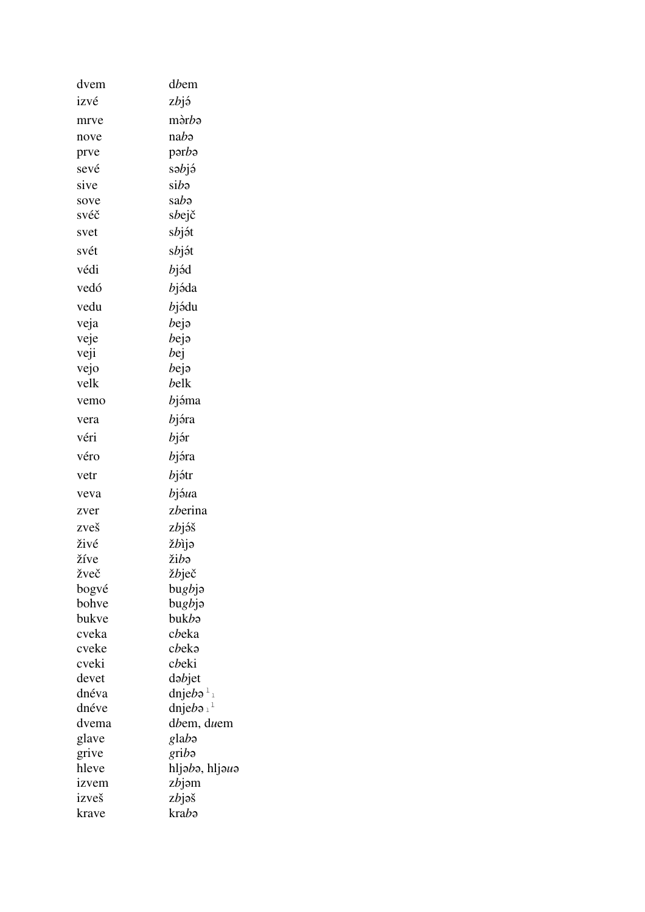| dvem  | dbem                     |
|-------|--------------------------|
| izvé  | zbjá                     |
| mrve  | mòrbə                    |
| nove  | nab                      |
| prve  | pərbə                    |
| sevé  | səbjə                    |
| sive  | sibə                     |
| sove  | sabə                     |
| svéč  | sbejč                    |
| svet  | sbját                    |
| svét  | sbját                    |
| védi  | bjád                     |
| vedó  | bjáda                    |
| vedu  | <i>b</i> jádu            |
| veja  | bejə                     |
| veje  | bejə                     |
| veji  | bej                      |
| vejo  | $be$ jə                  |
| velk  | belk                     |
| vemo  | $bj$ áma                 |
| vera  | bjára                    |
| véri  | bjár                     |
| véro  | bjára                    |
| vetr  | bjátr                    |
| veva  | bjáua                    |
| zver  | zberina                  |
| zveš  | zbjáš                    |
| živé  | žbìjə                    |
| žíve  | žibə                     |
| žveč  | žbječ                    |
| bogyé | bugbjə                   |
| bohve | $bugb$ jə                |
| bukve | buk <i>b</i> ə           |
| cveka | cbeka                    |
| cveke | cbeka                    |
| cveki | cbeki                    |
| devet | dabjet                   |
| dnéva | dnjeba $\frac{1}{1}$     |
| dnéve | dnjeb $a_1$ <sup>1</sup> |
| dvema | dbem, duem               |
| glave | glabə                    |
| grive | gribə                    |
| hleve | hljəbə, hljəuə           |
| izvem | zbjəm                    |
| izveš | zbj                      |
| krave | krabə                    |
|       |                          |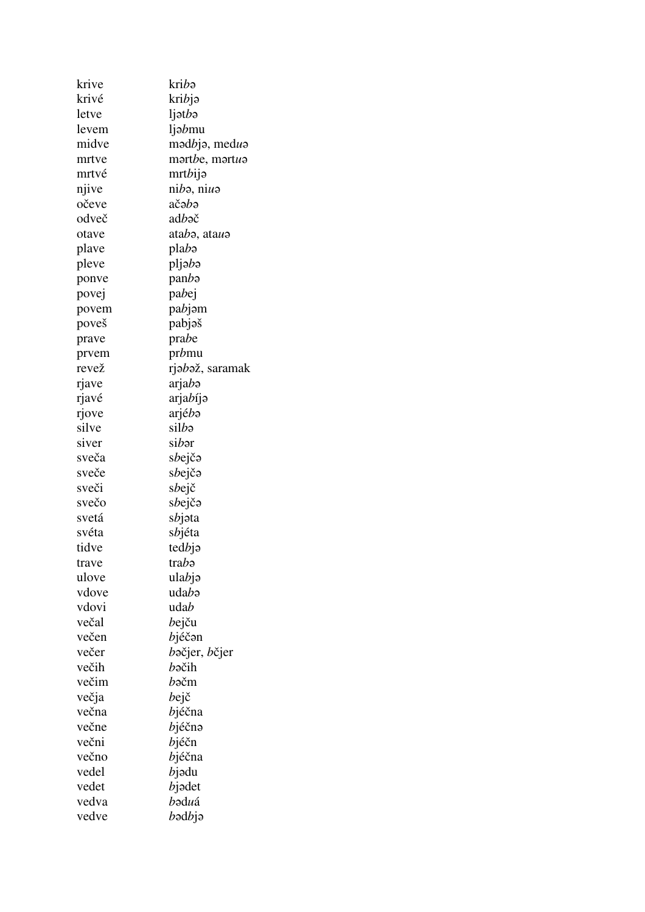| krive | kribə           |
|-------|-----------------|
| krivé | kribjə          |
| letve | ljətbə          |
| levem | ljabmu          |
| midve | mədbjə, meduə   |
| mrtve | martbe, martua  |
| mrtvé | mrtbija         |
| njive | nibə, niuə      |
| očeve | ačəbə           |
| odveč | adbač           |
| otave | atabo, atauo    |
| plave | plabə           |
| pleve | $plj$ əbə       |
| ponve | panbə           |
| povej | pabej           |
| povem | pabjom          |
| poveš | pabjəš          |
| prave | prabe           |
| prvem | prbmu           |
| revež | rjabaž, saramak |
| rjave | arjabə          |
| rjavé | arjabíja        |
| rjove | arjébə          |
| silve | silbə           |
| siver | sibər           |
| sveča | sbejčə          |
| sveče | sbejčə          |
| sveči | sbejč           |
| svečo | sbejčə          |
| svetá | sbjata          |
| svéta | sbjéta          |
| tidve | $tedb$ ja       |
| trave | trabə           |
| ulove | ulabjə          |
| vdove | udabə           |
| vdovi | udab            |
| večal | <i>b</i> ejču   |
| večen | $b$ jéčən       |
| večer | bačjer, bčjer   |
| večih | bəčih           |
| večim | $b$ əčm         |
| večja | bejč            |
| večna | bjéčna          |
| večne | bjéčnə          |
| večni | $b$ jéčn        |
| večno | <i>b</i> jéčna  |
| vedel | $b$ jədu        |
| vedet | bjadet          |
| vedva | bəduá           |
|       |                 |
| vedve | bədbjə          |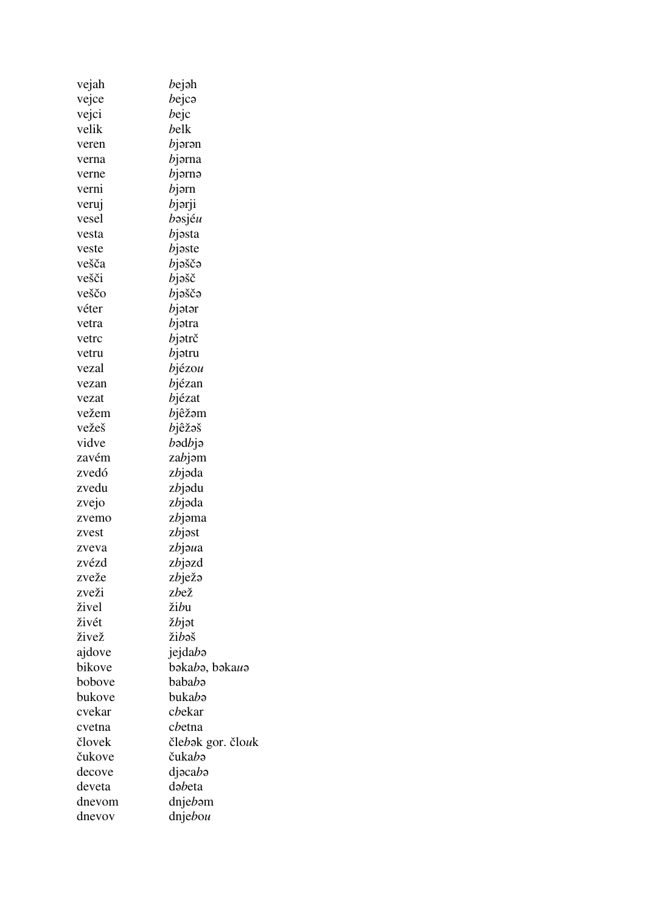| vejah  | $b$ ejəh          |
|--------|-------------------|
| vejce  | bejcə             |
| vejci  | bejc              |
| velik  | belk              |
| veren  | bjərən            |
| verna  | bjərna            |
| verne  | bjərnə            |
| verni  | bjərn             |
| veruj  | bjərji            |
| vesel  | bəsjéu            |
| vesta  | bjəsta            |
| veste  | bjaste            |
| vešča  | $b$ jəščə         |
| vešči  | $b$ jəšč          |
| veščo  | $b$ jəščə         |
| véter  | bjətər            |
| vetra  | bjətra            |
| vetrc  | bjətrč            |
| vetru  | <i>b</i> jətru    |
| vezal  | bjézou            |
| vezan  | bjézan            |
| vezat  | bjézat            |
| vežem  | $b$ jêžəm         |
| vežeš  | bjêžəš            |
| vidve  | $b$ əd $b$ jə     |
| zavém  | zabjəm            |
| zvedó  | zbjəda            |
| zvedu  | zbjədu            |
| zvejo  | zbjəda            |
| zvemo  | zbjəma            |
| zvest  | zbjəst            |
| zveva  | zbjəua            |
| zvézd  | zbjəzd            |
| zveže  | zbježə            |
| zveži  | zbež              |
| živel  | žibu              |
| živét  | žbjət             |
| živež  | žibəš             |
| ajdove | jejdabə           |
| bikove | bəkabə, bəkauə    |
| bobove | bababə            |
| bukove | bukabə            |
| cvekar | cbekar            |
| cvetna | cbetna            |
| človek | člebək gor. člouk |
| čukove | čukabə            |
| decove | $d$ jəcabə        |
| deveta | dabeta            |
| dnevom | $dnjeb$ əm        |
| dnevov | dnjebou           |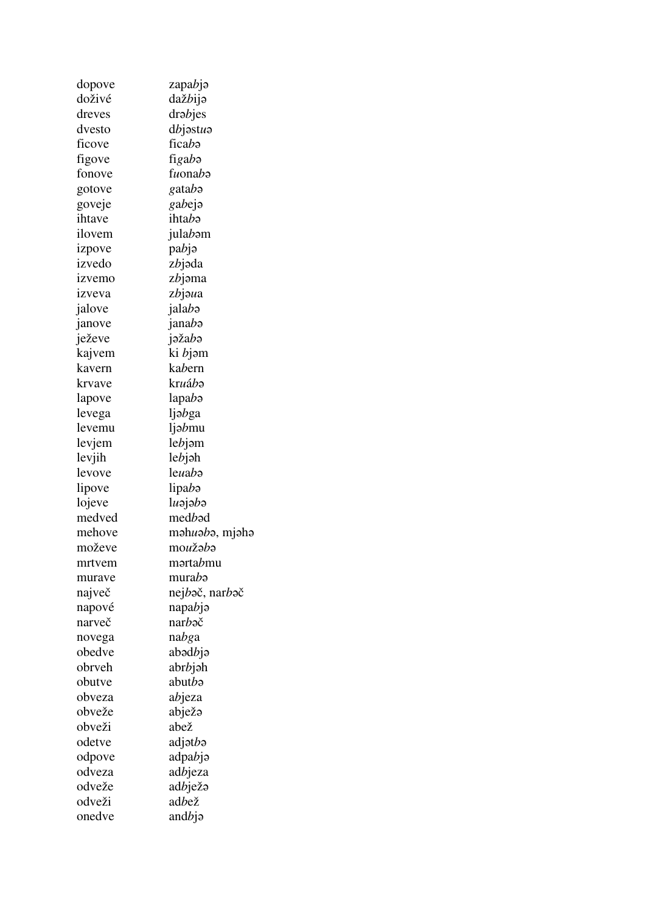| dopove | zapabjə            |
|--------|--------------------|
| doživé | daž <i>b</i> ijə   |
| dreves | drabjes            |
| dvesto | dbjəstuə           |
| ficove | ficabo             |
| figove | figabə             |
| fonove | fuonabə            |
| gotove | gatabə             |
| goveje | gabeja             |
| ihtave | ihtabə             |
| ilovem | julabom            |
| izpove | pabjə              |
| izvedo | zbjəda             |
| izvemo | zbjəma             |
| izveva | zbjəua             |
| jalove | jalabə             |
| janove | janabə             |
| ježeve | $i$ ažab           |
| kajvem | ki bjəm            |
| kavern | kabern             |
| krvave | kruábə             |
| lapove | lapabə             |
| levega | ljəbga             |
| levemu | ljəbmu             |
| levjem | lebjəm             |
| levjih | lebjəh             |
| levove | leuabo             |
| lipove | lipaba             |
| lojeve | luəjəbə            |
| medved | medbad             |
| mehove | məhuəbə, mjəhə     |
| moževe | moužaba            |
| mrtvem | mərta <i>b</i> mıı |
| murave | murab <sub>9</sub> |
| največ | nejbač, narbač     |
| napové | $napab$ j          |
| narveč | narb               |
| novega | nabga              |
| obedve | abədbjə            |
| obrveh | abrbjəh            |
| obutve | abutbə             |
| obveza | abjeza             |
| obveže | abježə             |
| obveži | abež               |
| odetve | adjətbə            |
| odpove | adpabjə            |
| odveza | adbjeza            |
| odveže | adbježa            |
| odveži | adbež              |
| onedve | andbjə             |
|        |                    |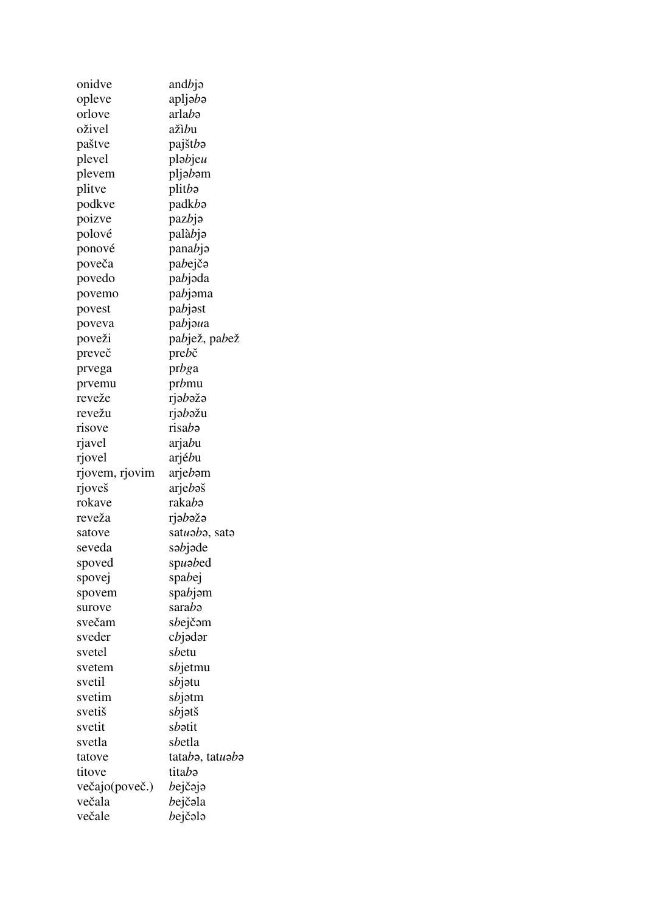| onidve         | $and b$ j $\triangleleft$ |
|----------------|---------------------------|
| opleve         | apljəbə                   |
| orlove         | arlabə                    |
| oživel         | ažìbu                     |
| paštve         | pajštba                   |
| plevel         | $plə b$ je $u$            |
| plevem         | pljəbəm                   |
| plitve         | plitba                    |
| podkve         | padkbə                    |
| poizve         | pazbjə                    |
| polové         | palàbja                   |
| ponové         | panabjə                   |
| poveča         | pabejčə                   |
| povedo         | pabjəda                   |
| povemo         | pabjəma                   |
| povest         | pabjost                   |
| poveva         | pabjaua                   |
| poveži         | pabjež, pabež             |
| preveč         | $preb\check{c}$           |
| prvega         | prbga                     |
| prvemu         | prbmu                     |
| reveže         | rjəbəžə                   |
| revežu         | rjəbəžu                   |
| risove         | risabə                    |
| rjavel         | arjabu                    |
| rjovel         | arjébu                    |
| rjovem, rjovim | arjebom                   |
| rjoveš         | arjeboš                   |
| rokave         | rakabə                    |
| reveža         | rjəbəžə                   |
| satove         | satuaba, sata             |
| seveda         | səbjəde                   |
| spoved         | spuabed                   |
| spovej         | spabej                    |
| spovem         | spabjom                   |
| surove         | sarabə                    |
| svečam         | sbejčəm                   |
| sveder         | cbjədər                   |
| svetel         | sbetu                     |
| svetem         | sbjetmu                   |
| svetil         | sbjətu                    |
| svetim         | sbjətm                    |
| svetiš         | sbjətš                    |
| svetit         | sbətit                    |
| svetla         | sbetla                    |
|                |                           |
| tatove         | tatabə, tat <i>uəbə</i>   |
| titove         | titabə                    |
| večajo(poveč.) | $be$ jčəjə                |
| večala         | bejčəla                   |
| večale         | $be$ jčələ                |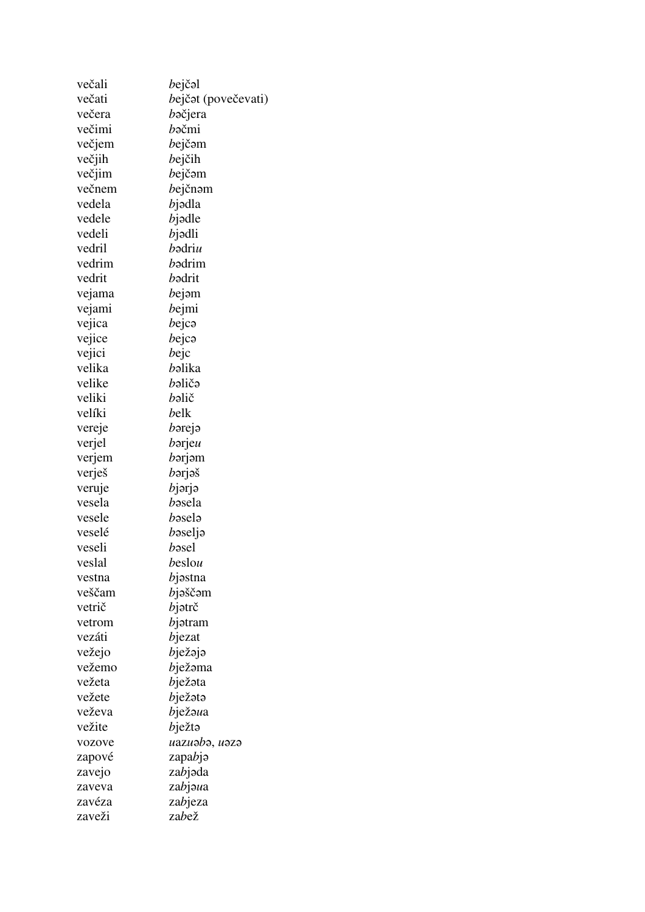| večali | bejčəl              |
|--------|---------------------|
| večati | bejčat (povečevati) |
| večera | bačjera             |
| večimi | bəčmi               |
| večjem | bejčəm              |
| večjih | bejčih              |
| večjim | bejčəm              |
| večnem | <i>b</i> ejčnom     |
| vedela | bjədla              |
| vedele | $b$ jədle           |
| vedeli | <i>b</i> jədli      |
| vedril | bədriu              |
| vedrim | bədrim              |
| vedrit | bədrit              |
| vejama | bejəm               |
| vejami | bejmi               |
| vejica | bejcə               |
| vejice | bejcə               |
| vejici | bejc                |
| velika | bəlika              |
| velike | bəličə              |
| veliki | bəlič               |
| velíki | belk                |
| vereje | $b$ ərejə           |
| verjel | bərjeu              |
| verjem | bərjəm              |
| verješ | $b$ ərjəš           |
| veruje | $b$ jərjə           |
| vesela | basela              |
| vesele | $b$ əselə           |
| veselé | $b$ əseljə          |
| veseli | bəsel               |
| veslal | beslou              |
| vestna | <i>b</i> jəstna     |
| veščam | $b$ jəščəm          |
| vetrič | bjətrč              |
| vetrom | $b$ jatram          |
| vezáti | bjezat              |
| vežejo | $b$ ježaja          |
| vežemo | $b$ ježama          |
| vežeta | bježata             |
| vežete | $b$ ježata          |
| veževa | <i>b</i> ježaua     |
| vežite | $b$ ježtə           |
| vozove | uazuəbə, uəzə       |
| zapové |                     |
| zavejo | zapabjə<br>zabjəda  |
| zaveva | zabjəua             |
| zavéza | zabjeza             |
| zaveži | zabež               |
|        |                     |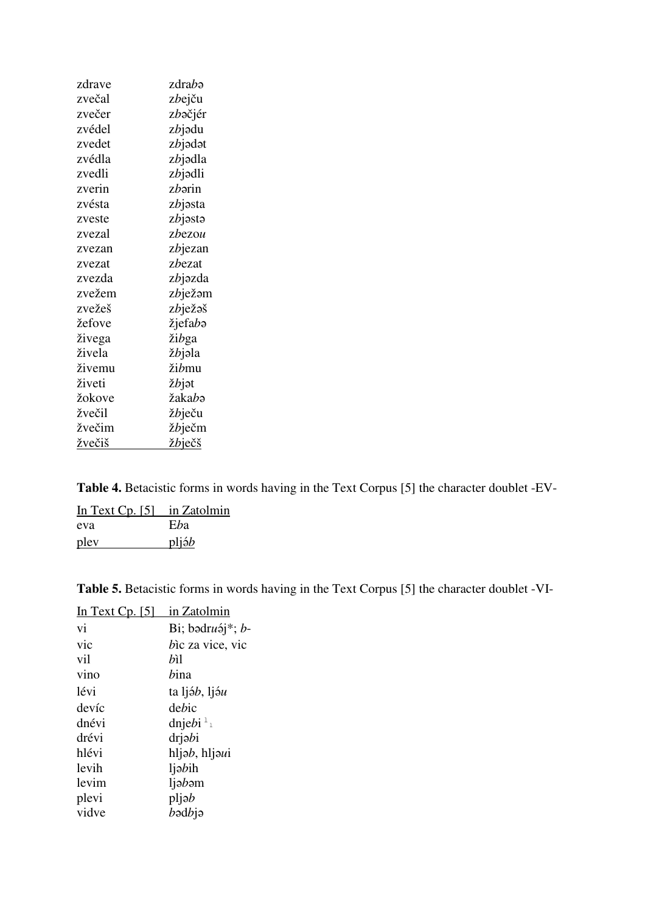| zdrave        | zdrabə  |
|---------------|---------|
| zvečal        | zbejču  |
| zvečer        | zbəčjér |
| zvédel        | zbjədu  |
| zvedet        | zbjədət |
| zvédla        | zbjədla |
| zvedli        | zbjədli |
| zverin        | zbərin  |
| zvésta        | zbjəsta |
| zveste        | zbjəstə |
| zvezal        | zbezou  |
| zvezan        | zbjezan |
| zvezat        | zbezat  |
| zvezda        | zbjəzda |
| zvežem        | zbježəm |
| zvežeš        | zbježəš |
| žefove        | žjefabə |
| živega        | žibga   |
| živela        | žbjəla  |
| živemu        | žibmu   |
| živeti        | žbjət   |
| žokove        | žakabə  |
| žvečil        | žbječu  |
| žvečim        | žbječm  |
| <u>žvečiš</u> | žbječš  |

| <b>Table 4.</b> Betacistic forms in words having in the Text Corpus [5] the character doublet -EV- |  |  |  |  |  |
|----------------------------------------------------------------------------------------------------|--|--|--|--|--|
|                                                                                                    |  |  |  |  |  |

| In Text Cp. $[5]$ in Zatolmin |                 |
|-------------------------------|-----------------|
| eva                           | Eba             |
| pley                          | $pli\acute{o}b$ |

**Table 5.** Betacistic forms in words having in the Text Corpus [5] the character doublet -VI-

| In Text $C_p$ . [5] | in Zatolmin                 |
|---------------------|-----------------------------|
| vi                  | Bi; bədruə $j^*$ ; b-       |
| vic                 | bic za vice, vic            |
| vil                 | bìl                         |
| vino                | bina                        |
| lévi                | ta ljáb, ljáu               |
| devíc               | debic                       |
| dnévi               | $d$ nje $b$ i $\frac{1}{1}$ |
| drévi               | drjəbi                      |
| hlévi               | hljəb, hljəui               |
| levih               | ljəbih                      |
| levim               | $l$ jə $b$ əm               |
| plevi               | $p$ ljə $b$                 |
| vidve               | bədbjə                      |
|                     |                             |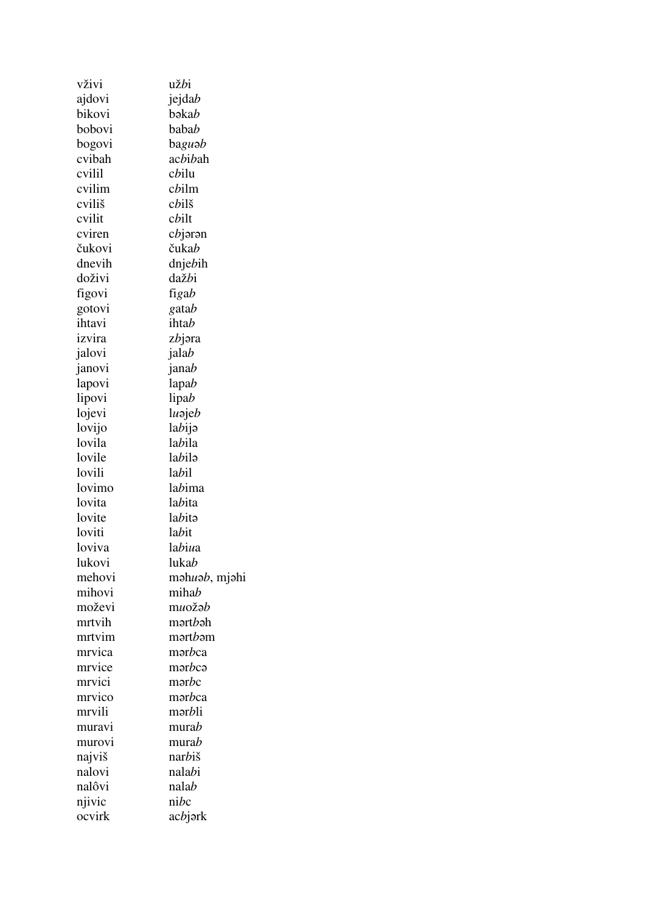| vživi  | užbi                         |
|--------|------------------------------|
| ajdovi | jejdab                       |
| bikovi | bəkab                        |
| bobovi | babab                        |
| bogovi | baguəb                       |
| cvibah | ac <i>bib</i> ah             |
| cvilil | cbilu                        |
| cvilim | cbilm                        |
| cviliš | cbilš                        |
| cvilit | cbilt                        |
| cviren | cbjərən                      |
| čukovi | čukab                        |
| dnevih | dnjebih                      |
| doživi | dažbi                        |
| figovi | figab                        |
| gotovi | gatab                        |
| ihtavi | ihtab                        |
| izvira | zbjəra                       |
| jalovi | jalab                        |
| janovi | janab                        |
| lapovi | lapab                        |
| lipovi | lipab                        |
| lojevi | $lu$ aje $b$                 |
| lovijo | labijə                       |
| lovila | labila                       |
| lovile | labilə                       |
| lovili | labil                        |
| lovimo | labima                       |
| lovita | labita                       |
| lovite | labito                       |
| loviti | labit                        |
| loviva | labiua                       |
| lukovi | lukab                        |
| mehovi | məhuəb, mjəhi                |
| mihovi | mihab                        |
| moževi | muožab                       |
| mrtvih | $\mathsf{mart}\mathit{b}$ ah |
| mrtvim | mərt <i>b</i> əm             |
| mrvica | mərbca                       |
| mrvice | mərbcə                       |
| mrvici | $m$ $ə$ r $bc$               |
| mrvico | mərbca                       |
|        |                              |
| mrvili | mərbli                       |
| muravi | murab                        |
| murovi | murab                        |
| najviš | narbiš                       |
| nalovi | nalabi                       |
| nalôvi | nalab                        |
| njivic | nibe                         |
| ocvirk | acbjark                      |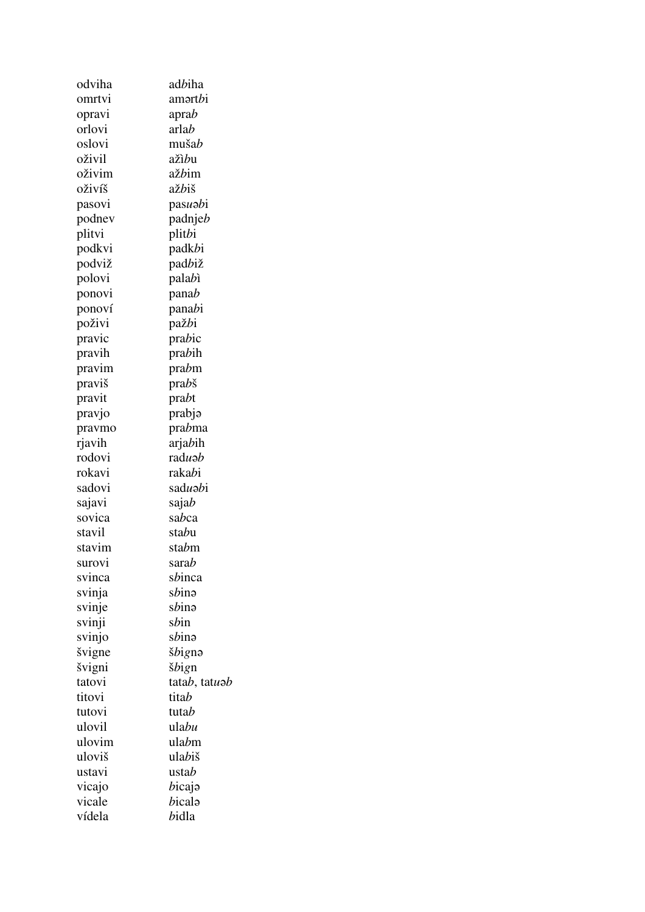| odviha | adbiha           |
|--------|------------------|
| omrtvi | amərt <i>b</i> i |
| opravi | aprab            |
| orlovi | arlab            |
| oslovi | mušab            |
| oživil | ažìbu            |
| oživim | ažbim            |
| oživíš | ažbiš            |
| pasovi | pasuabi          |
| podney | padnjeb          |
| plitvi | plitbi           |
| podkvi | padkbi           |
| podviž | padbiž           |
| polovi | palabi           |
| ponovi | panab            |
| ponoví | panabi           |
| poživi | pažbi            |
| pravic | prabic           |
| pravih | prabih           |
| pravim | prabm            |
| praviš | $prab\check{s}$  |
| pravit | prabt            |
| pravjo | prabja           |
| pravmo | prabma           |
| rjavih | arjabih          |
| rodovi | rad <i>uəb</i>   |
| rokavi | rakabi           |
| sadovi | saduabi          |
| sajavi | sajab            |
| sovica | sabca            |
| stavil | stabu            |
| stavim | stabm            |
| surovi | sarab            |
| svinca | sbinca           |
| svinja | sbinə            |
| svinje | sbinə            |
| svinji | sbin             |
| svinjo | sbinə            |
| švigne | šbignə           |
| švigni | šbign            |
| tatovi | tatab, tatuab    |
| titovi | titab            |
| tutovi | tutab            |
| ulovil | ulabu            |
| ulovim | ulabm            |
| uloviš | ulabiš           |
| ustavi | ustab            |
| vicajo | bicaja           |
| vicale | bicala           |
| vídela | bidla            |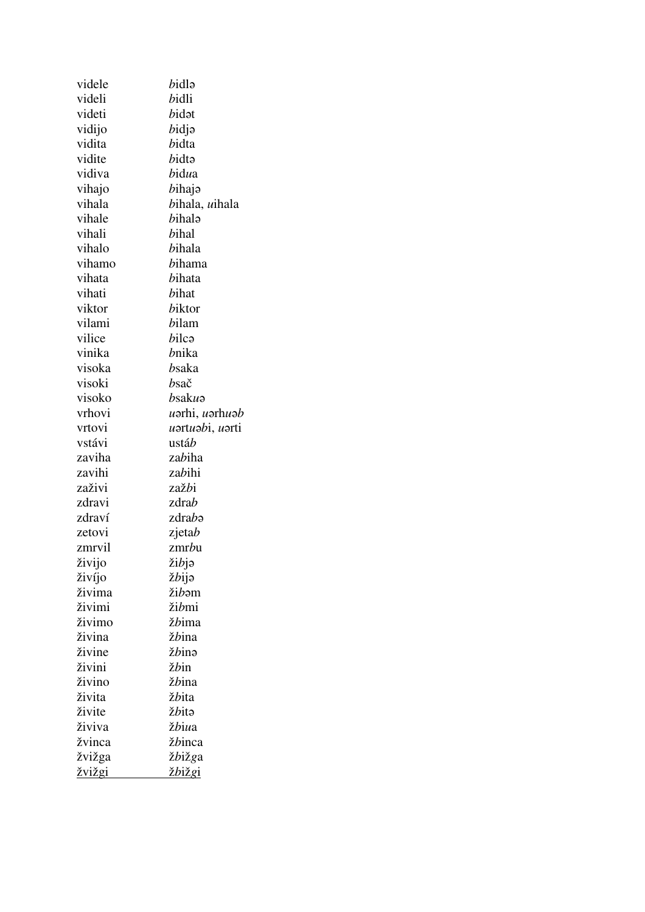| videle        | bidlə                                    |
|---------------|------------------------------------------|
| videli        | bidli                                    |
| videti        | bidət                                    |
| vidijo        | bidjə                                    |
| vidita        | bidta                                    |
| vidite        | bidta                                    |
| vidiva        | bidua                                    |
| vihajo        | bihajə                                   |
| vihala        | bihala, uihala                           |
| vihale        | bihalə                                   |
| vihali        | bihal                                    |
| vihalo        | bihala                                   |
| vihamo        | <i>b</i> ihama                           |
| vihata        | bihata                                   |
| vihati        | bihat                                    |
| viktor        | biktor                                   |
| vilami        | bilam                                    |
| vilice        | bilcə                                    |
| vinika        | bnika                                    |
| visoka        | bsaka                                    |
| visoki        | bsač                                     |
| visoko        | bsakuə                                   |
| vrhovi        | uərhi, uərhuəb                           |
| vrtovi        | <i>u</i> ərt <i>uəb</i> i, <i>u</i> ərti |
| vstávi        | ustáb                                    |
| zaviha        | zabiha                                   |
| zavihi        | zabihi                                   |
| zaživi        | zažbi                                    |
| zdravi        | zdrab                                    |
| zdraví        | zdrabə                                   |
| zetovi        | zjetab                                   |
| zmrvil        | zmrbu                                    |
| živijo        | žibjə                                    |
| živíjo        | žbija                                    |
| živima        | žibəm                                    |
| živimi        | žibmi                                    |
| živimo        | žbima                                    |
| živina        | žbina                                    |
| živine        | žbinə                                    |
| živini        | žbin                                     |
| živino        | žbina                                    |
| živita        | žbita                                    |
| živite        | žbitə                                    |
| živiva        | žbiua                                    |
| žvinca        | žbinca                                   |
| žvižga        | žbižga                                   |
| <u>žvižgi</u> | <u>žbižgi</u>                            |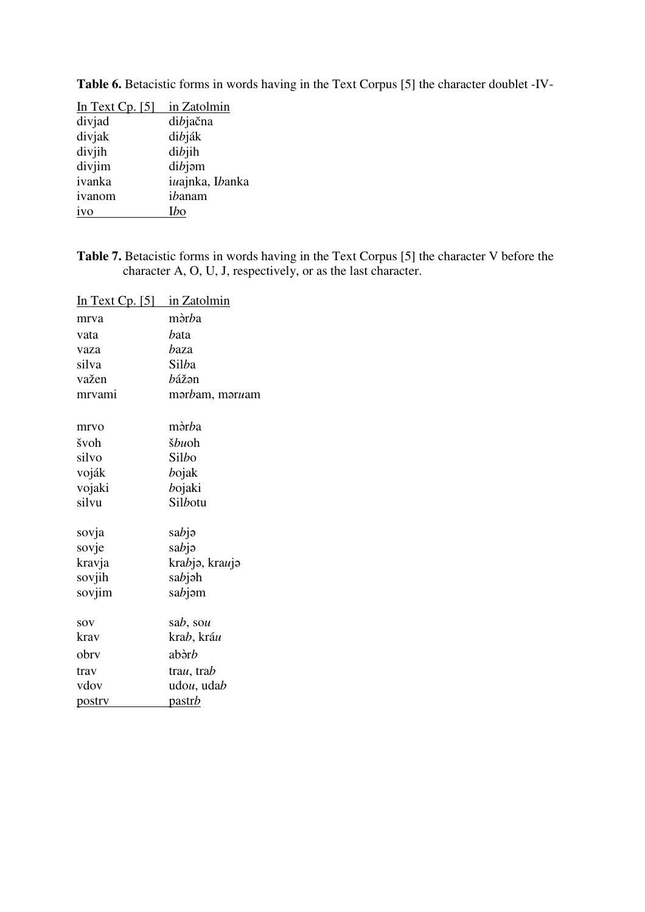| In Text Cp. $[5]$ | in Zatolmin     |
|-------------------|-----------------|
| divjad            | dibjačna        |
| divjak            | dibják          |
| divjih            | dibjih          |
| divjim            | $dib$ jəm       |
| ivanka            | iuajnka, Ibanka |
| ivanom            | ibanam          |
| ivo               | Ibo             |

**Table 6.** Betacistic forms in words having in the Text Corpus [5] the character doublet -IV-

**Table 7.** Betacistic forms in words having in the Text Corpus [5] the character V before the character A, O, U, J, respectively, or as the last character.

| <u>In Text Cp. [5]</u> | <u>in Zatolmin</u>          |
|------------------------|-----------------------------|
| mrva                   | màrba                       |
| vata                   | bata                        |
| vaza                   | baza                        |
| silva                  | Silba                       |
| važen                  | bážən                       |
| mrvami                 | mərbam, məruam              |
| mrvo                   | mòrba                       |
| švoh                   | šbuoh                       |
| silvo                  | Silbo                       |
| voják                  | bojak                       |
| vojaki                 | bojaki                      |
| silvu                  | Silbotu                     |
| sovja                  | sabjə                       |
| sovje                  | sabjə                       |
| kravja                 | krabja, krauja              |
| sovjih                 | sabjəh                      |
| sovjim                 | sabjəm                      |
| SOV                    | sab, sou                    |
| krav                   | krab, kráu                  |
| obrv                   | abàrb                       |
| trav                   | trau, trab                  |
| vdov                   | udo <i>u</i> , uda <i>b</i> |
| postry                 | pastrb                      |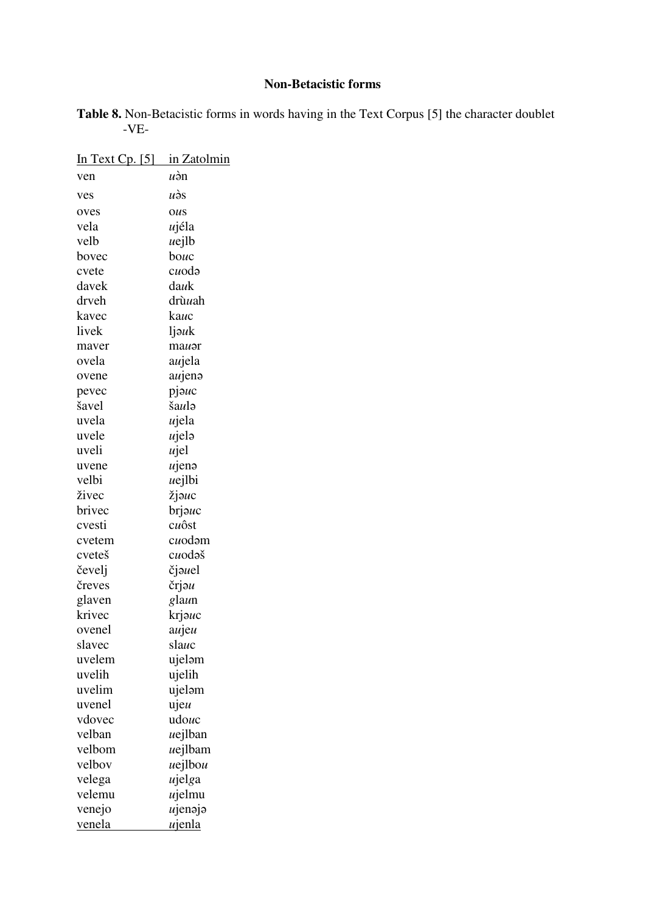# **Non-Betacistic forms**

**Table 8.** Non-Betacistic forms in words having in the Text Corpus [5] the character doublet -VE-

| In Text Cp. $[5]$ | in Zatolmin     |
|-------------------|-----------------|
| ven               | $u$ àn          |
| ves               | uòs             |
| oves              | <b>OUS</b>      |
| vela              | ujéla           |
| velb              | uejlb           |
| bovec             | bouc            |
| cvete             | cuoda           |
| davek             | dauk            |
| drveh             | drù <i>u</i> ah |
| kavec             | kauc            |
| livek             | ljəuk           |
| maver             | mauər           |
| ovela             | aujela          |
| ovene             | aujenə          |
| pevec             | pjauc           |
| šavel             | šaulə           |
| uvela             | ujela           |
| uvele             | ujelə           |
| uveli             | ujel            |
| uvene             | ujenə           |
| velbi             | uejlbi          |
| živec             | žjəuc           |
| brivec            | brjauc          |
| cvesti            | cuôst           |
| cvetem            | cuodəm          |
| cveteš            | cuodaš          |
| čevelj            | čjauel          |
| čreves            | črjəu           |
| glaven            | glaun           |
| krivec            | krjauc          |
| ovenel            | aujeu           |
| slavec            | slauc           |
| uvelem            | ujeləm          |
| uvelih            | ujelih          |
| uvelim            | ujelam          |
| uvenel            | ujeu            |
| vdovec            | udouc           |
| velban            | uejlban         |
| velbom            | uejlbam         |
| velbov            | uejlbou         |
| velega            | ujelga          |
| velemu            | ujelmu          |
| venejo            | ujenojo         |
| <u>venela</u>     | ujenla          |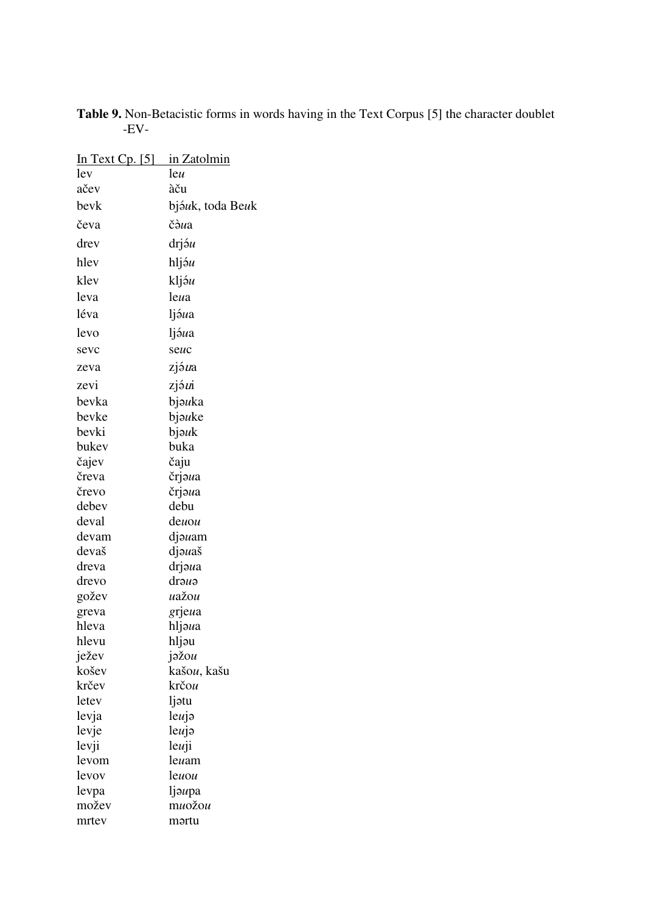| <u>In Text Cp. [5]</u> | <u>in Zatolmin</u> |
|------------------------|--------------------|
| lev                    | leu                |
| ačev                   | àču                |
| bevk                   | bjáuk, toda Beuk   |
| čeva                   | čàua               |
| drev                   | drjáu              |
| hlev                   | hljэ́u             |
| klev                   | kljóu              |
| leva                   | leua               |
| léva                   | ljáua              |
| levo                   | ljáua              |
| sevc                   | seuc               |
| zeva                   | zjó <i>u</i> a     |
| zevi                   | zjá <i>u</i> i     |
| bevka                  | bjəuka             |
| bevke                  | bjauke             |
| bevki                  | bjəuk              |
| bukev                  | buka               |
| čajev                  | čaju               |
| čreva                  | črjəua             |
| črevo                  | črjəua             |
| debev                  | debu               |
| deval                  | deuou              |
| devam                  | djəuam             |
| devaš                  | djauaš             |
| dreva                  | drjaua             |
| drevo                  | drəuə              |
| gožev                  | uažou              |
| greva                  | grjeua             |
| hleva                  | hljəua             |
| hlevu                  | hljəu              |
| ježev                  | $j$ əžou           |
| košev                  | kašou, kašu        |
| krčev                  | krčou              |
| letev                  | ljətu              |
| levja                  | $leu$ jə           |
|                        | leujə              |
| levje                  |                    |
| levji<br>levom         | leuji<br>leuam     |
|                        |                    |
| levov                  | leuou              |
| levpa                  | ljaupa             |
| možev                  | muožou             |
| mrtev                  | mərtu              |

**Table 9.** Non-Betacistic forms in words having in the Text Corpus [5] the character doublet -EV-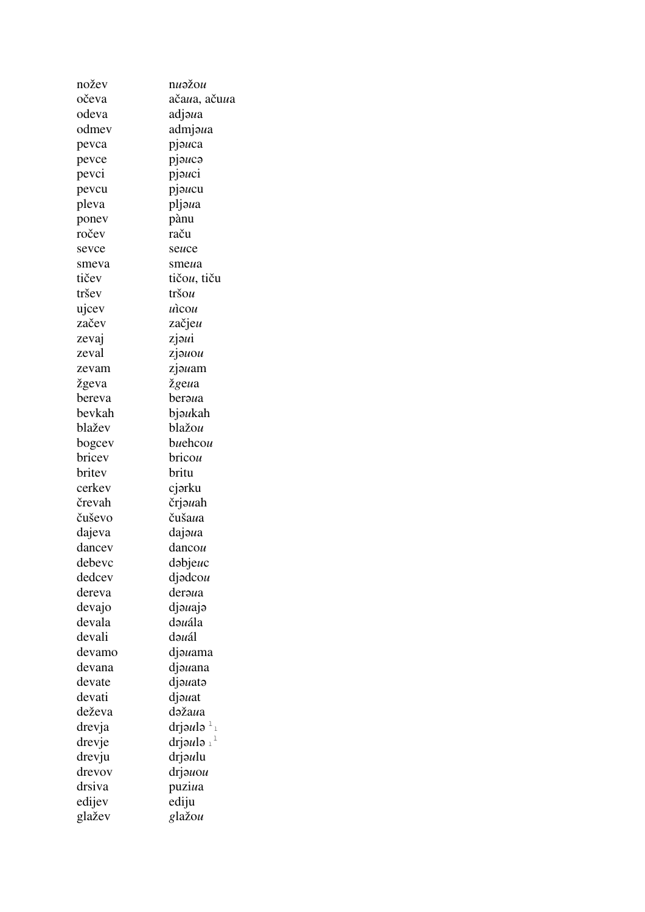| nožev  | nuəžou                         |
|--------|--------------------------------|
| očeva  | ača <i>u</i> a, aču <i>u</i> a |
| odeva  | adjəua                         |
| odmev  | admjəua                        |
| pevca  | pjauca                         |
| pevce  | pjauca                         |
| pevci  | рјәисі                         |
| pevcu  | pjaucu                         |
| pleva  | pljəua                         |
| ponev  | pànu                           |
| ročev  | raču                           |
| sevce  | seuce                          |
| smeva  | smeua                          |
| tičev  | tičou, tiču                    |
| tršev  | $tr\check{s}ou$                |
| ujcev  | uicou                          |
| začev  | začjeu                         |
| zevaj  | zjəui                          |
| zeval  | zjauou                         |
| zevam  | zjəuam                         |
| žgeva  | žgeua                          |
| bereva | beraua                         |
| bevkah | bjaukah                        |
| blažev | blažou                         |
| bogcev | buehcou                        |
| bricev | bricou                         |
| britev | britu                          |
| cerkev | cjərku                         |
| črevah | črjəuah                        |
| čuševo | čušaua                         |
| dajeva | dajaua                         |
| dancev | dancou                         |
| debevc | dəbjeuc                        |
| dedcev | djadcou                        |
| dereva | deraua                         |
| devajo | djəuajə                        |
| devala | dəuála                         |
| devali | dəuál                          |
| devamo | djəuama                        |
| devana | djəuana                        |
| devate | djəuatə                        |
| devati | djəuat                         |
| deževa | dəžaua                         |
|        | drjə $u$ lə $\frac{1}{1}$      |
| drevja |                                |
| drevje | drjə $ul$ ə $1^1$              |
| drevju | drjəulu                        |
| drevov | drjauou                        |
| drsiva | puziua                         |
| edijev | ediju                          |
| glažev | glažou                         |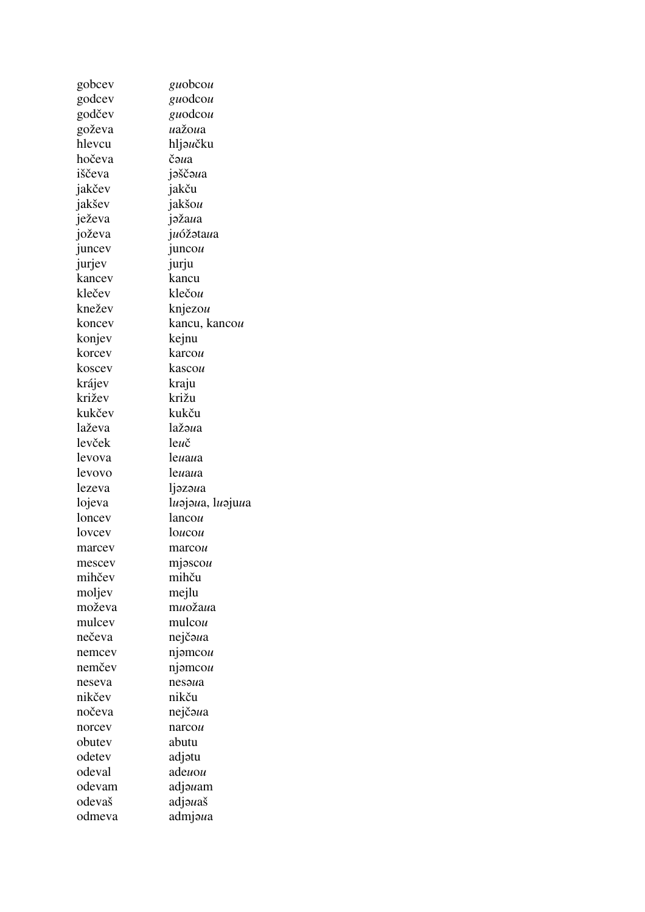| gobcev | guobcou          |
|--------|------------------|
| godcev | guodcou          |
| godčev | guodcou          |
| goževa | uažoua           |
| hlevcu | hljaučku         |
| hočeva | čəua             |
| iščeva | jaščaua          |
| jakčev | jakču            |
| jakšev | jakšou           |
| ježeva | jažaua           |
| joževa | juóžataua        |
| juncev | juncou           |
| jurjev | jurju            |
| kancev | kancu            |
| klečev | klečou           |
| knežev | knjezou          |
| koncev | kancu, kancou    |
| konjev | kejnu            |
| korcev | karcou           |
| koscev | kascou           |
| krájev | kraju            |
| križev | križu            |
| kukčev | kukču            |
| laževa | lažaua           |
| levček | $leu\check{c}$   |
| levova | leuaua           |
| levovo | leuaua           |
| lezeva | ljəzə <i>u</i> a |
| lojeva | luojoua, luojuua |
| loncev | lancou           |
| lovcev | loucou           |
| marcey | marcou           |
| mescev | $m$ jascou       |
| mihčev | mihču            |
| moljev | mejlu            |
| moževa | muožaua          |
| mulcev | mulcou           |
| nečeva | nejčaua          |
| nemcev | $nj$ amcou       |
| nemčev | $nj$ amcou       |
| neseva | nesaua           |
| nikčev | nikču            |
| nočeva | nejčoua          |
| norcev | narcou           |
| obutev | abutu            |
| odetev | adjətu           |
| odeval | adeuou           |
| odevam | adjauam          |
| odevaš | adjauaš          |
| odmeva | admjaua          |
|        |                  |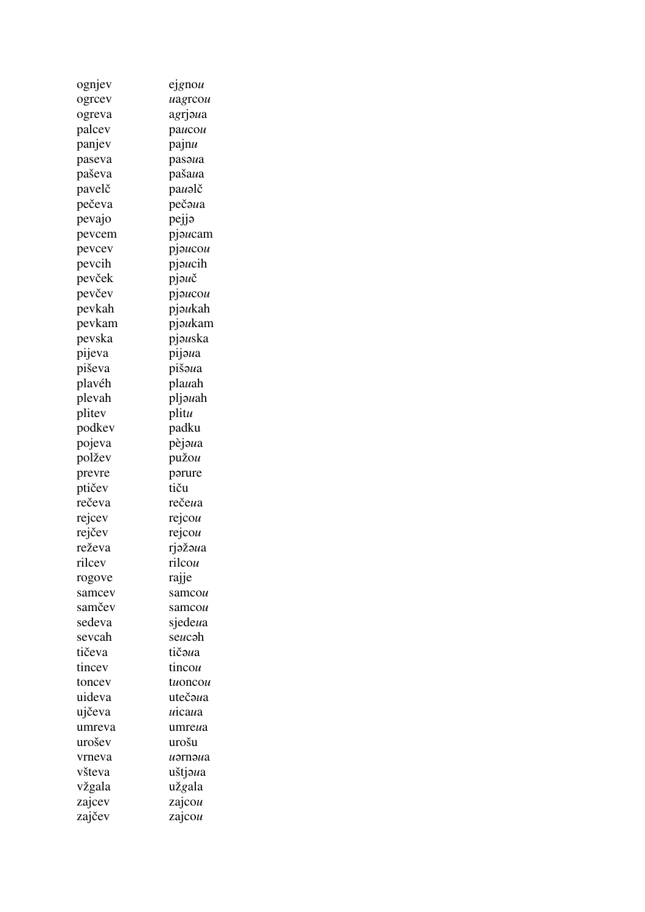| ognjev | ejgnou  |  |
|--------|---------|--|
| ogreev | uagrcou |  |
| ogreva | agrjəua |  |
| palcev | раисои  |  |
| panjev | pajnu   |  |
| paseva | pasaua  |  |
| paševa | pašaua  |  |
| pavelč | paualč  |  |
| pečeva | pečaua  |  |
| pevajo | pejja   |  |
| pevcem | pjaucam |  |
| pevcev | pjaucou |  |
| pevcih | pjaucih |  |
| pevček | pjəuč   |  |
| pevčev | pjaucou |  |
| pevkah | pjaukah |  |
| pevkam | pjaukam |  |
| pevska | pjauska |  |
| pijeva | pijaua  |  |
| piševa | pišaua  |  |
| plavéh | plauah  |  |
| plevah | pljauah |  |
| plitev | plitu   |  |
| podkev | padku   |  |
| pojeva | pèjəua  |  |
| polžev | pužou   |  |
| prevre | parure  |  |
| ptičev | tiču    |  |
| rečeva | rečeua  |  |
| rejcev | rejcou  |  |
| rejčev | rejcou  |  |
| reževa | rjəžəua |  |
| rilcev | rilcou  |  |
| rogove | rajje   |  |
| samcev | samcou  |  |
| samčev | samcou  |  |
| sedeva | sjedeua |  |
| sevcah | seucəh  |  |
| tičeva | tičaua  |  |
| tincey | tincou  |  |
| toncev | tuoncou |  |
| uideva | utečoua |  |
| ujčeva | uicaua  |  |
| umreva | umreua  |  |
| urošev | urošu   |  |
| vrneva | uərnəua |  |
| všteva | uštjəua |  |
| vžgala | užgala  |  |
| zajcev | zajcou  |  |
| zajčev | zajcou  |  |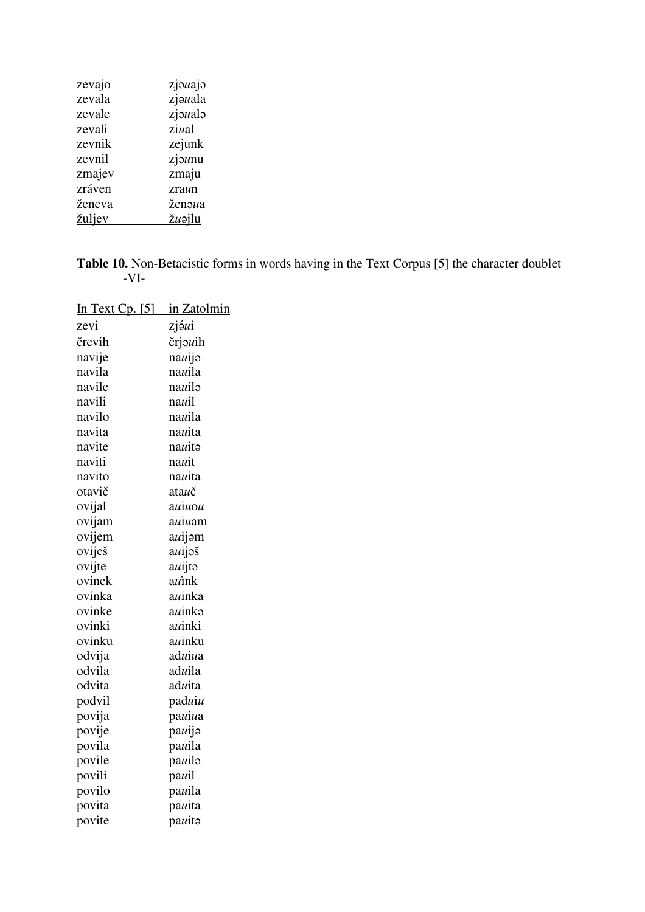| zevajo | zjəuajə |
|--------|---------|
| zevala | zjauala |
| zevale | zjauala |
| zevali | ziual   |
| zevnik | zejunk  |
| zevnil | zjaunu  |
| zmajev | zmaju   |
| zráven | zraun   |
| ženeva | ženoua  |
| žuljev | zuojlu  |

**Table 10.** Non-Betacistic forms in words having in the Text Corpus [5] the character doublet -VI-

| <u>In Text Cp. [5]</u> | <u>in Zatolmin</u> |
|------------------------|--------------------|
| zevi                   | zjáui              |
| črevih                 | črjauih            |
| navije                 | nauijə             |
| navila                 | nauila             |
| navile                 | nauilə             |
| navili                 | nauil              |
| navilo                 | nauila             |
| navita                 | nauita             |
| navite                 | nauitə             |
| naviti                 | nauit              |
| navito                 | nauita             |
| otavič                 | atauč              |
| ovijal                 | auiuou             |
| ovijam                 | auiuam             |
| ovijem                 | auijəm             |
| oviješ                 | auijəš             |
| ovijte                 | auijta             |
| ovinek                 | auink              |
| ovinka                 | auinka             |
| ovinke                 | auinkə             |
| ovinki                 | auinki             |
| ovinku                 | auinku             |
| odvija                 | aduiua             |
| odvila                 | aduila             |
| odvita                 | aduita             |
| podvil                 | paduiu             |
| povija                 | pauiua             |
| povije                 | pauija             |
| povila                 | pauila             |
| povile                 | pauila             |
| povili                 | pauil              |
| povilo                 | pauila             |
| povita                 | pauita             |
| povite                 | pauito             |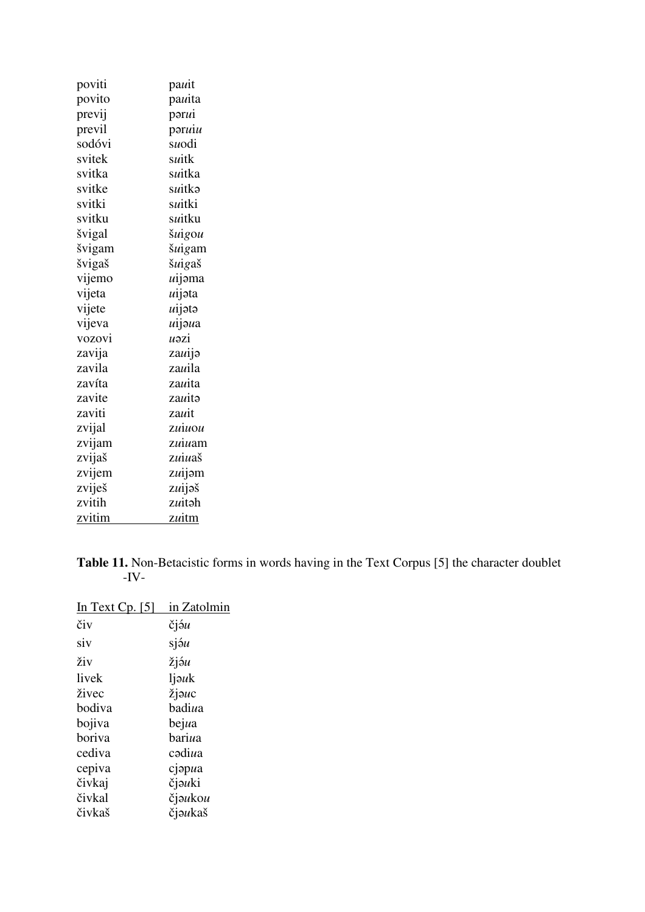| poviti | pauit        |
|--------|--------------|
| povito | pauita       |
| previj | pərui        |
| previl | pəruiu       |
| sodóvi | suodi        |
| svitek | suitk        |
| svitka | suitka       |
| svitke | suitkə       |
| svitki | suitki       |
| svitku | suitku       |
| švigal | šuigou       |
| švigam | šuigam       |
| švigaš | šuigaš       |
| vijemo | uijəma       |
| vijeta | uijəta       |
| vijete | uijətə       |
| vijeva | uijəua       |
| vozovi | uəzi         |
| zavija | zauijə       |
| zavila | zauila       |
| zavíta | zauita       |
| zavite | zauita       |
| zaviti | zauit        |
| zvijal | zuiuou       |
| zvijam | zuiuam       |
| zvijaš | zuiuaš       |
| zvijem | zuijəm       |
| zviješ | zuijəš       |
| zvitih | zuitəh       |
| zvitim | <u>zuitm</u> |

**Table 11.** Non-Betacistic forms in words having in the Text Corpus [5] the character doublet -IV-

| In Text Cp. $[5]$ | in Zatolmin |
|-------------------|-------------|
| čiv               | čjáu        |
| siv               | sjóu        |
| živ               | žjáu        |
| livek             | ljauk       |
| živec             | žjauc       |
| bodiva            | badiua      |
| bojiva            | bejua       |
| boriva            | bariua      |
| cediva            | cədiua      |
| cepiva            | cjapua      |
| čivkaj            | čjəuki      |
| čivkal            | čjəukou     |
| čivkaš            | čjəukaš     |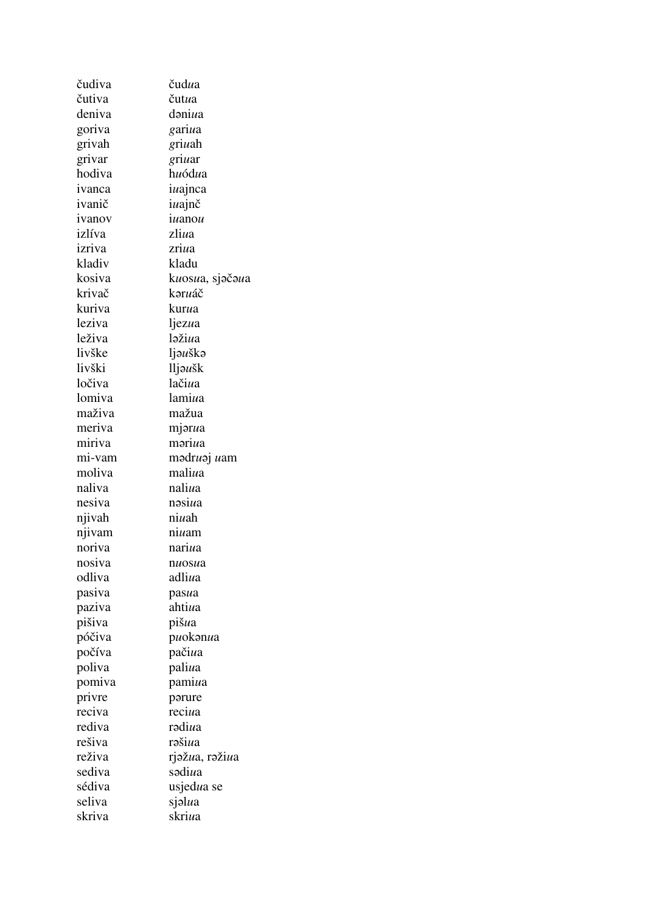| čudiva | čudua                    |
|--------|--------------------------|
| čutiva | čutua                    |
| deniva | dəniua                   |
| goriva | gariua                   |
| grivah | griuah                   |
| grivar | griuar                   |
| hodiva | huódua                   |
| ivanca | iuajnca                  |
| ivanič | iuajnč                   |
| ivanov | iuanou                   |
| izlíva | zliua                    |
| izriva | zriua                    |
| kladiv | kladu                    |
| kosiva | k <i>u</i> osua, sjəčəua |
| krivač | kəruáč                   |
| kuriva | kurua                    |
| leziva | ljezua                   |
| leživa | ləžiua                   |
| livške | ljauška                  |
| livški | lljaušk                  |
| ločiva | lačiua                   |
| lomiva | lamiua                   |
| maživa | mažua                    |
| meriva |                          |
|        | mjarua                   |
| miriva | məriua                   |
| mi-vam | mədruəj uam              |
| moliva | maliua                   |
| naliva | naliua                   |
| nesiva | nəsiua                   |
| njivah | niuah                    |
| njivam | niuam                    |
| noriva | nariua                   |
| nosiva | nuosua                   |
| odliva | adli <i>u</i> a          |
| pasiva | pasua                    |
| paziva | ahtiua                   |
| pišiva | pišua                    |
| póčiva | puokanua                 |
| počíva | pačiua                   |
| poliva | paliua                   |
| pomiva | pamiua                   |
| privre | parure                   |
| reciva | reciua                   |
| rediva | rədiua                   |
| rešiva | rašiua                   |
| reživa | rjažua, ražiua           |
| sediva | sədi <i>u</i> a          |
| sédiva | usjedua se               |
| seliva | sjəlua                   |
| skriva | skriua                   |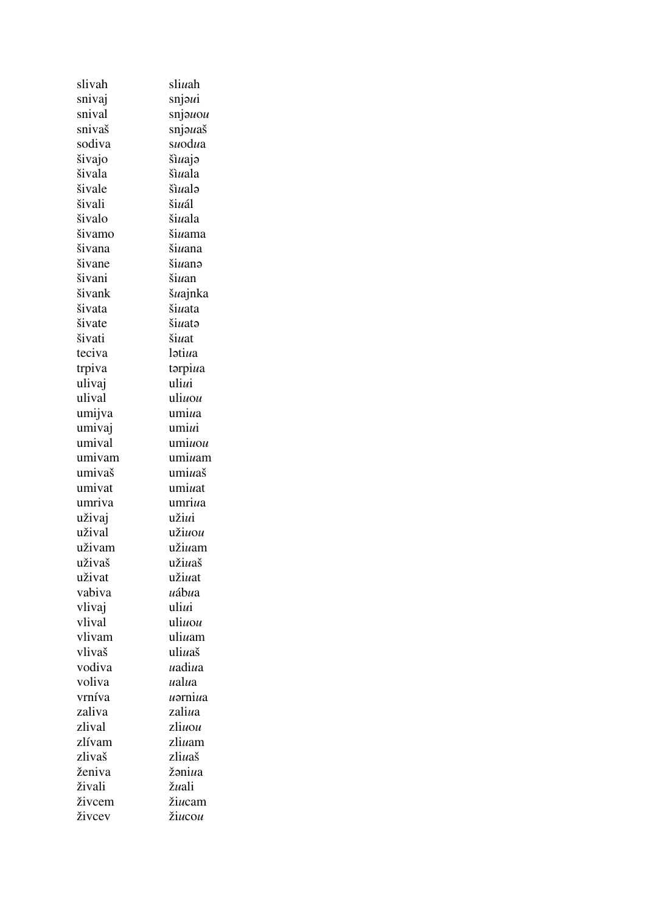| slivah | sliuah  |
|--------|---------|
| snivaj | snjəui  |
| snival | snjəuou |
| snivaš | snjəuaš |
| sodiva | suodua  |
| šivajo | šiuaja  |
| šivala | šìuala  |
| šivale | šìualə  |
| šivali | šiuál   |
| šivalo | šiuala  |
| šivamo | šiuama  |
| šivana | šiuana  |
| šivane | šiuanə  |
| šivani | šiuan   |
| šivank | šuajnka |
| šivata | šiuata  |
| šivate | šiuata  |
| šivati | šiuat   |
| teciva | latiua  |
| trpiva | tərpiua |
| ulivaj | uliui   |
| ulival | uliuou  |
| umijva | umiua   |
| umivaj | umiui   |
| umival | umiuou  |
| umivam | umiuam  |
| umivaš | umiuaš  |
| umivat | umiuat  |
| umriva | umriua  |
| uživaj | užiui   |
| užival | užiuou  |
| uživam | užiuam  |
| uživaš | užiuaš  |
| uživat | užiuat  |
| vabiva | uábua   |
| vlivaj | uliui   |
| vlival | uliuou  |
| vlivam | uliuam  |
| vlivaš | uliuaš  |
| vodiva | uadiua  |
| voliva | ualua   |
| vrníva | uərniua |
| zaliva | zaliua  |
| zlival | zliuou  |
| zlívam | zliuam  |
| zlivaš | zliuaš  |
| ženiva | žəniua  |
|        |         |
| živali | žuali   |
| živcem | žiucam  |
| živcev | žiucou  |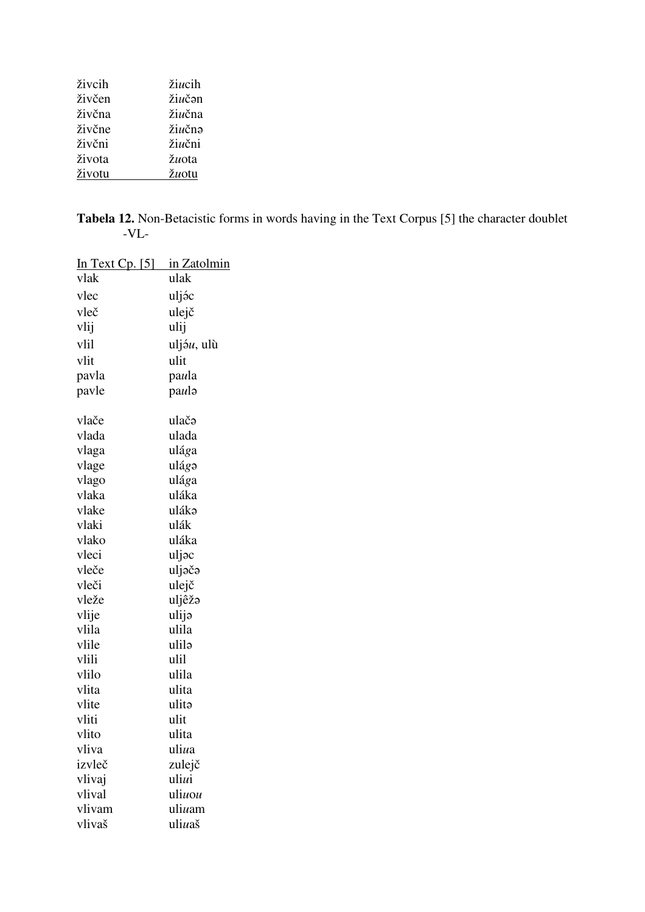| živcih | žiucih |
|--------|--------|
| živčen | žiučən |
| živčna | žiučna |
| živčne | žiučnə |
| živčni | žiučni |
| života | žuota  |
| životu | žuotu  |

**Tabela 12.** Non-Betacistic forms in words having in the Text Corpus [5] the character doublet -VL-

| <u>In Text Cp. [5]</u> | <u>in Zatolmin</u> |
|------------------------|--------------------|
| vlak                   | ulak               |
| vlec                   | uljác              |
| vleč                   | ulejč              |
| vlij                   | ulij               |
| vlil                   | uljóu, ulù         |
| vlit                   | ulit               |
| pavla                  | paula              |
| pavle                  | paulo              |
|                        |                    |
| vlače                  | ulačə              |
| vlada                  | ulada              |
| vlaga                  | ulága              |
| vlage                  | ulágə              |
| vlago                  | ulága              |
| vlaka                  | uláka              |
| vlake                  | ulákə              |
| vlaki                  | ulák               |
| vlako                  | uláka              |
| vleci                  | uljəc              |
| vleče                  | uljəčə             |
| vleči                  | ulejč              |
| vleže                  | uljêžə             |
| vlije                  | ulijə              |
| vlila                  | ulila              |
| vlile                  | ulilə              |
| vlili                  | ulil               |
| vlilo                  | ulila              |
| vlita                  | ulita              |
| vlite                  | ulita              |
| vliti                  | ulit               |
| vlito                  | ulita              |
| vliva                  | uliua              |
| izvleč                 | zulejč             |
| vlivaj                 | uliui              |
| vlival                 | uliuou             |
| vlivam                 | uliuam             |
| vlivaš                 | uliuaš             |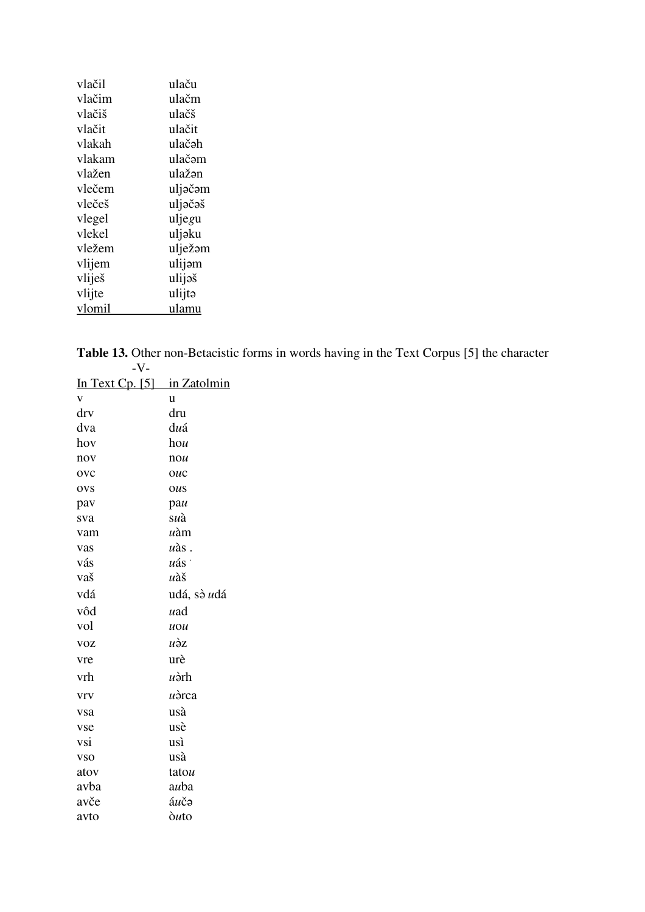| vlačil | ulaču   |
|--------|---------|
| vlačim | ulačm   |
| vlačiš | ulačš   |
| vlačit | ulačit  |
| vlakah | ulačəh  |
| vlakam | ulačəm  |
| vlažen | ulažən  |
| vlečem | uljəčəm |
| vlečeš | uljəčəš |
| vlegel | uljegu  |
| vlekel | uljəku  |
| vležem | ulježəm |
| vlijem | ulijam  |
| vliješ | ulijəš  |
| vlijte | ulijtə  |
| vlomil | ulamu   |

**Table 13.** Other non-Betacistic forms in words having in the Text Corpus [5] the character -V-

| In Text Cp. $[5]$       | in Zatolmin   |
|-------------------------|---------------|
| $\overline{\mathbf{V}}$ | u             |
| drv                     | dru           |
| dva                     | duá           |
| hov                     | hou           |
| nov                     | nou           |
| ovc                     | ouc           |
| <b>OVS</b>              | 0uS           |
| pav                     | pau           |
| sva                     | suà           |
| vam                     | $u$ àm        |
| vas                     | $u$ às.       |
| vás                     | uás i         |
| vaš                     | uàš           |
| vdá                     | udá, sò udá   |
| vôd                     | uad           |
| vol                     | $u$ O $u$     |
| <b>VOZ</b>              | uòz           |
| vre                     | urè           |
| vrh                     | uàrh          |
| <b>V<sub>IV</sub></b>   | uòrca         |
| vsa                     | usà           |
| vse                     | usè           |
| vsi                     | usì           |
| <b>VSO</b>              | usà           |
| atov                    | tatou         |
| avba                    | auba          |
| avče                    | áučə          |
| avto                    | $\delta u$ to |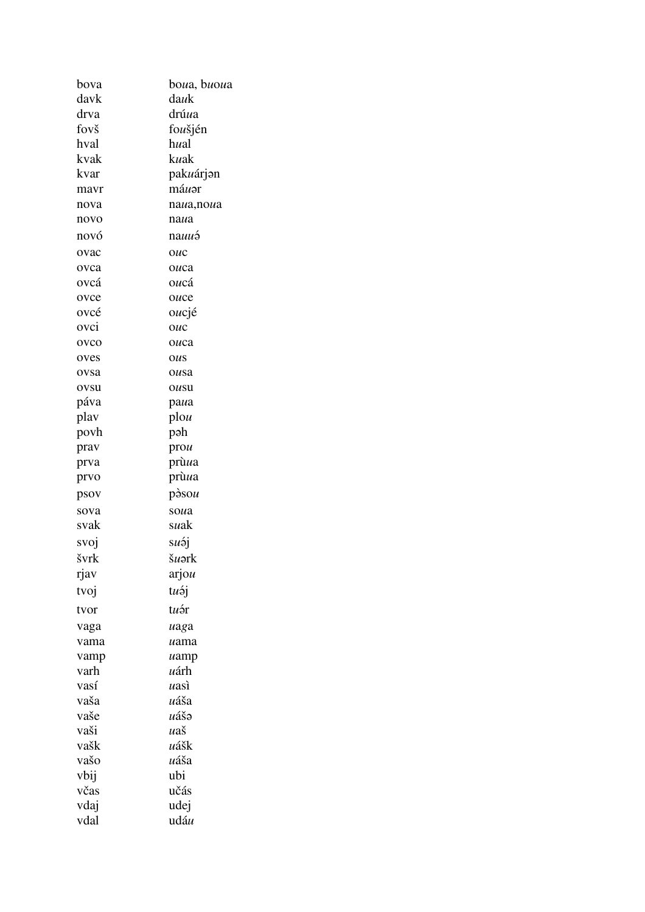| bova | bo <i>u</i> a, b <i>u</i> o <i>u</i> a |
|------|----------------------------------------|
| davk | dauk                                   |
| drva | drúua                                  |
| fovš | foušjén                                |
| hval | hual                                   |
| kvak | kuak                                   |
| kvar | pakuárjon                              |
| mavr | máuər                                  |
| nova | naua,noua                              |
| novo | naua                                   |
| novó | nauuə́                                 |
| ovac | $_{\rm OUC}$                           |
| ovca | ouca                                   |
| ovcá | oucá                                   |
| ovce | ouce                                   |
| ovcé | oucjé                                  |
| ovci | ouc                                    |
| ovco | ouca                                   |
| oves | $0u$ s                                 |
| ovsa | ousa                                   |
| ovsu | ousu                                   |
| páva | paua                                   |
| play | $p$ lou                                |
| povh | pəh                                    |
| prav | prox                                   |
| prva | prùua                                  |
| prvo | prùua                                  |
| psov | $p\grave{\sigma}$ sou                  |
| sova | soua                                   |
| svak | suak                                   |
| svoj | suój                                   |
| švrk | šuərk                                  |
| rjav | arjou                                  |
| tvoj | tuəj                                   |
| tvor | tuə́r                                  |
| vaga | uaga                                   |
| vama | uama                                   |
| vamp | uamp                                   |
| varh | uárh                                   |
| vasí | uasì                                   |
| vaša | uáša                                   |
| vaše | uášə                                   |
| vaši | uaš                                    |
| vašk | uášk                                   |
| vašo | uáša                                   |
| vbij | ubi                                    |
| včas | učás                                   |
| vdaj | udej                                   |
| vdal | udáu                                   |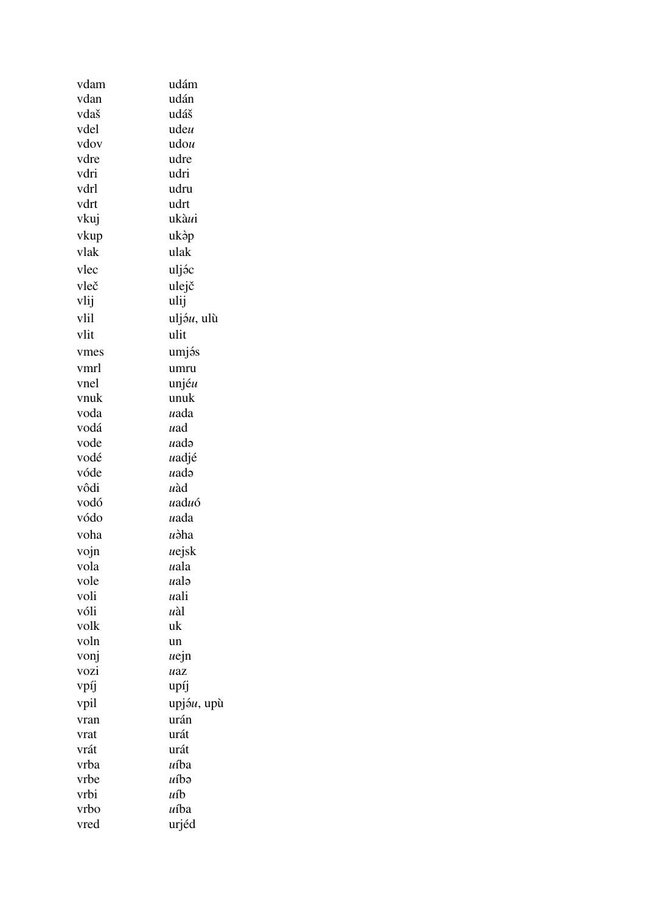| vdam | udám        |
|------|-------------|
| vdan | udán        |
| vdaš | udáš        |
| vdel | udeu        |
| vdov | udou        |
| vdre | udre        |
| vdri | udri        |
| vdrl | udru        |
| vdrt | udrt        |
| vkuj | ukàui       |
| vkup | ukòp        |
| vlak | ulak        |
| vlec | uljác       |
| vleč | ulejč       |
| vlij | ulij        |
| vlil |             |
|      | uljэ́u, ulù |
| vlit | ulit        |
| vmes | umjás       |
| vmrl | umru        |
| vnel | unjéu       |
| vnuk | unuk        |
| voda | uada        |
| vodá | uad         |
| vode | uadə        |
| vodé | uadjé       |
| vóde | uadə        |
| vôdi | uàd         |
| vodó | uaduó       |
| vódo | uada        |
| voha | ùaha        |
| vojn | uejsk       |
| vola | uala        |
| vole | ualə        |
| voli | uali        |
| vóli | uàl         |
| volk | uk          |
| voln | un          |
| vonj | uejn        |
| vozi | uaz         |
| vpíj | upíj        |
| vpil | upjáu, upù  |
| vran | urán        |
| vrat | urát        |
| vrát | urát        |
| vrba | uíba        |
| vrbe | uíbə        |
| vrbi | uíb         |
| vrbo | uíba        |
| vred | urjéd       |
|      |             |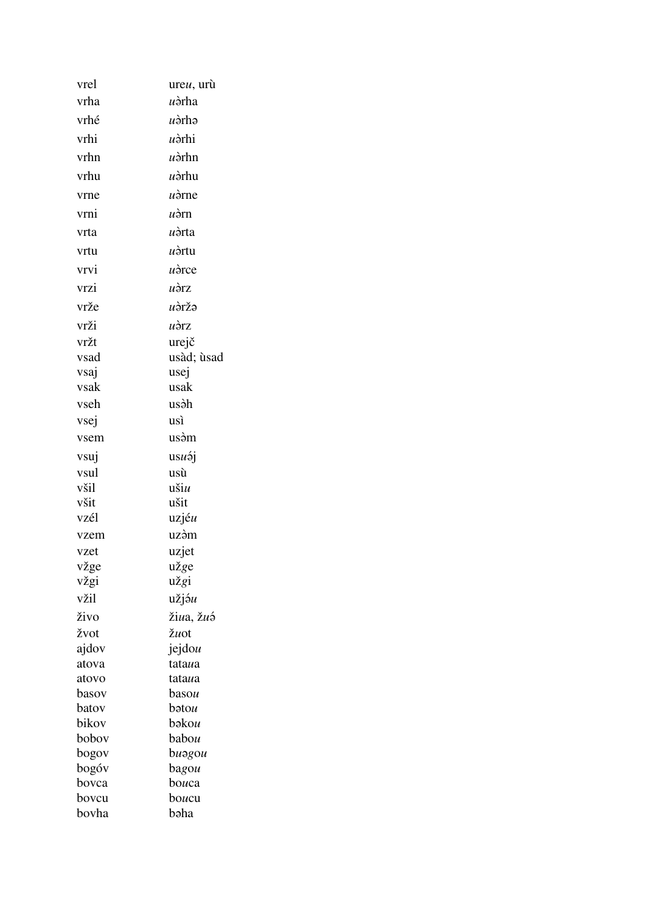| vrel  | ureu, urù              |
|-------|------------------------|
| vrha  | u`rha                  |
| vrhé  | $u$ òrhə               |
| vrhi  | uərhi                  |
| vrhn  | $u\grave{a}$ rhn       |
| vrhu  | $u$ $\grave{a}$ rhu    |
| vrne  | $u\grave{\sigma}$ rne  |
| vrni  | uàrn                   |
| vrta  | uòrta                  |
| vrtu  | uòrtu                  |
| vrvi  | $u\grave{c}$ rce       |
| vrzi  | uàrz                   |
| vrže  | uəržə                  |
| vrži  | uòrz                   |
| vržt  | urejč                  |
| vsad  | usàd; ùsad             |
| vsaj  | usej                   |
| vsak  | usak                   |
| vseh  | usàh                   |
| vsej  | usì                    |
| vsem  | usəm                   |
| vsuj  | $usu$ <sup>2</sup> j   |
| vsul  | usù                    |
| všil  | $u\check{s}$ iu        |
| všit  | ušit                   |
| vzél  | $uzj\acute{\epsilon}u$ |
| vzem  | uzàm                   |
| vzet  | uzjet                  |
| vžge  | užge                   |
| vžgi  | užgi                   |
| vžil  | užjá <i>u</i>          |
| živo  | žiua, žuэ́             |
| žvot  | žuot                   |
| ajdov | jejdou                 |
| atova | tataua                 |
| atovo | tata <i>u</i> a        |
| basov | basou                  |
| batov | bətou                  |
| bikov | bəkou                  |
| bobov | babou                  |
| bogov | buəgou                 |
| bogóv | bagou                  |
| bovca | bouca                  |
| bovcu | boucu                  |
| bovha | bəha                   |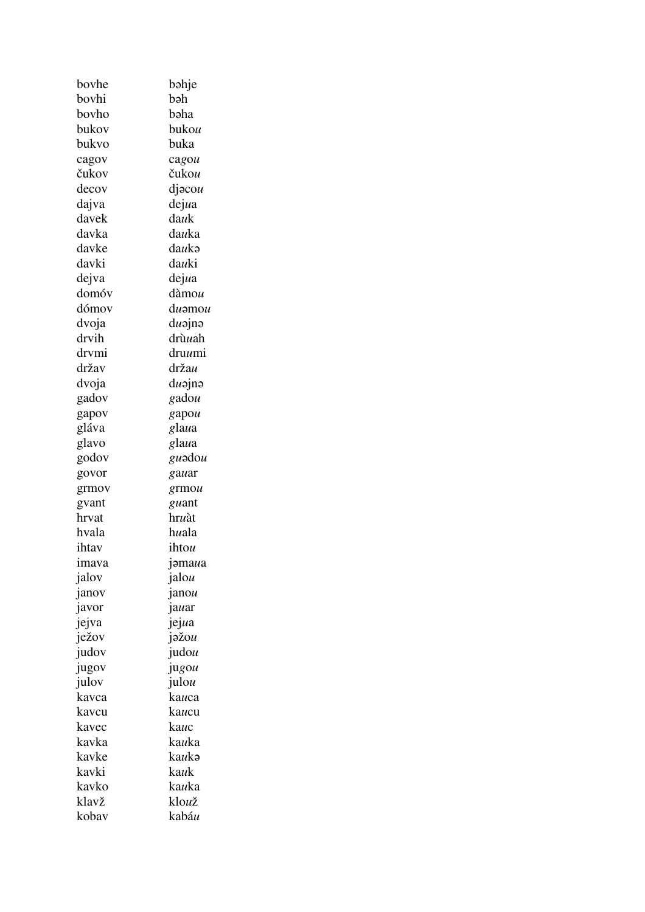| bovhe          | bəhje           |
|----------------|-----------------|
| bovhi          | bəh             |
| bovho          | bəha            |
| bukov          | bukou           |
| bukvo          | buka            |
| cagov          | cagou           |
| čukov          | čukou           |
| decov          | djəcou          |
| dajva          | dejua           |
| davek          | dauk            |
| davka          | dauka           |
| davke          | daukə           |
| davki          | dauki           |
| dejva          | dejua           |
| domóv          | dàmou           |
| dómov          | duəmou          |
| dvoja          | duəjnə          |
| drvih          | drù <i>u</i> ah |
| drvmi          | druumi          |
| držav          | držau           |
| dvoja          | duəjnə          |
| gadov          | gadou           |
| gapov          | gapou           |
| gláva          | glaua           |
| glavo          | glaua           |
| godov          | guədou          |
| govor          | gauar           |
| grmov          | grmou           |
| gvant          | guant           |
| hrvat          | hruàt           |
| hvala          | huala           |
| ihtav          | ihtou           |
| imava          | jəmaua          |
| jalov          | jalou           |
| janov          | janou           |
| javor          | jauar           |
|                | jejua           |
| jejva<br>ježov | $j$ əžou        |
| judov          | judou           |
| jugov          | jugou           |
| julov          | julou           |
| kavca          | kauca           |
| kavcu          | kaucu           |
| kavec          | kauc            |
| kavka          | kauka           |
| kavke          | kaukə           |
| kavki          | kauk            |
| kavko          | kauka           |
| klavž          | klouž           |
| kobav          | kabáu           |
|                |                 |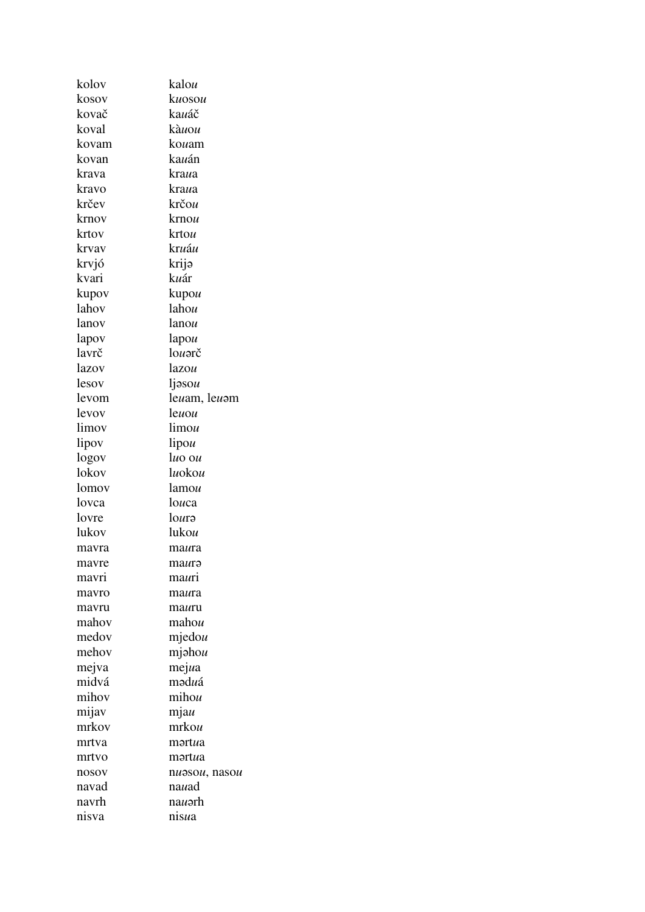| kolov | kalou                          |
|-------|--------------------------------|
| kosov | kuosou                         |
| kovač | kauáč                          |
| koval | kàuou                          |
| kovam | kouam                          |
| kovan | kauán                          |
| krava | kraua                          |
| kravo | kra <i>u</i> a                 |
| krčev | krčou                          |
| krnov | krnou                          |
| krtov | krtou                          |
| krvav | kruáu                          |
| krvjó | krijə                          |
| kvari | kuár                           |
| kupov | kupou                          |
| lahov | lahou                          |
| lanov | lanou                          |
| lapov | lapou                          |
| lavrč | louərč                         |
| lazov | lazou                          |
| lesov | ljəsou                         |
| levom | le <i>u</i> am, le <i>u</i> əm |
| levov | leuou                          |
| limov | limou                          |
| lipov | lipou                          |
| logov | luo ou                         |
| lokov | luokou                         |
| lomov | lamou                          |
| lovca | louca                          |
| lovre | lourə                          |
| lukov | lukou                          |
| mavra | maura                          |
| mavre | maurə                          |
| mavri | mauri                          |
| mayro | maura                          |
| mavru | mauru                          |
| mahov | mahou                          |
| medov | mjedou                         |
| mehov | mjahou                         |
| mejva | mejua                          |
| midvá | məduá                          |
| mihov | mihou                          |
| mijav | $m$ <i>jau</i>                 |
| mrkov | mrkou                          |
| mrtva | mərtua                         |
| mrtvo | mərtua                         |
| nosov | nuasou, nasou                  |
| navad | nauad                          |
| navrh | nauərh                         |
| nisva | nisua                          |
|       |                                |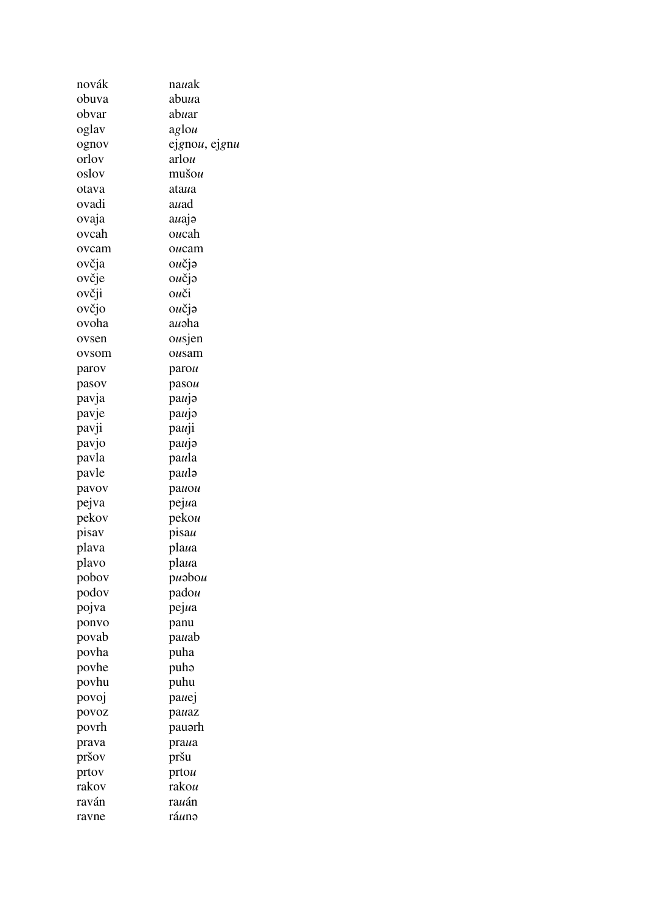| novák | nauak          |
|-------|----------------|
| obuva | abu <i>u</i> a |
| obvar | abuar          |
| oglav | aglou          |
| ognov | ejgnou, ejgnu  |
| orlov | arlou          |
| oslov | $mu$ šou       |
| otava | ata <i>u</i> a |
| ovadi | auad           |
| ovaja | auajə          |
| ovcah | oucah          |
| ovcam | oucam          |
| ovčja | oučjə          |
| ovčje | oučjə          |
| ovčji | ouči           |
| ovčjo | oučja          |
| ovoha | auəha          |
| ovsen | ousjen         |
| ovsom | ousam          |
| parov | parou          |
| pasov | pasou          |
| pavja | pauja          |
| pavje | paujo          |
| pavji | pauji          |
| pavjo | pauja          |
| pavla | paula          |
| pavle | paulo          |
| pavov | раиои          |
| pejva | pejua          |
| pekov | pekou          |
| pisav | pisau          |
| plava | plaua          |
| plavo | plaua          |
| pobov | puəbou         |
| podov | padou          |
| pojva | pejua          |
| ponvo | panu           |
| povab | pauab          |
| povha | puha           |
| povhe | puha           |
| povhu | puhu           |
| povoj | pauej          |
| povoz | pauaz          |
| povrh | pauərh         |
| prava | praua          |
| pršov | pršu           |
| prtov | prtou          |
| rakov | rakou          |
| raván | rauán          |
| ravne | ráunə          |
|       |                |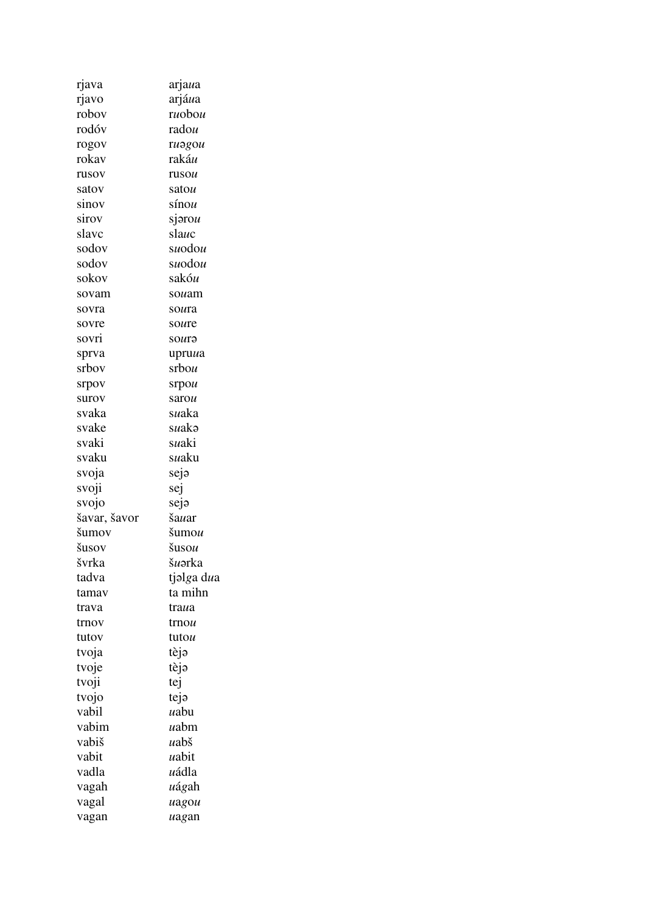| rjava        | arjaua          |
|--------------|-----------------|
| rjavo        | arjáua          |
| robov        | ruobou          |
| rodóv        | radou           |
| rogov        | ruagou          |
| rokav        | rakáu           |
| rusov        | rusou           |
| satov        | satou           |
| sinov        | sínou           |
| sirov        | sjarou          |
| slavc        | slauc           |
| sodov        | suodou          |
| sodov        | suodou          |
| sokov        | sakóu           |
| sovam        | souam           |
| sovra        | soura           |
| sovre        | soure           |
| sovri        | sourə           |
| sprva        | upruua          |
| srbov        | $s$ rbou        |
| srpov        | srpou           |
| surov        | sarou           |
| svaka        | suaka           |
| svake        | suakə           |
| svaki        | suaki           |
| svaku        | suaku           |
| svoja        | sejə            |
| svoji        | sej             |
| svojo        | sejə            |
| šavar, šavor | šauar           |
| šumov        | šumou           |
| šusov        | šusou           |
| švrka        | š <i>u</i> ərka |
| tadva        | tjəlga dua      |
| tamav        | ta mihn         |
| trava        | tra <i>u</i> a  |
|              |                 |
| trnov        | trnou           |
| tutov        | tutou           |
| tvoja        | tèjə            |
| tvoje        | tèjə            |
| tvoji        | tej             |
| tvojo        | teja            |
| vabil        | uabu            |
| vabim        | uabm            |
| vabiš        | uabš            |
| vabit        | uabit           |
| vadla        | uádla           |
| vagah        | uágah           |
| vagal        | uagou           |
| vagan        | uagan           |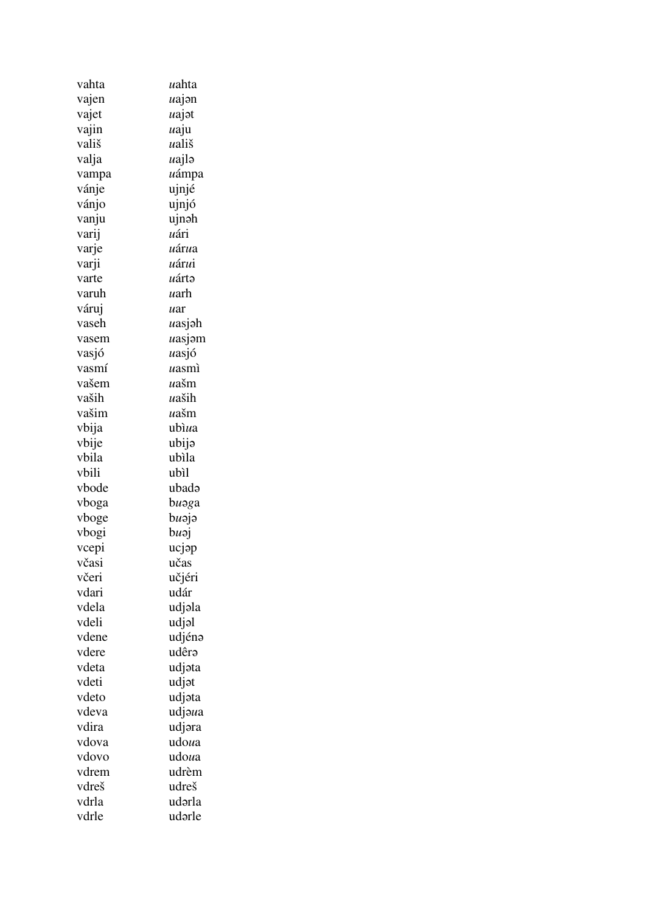| vahta | <i>u</i> ahta |
|-------|---------------|
| vajen | uajon         |
| vajet | uajat         |
| vajin | uaju          |
| vališ | uališ         |
| valja | uajlə         |
| vampa | uámpa         |
| vánje | ujnjé         |
| vánjo | ujnjó         |
| vanju | ujnəh         |
| varij | uári          |
| varje | uárua         |
| varji | uárui         |
| varte | uártə         |
| varuh | uarh          |
| váruj | uar           |
| vaseh | uasjəh        |
| vasem | uasjom        |
| vasjó | uasjó         |
| vasmí | uasmì         |
| vašem | uašm          |
| vaših | uaših         |
| vašim | uašm          |
| vbija | ubiua         |
| vbije | ubijə         |
| vbila | ubìla         |
| vbili | ubìl          |
|       |               |
| vbode | ubadə         |
| vboga | buəga         |
| vboge | $b\mu$ əjə    |
| vbogi | buəj          |
| vcepi | ucjəp         |
| včasi | učas          |
| včeri | učjéri        |
| vdari | udár          |
| vdela | udjala        |
| vdeli | udjəl         |
| vdene | udjénə        |
| vdere | udêrə         |
| vdeta | udjata        |
| vdeti | udjət         |
| vdeto | udjəta        |
| vdeva | udjana        |
| vdira | udjəra        |
| vdova | udoua         |
| vdovo | udoua         |
| vdrem | udrèm         |
| vdreš | udreš         |
| vdrla | udərla        |
| vdrle | udərle        |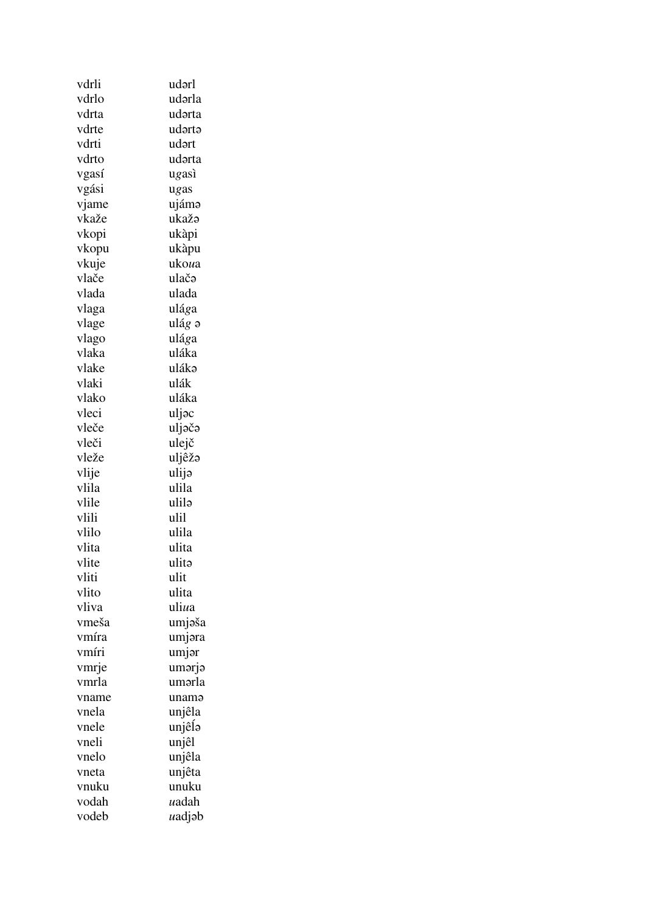| vdrli | udərl          |
|-------|----------------|
| vdrlo | udərla         |
| vdrta | udərta         |
| vdrte | udərtə         |
| vdrti | udərt          |
| vdrto | udərta         |
| vgasí | ugasì          |
| vgási | ugas           |
| vjame | ujámə          |
| vkaže | ukažə          |
| vkopi | ukàpi          |
| vkopu | ukàpu          |
| vkuje | uko <i>u</i> a |
| vlače | ulačə          |
| vlada | ulada          |
| vlaga | ulága          |
| vlage | ulág ə         |
| vlago | ulága          |
| vlaka | uláka          |
| vlake | ulákə          |
| vlaki | ulák           |
| vlako | uláka          |
| vleci | uljəc          |
| vleče | uljəčə         |
| vleči | ulejč          |
| vleže | uljêžə         |
| vlije | ulijə          |
| vlila | ulila          |
| vlile | ulilə          |
| vlili | ulil           |
| vlilo | ulila          |
| vlita | ulita          |
| vlite | ulita          |
| vliti | ulit           |
| vlito | ulita          |
| vliva | uliua          |
| vmeša | umjəša         |
| vmíra | umjəra         |
| vmíri | umjər          |
| vmrje | umərjə         |
| vmrla | umərla         |
| vname | unamə          |
| vnela | unjêla         |
| vnele | unjêĺə         |
| vneli | unjêl          |
| vnelo | unjêla         |
| vneta | unjêta         |
| vnuku | unuku          |
| vodah | uadah          |
| vodeb | uadjab         |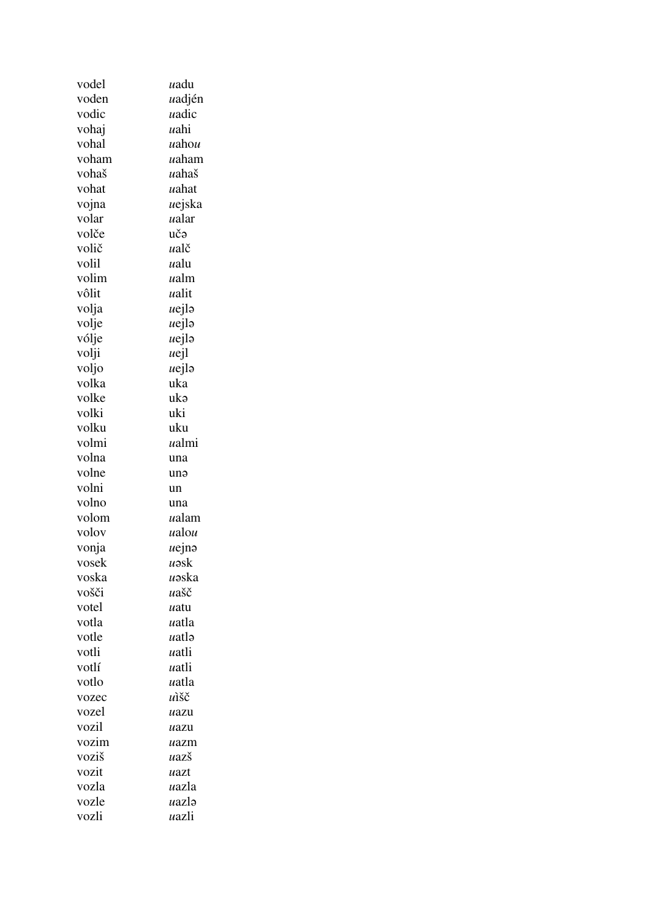| vodel | uadu     |
|-------|----------|
| voden | uadjén   |
| vodic | uadic    |
| vohaj | uahi     |
| vohal | uahou    |
| voham | uaham    |
| vohaš | uahaš    |
| vohat | uahat    |
| vojna | uejska   |
| volar | ualar    |
| volče | učə      |
| volič | ualč     |
| volil | ualu     |
| volim | ualm     |
| vôlit | ualit    |
| volja | $ue$ jlə |
| volje | uejlə    |
| vólje | uejlə    |
| volji | uejl     |
| voljo | uejlə    |
| volka | uka      |
| volke | ukə      |
| volki | uki      |
| volku | uku      |
| volmi | ualmi    |
| volna | una      |
| volne | unə      |
| volni | un       |
| volno | una      |
| volom | ualam    |
| volov | ualou    |
| vonja | $ue$ jnə |
| vosek | uəsk     |
| voska | uəska    |
| vošči | uašč     |
| votel | uatu     |
| votla | uatla    |
| votle | uatlə    |
| votli | uatli    |
| votlí | uatli    |
| votlo | uatla    |
| vozec | uišč     |
| vozel | uazu     |
| vozil |          |
| vozim | uazu     |
|       | uazm     |
| voziš | uazš     |
| vozit | uazt     |
| vozla | uazla    |
| vozle | uazlə    |
| vozli | uazli    |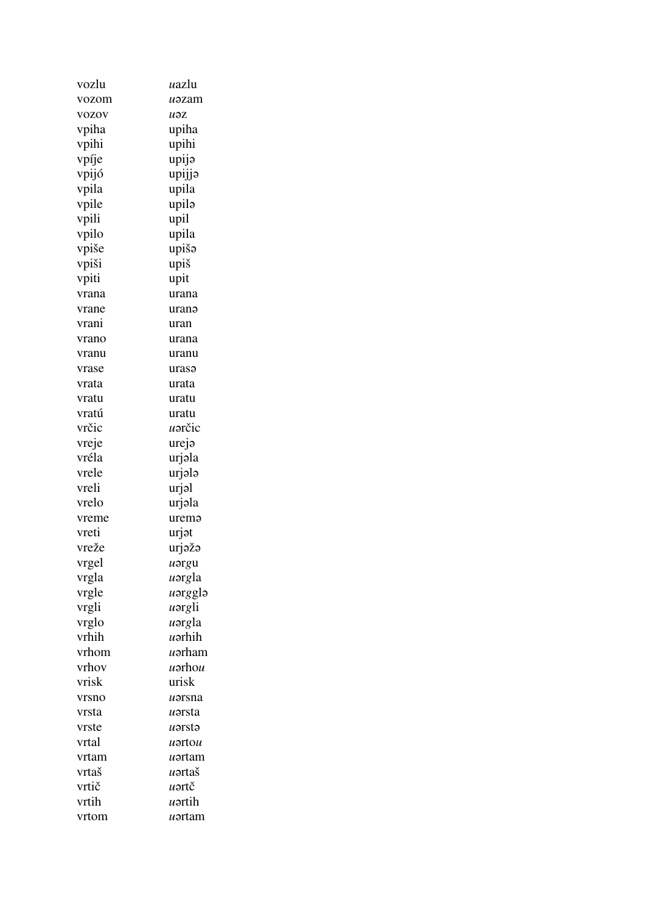| vozlu        | uazlu   |
|--------------|---------|
| vozom        | uəzam   |
| <b>VOZOV</b> | uəz     |
| vpiha        | upiha   |
| vpihi        | upihi   |
| vpíje        | upijə   |
| vpijó        | upijjə  |
| vpila        | upila   |
| vpile        | upilə   |
| vpili        | upil    |
| vpilo        | upila   |
| vpiše        | upišə   |
| vpiši        | upiš    |
| vpiti        | upit    |
| vrana        | urana   |
| vrane        | uranə   |
| vrani        | uran    |
| vrano        | urana   |
| vranu        | uranu   |
| vrase        | urasə   |
| vrata        | urata   |
| vratu        | uratu   |
| vratú        | uratu   |
| vrčic        | uərčic  |
| vreje        | urejə   |
| vréla        | urjəla  |
| vrele        | urjələ  |
| vreli        | urjəl   |
| vrelo        | urjəla  |
| vreme        | uremə   |
| vreti        | urjət   |
| vreže        | urjəžə  |
| vrgel        | uargu   |
| vrgla        | uərgla  |
| vrgle        | uərgglə |
| vrgli        | uərgli  |
| vrglo        | uərgla  |
| vrhih        | uərhih  |
| vrhom        | uərham  |
| vrhov        | uərhou  |
| vrisk        | urisk   |
| vrsno        | uarsna  |
| vrsta        | uərsta  |
| vrste        | uərstə  |
| vrtal        | uərtou  |
| vrtam        | uərtam  |
| vrtaš        | uərtaš  |
| vrtič        | uərtč   |
| vrtih        | uərtih  |
| vrtom        | uərtam  |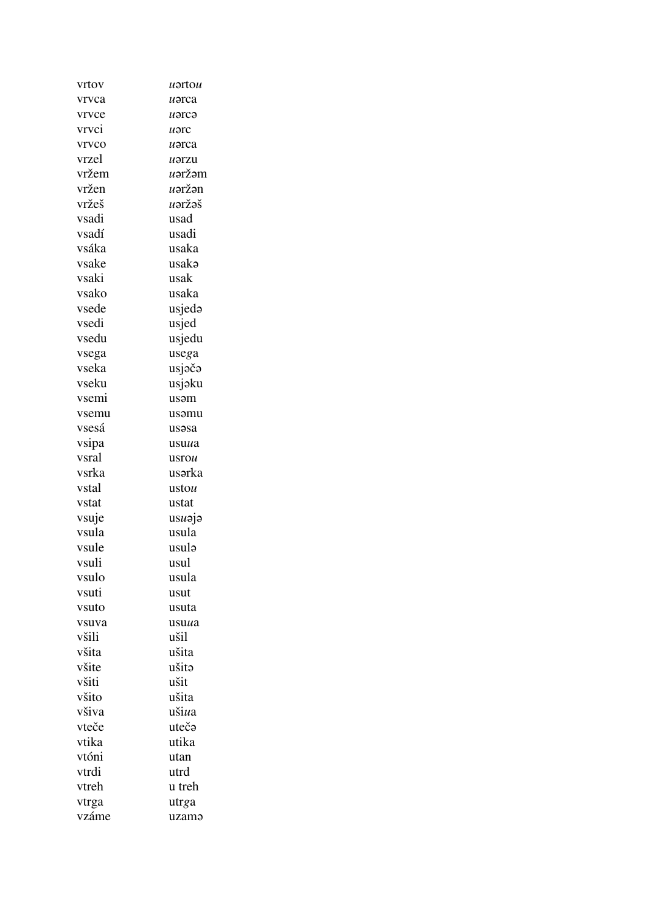| vrtov | uərtou    |
|-------|-----------|
| vrvca | uərca     |
| vrvce | uərcə     |
| vrvci | uərc      |
| vrvco | uərca     |
| vrzel | uarzu     |
| vržem | uəržəm    |
| vržen | uəržən    |
| vržeš | uəržəš    |
| vsadi | usad      |
| vsadí | usadi     |
| vsáka | usaka     |
| vsake | usakə     |
| vsaki | usak      |
| vsako | usaka     |
| vsede | usjedə    |
| vsedi | usjed     |
| vsedu | usjedu    |
| vsega | usega     |
| vseka | usjəčə    |
| vseku | usjəku    |
| vsemi | usəm      |
| vsemu | usəmu     |
| vsesá | usəsa     |
| vsipa | usuua     |
| vsral | usrou     |
| vsrka | usərka    |
| vstal | ustou     |
| vstat | ustat     |
| vsuje | $usu$ aja |
| vsula | usula     |
| vsule | usulə     |
| vsuli | usul      |
| vsulo | usula     |
| vsuti | usut      |
| vsuto | usuta     |
| vsuva | usuua     |
| všili | ušil      |
| všita | ušita     |
| všite | ušita     |
| všiti | ušit      |
| všito | ušita     |
| všiva | ušiua     |
| vteče | utečə     |
| vtika | utika     |
| vtóni | utan      |
| vtrdi | utrd      |
| vtreh | u treh    |
|       |           |
| vtrga | utrga     |
| vzáme | uzamə     |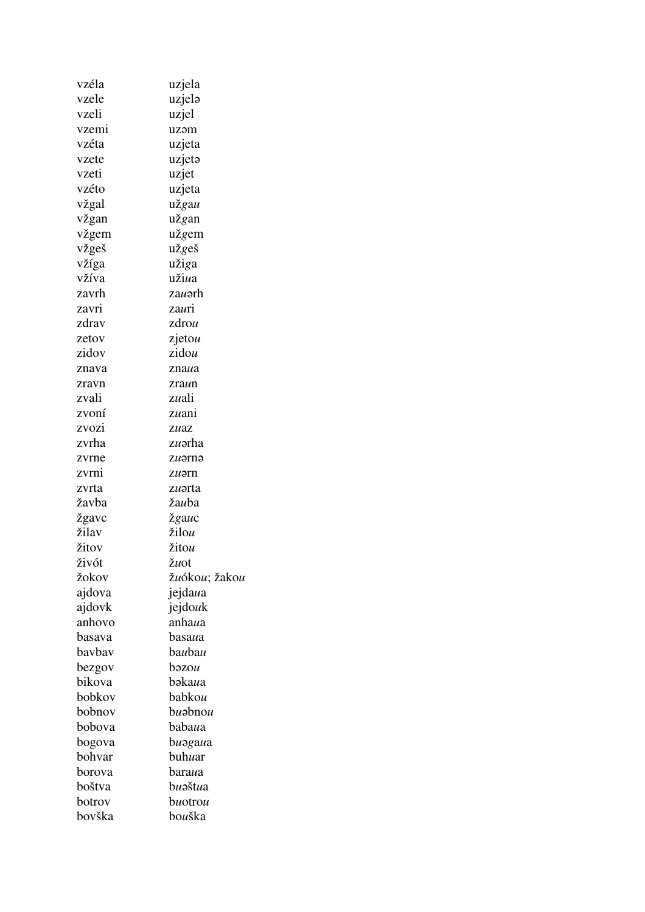| vzéla  | uzjela                                  |
|--------|-----------------------------------------|
| vzele  | uzjelə                                  |
| vzeli  | uzjel                                   |
| vzemi  | uzəm                                    |
| vzéta  | uzjeta                                  |
| vzete  | uzjeta                                  |
| vzeti  | uzjet                                   |
| vzéto  | uzjeta                                  |
| vžgal  | užgau                                   |
| vžgan  | užgan                                   |
| vžgem  | užgem                                   |
| vžgeš  | užgeš                                   |
| vžíga  | užiga                                   |
| vžíva  | užiua                                   |
| zavrh  | zauərh                                  |
| zavri  | zauri                                   |
| zdrav  | zdrou                                   |
| zetov  | zjetou                                  |
| zidov  | zidou                                   |
| znava  | znaua                                   |
| zravn  | zraun                                   |
| zvali  | zuali                                   |
| zvoní  | zuani                                   |
| zvozi  | zuaz                                    |
| zvrha  | zuərha                                  |
| zvrne  | zuərnə                                  |
| zvrni  | zuərn                                   |
| zvrta  | zuorta                                  |
| žavba  | žauba                                   |
| žgavc  | žgauc                                   |
| žilav  | žilou                                   |
| žitov  | žitou                                   |
| živót  | žuot                                    |
| žokov  | ž <i>u</i> óko <i>u</i> ; žako <i>u</i> |
| ajdova | jejdaua                                 |
| ajdovk | jejdouk                                 |
| anhovo | anhaua                                  |
| basava | basa <i>u</i> a                         |
| bavbav | baubau                                  |
| bezgov | bəzou                                   |
| bikova | bəkaua                                  |
| bobkov | babkou                                  |
| bobnov | buəbnou                                 |
| bobova | babaua                                  |
| bogova | buəgaua                                 |
| bohvar | buh <i>u</i> ar                         |
| borova | baraua                                  |
| boštva | buəštua                                 |
| botrov | buotrou                                 |
| bovška | bouška                                  |
|        |                                         |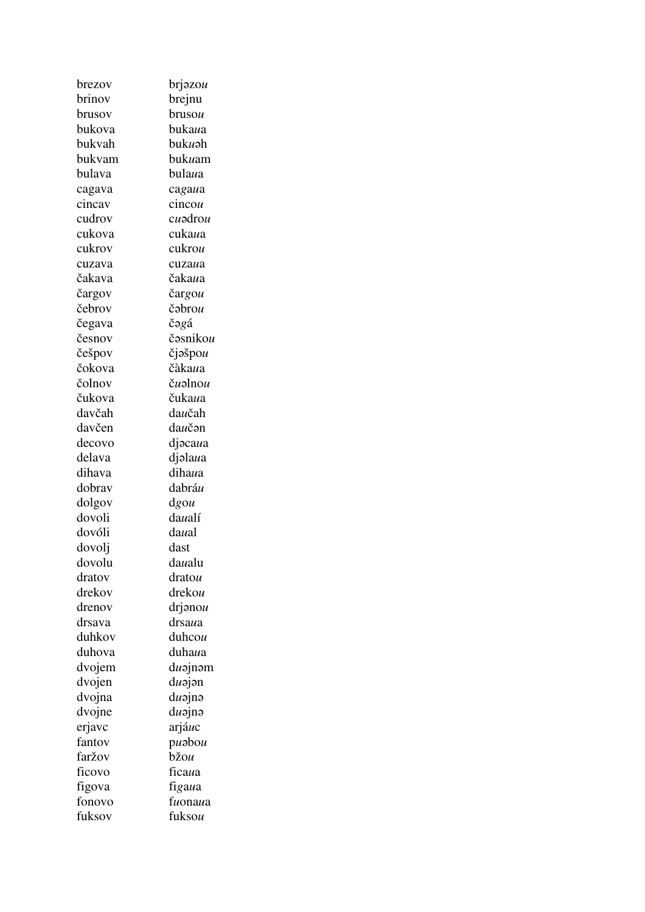| brezov | brjəzou         |
|--------|-----------------|
| brinov | brejnu          |
| brusov | <b>brusou</b>   |
| bukova | bukaua          |
| bukvah | <b>buku</b> əh  |
| bukvam | bukuam          |
| bulava | bulaua          |
| cagava | cagaua          |
| cincav | cincou          |
| cudrov | cuadrou         |
| cukova | cukaua          |
| cukrov | cukrou          |
| cuzava | cuza <i>u</i> a |
| čakava | čaka <i>u</i> a |
| čargov | čargou          |
| čebrov | čəbrou          |
| čegava | čəgá            |
| česnov | čəsnikou        |
| češpov | čjəšpou         |
| čokova | čàka <i>u</i> a |
| čolnov | čuəlnou         |
| čukova | čukaua          |
| davčah | daučah          |
| davčen | daučon          |
| decovo | djacaua         |
| delava | djalaua         |
| dihava | dihaua          |
| dobrav | dabrá <i>u</i>  |
| dolgov | dgou            |
| dovoli | daualí          |
| dovóli | daual           |
| dovolj | dast            |
| dovolu | daualu          |
| dratov | dratou          |
| drekov | drekou          |
| drenov | drjanou         |
| drsava | drsaua          |
| duhkov | duhcou          |
| duhova | duhaua          |
| dvojem | $du$ ajnam      |
| dvojen | $du$ ajan       |
| dvojna | duəjnə          |
| dvojne | duajna          |
| erjavc | arjáuc          |
| fantov | puəbou          |
| faržov | bžou            |
| ficovo | ficaua          |
| figova | figaua          |
| fonovo | fuonaua         |
| fuksov | fuksou          |
|        |                 |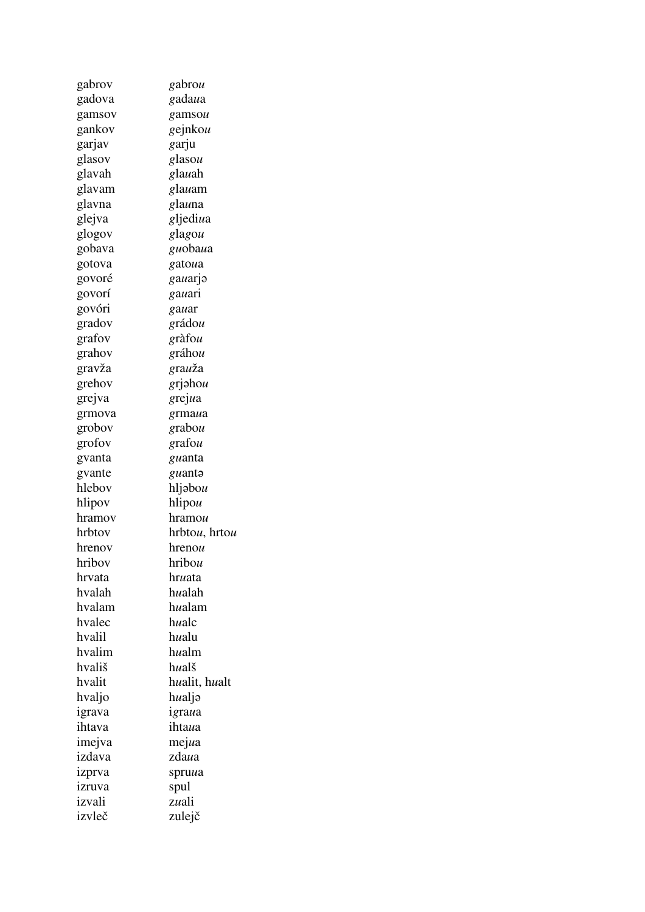| gabrov | gabrou          |
|--------|-----------------|
| gadova | gada <i>u</i> a |
| gamsov | gamsou          |
| gankov | gejnkou         |
| garjav | garju           |
| glasov | glasou          |
| glavah | glauah          |
| glavam | glauam          |
| glavna | glauna          |
| glejva | gljediua        |
| glogov | glagou          |
| gobava | guobaua         |
| gotova | gatoua          |
| govoré | gauarjə         |
| govorí | gauari          |
| govóri | gauar           |
| gradov | grádou          |
| grafov | gràfou          |
| grahov | gráhou          |
| gravža | grauža          |
| grehov | grjəhou         |
| grejva | grejua          |
| grmova | grmaua          |
| grobov | grabou          |
| grofov | grafou          |
| gvanta | guanta          |
| gvante | guanto          |
| hlebov | hljəbou         |
| hlipov | hlipou          |
| hramov | hramou          |
| hrbtov | hrbtou, hrtou   |
| hrenov | hrenou          |
| hribov | hribou.         |
| hrvata | hruata          |
| hvalah | hualah          |
| hvalam | hualam          |
| hvalec | hualc           |
| hvalil | hualu           |
| hvalim | hualm           |
| hvališ | hualš           |
| hvalit | hualit, hualt   |
| hvaljo | hualjə          |
| igrava | igraua          |
| ihtava | ihtaua          |
|        | mejua           |
| imejva | zdaua           |
| izdava |                 |
| izprva | spruua          |
| izruva | spul            |
| izvali | zuali           |
| izvleč | zulejč          |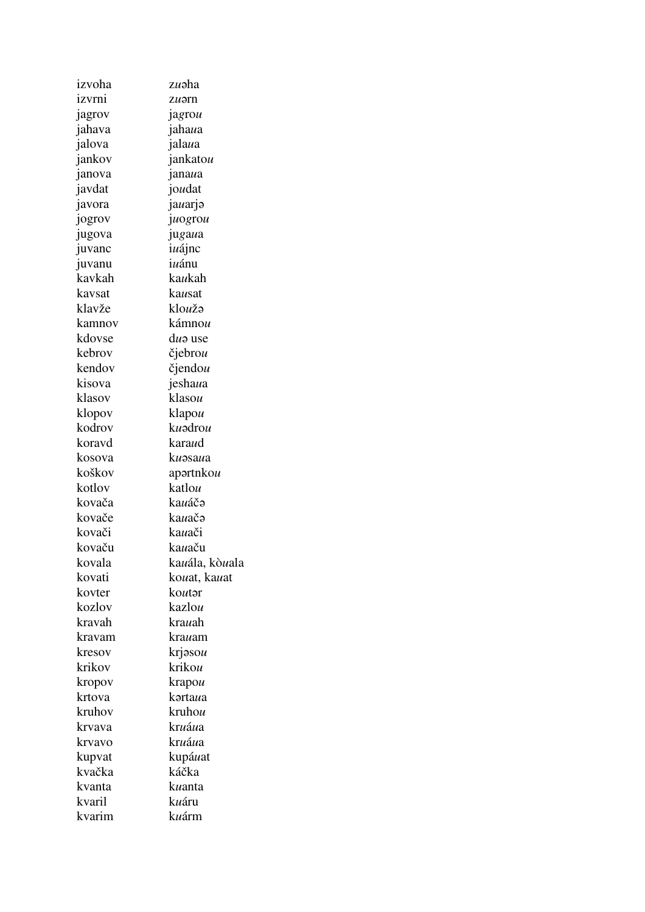| izvoha | zuaha               |
|--------|---------------------|
| izvrni | zuərn               |
| jagrov | jagrou              |
| jahava | jahaua              |
| jalova | jalaua              |
| jankov | jankatou            |
| janova | janaua              |
| javdat | joudat              |
| javora | jauarja             |
| jogrov | juogrou             |
| jugova | jugana              |
| juvanc | iuájnc              |
| juvanu | iuánu               |
| kavkah | kaukah              |
| kavsat | kausat              |
| klavže | kloužə              |
| kamnov | kámnou              |
| kdovse | du <sub>a</sub> use |
| kebrov | čjebrou             |
| kendov | čjendou             |
| kisova | jeshaua             |
| klasov | klasou              |
| klopov | klapou              |
| kodrov | kuadrou             |
| koravd | karaud              |
| kosova | kuəsaua             |
| koškov | apartnkou           |
| kotlov | katlou              |
| kovača | kauáčə              |
| kovače | kauačo              |
| kovači | kauači              |
| kovaču | kauaču              |
| kovala | kauála, kòuala      |
| kovati | kouat, kauat        |
| kovter | koutər              |
| kozlov | kazlou              |
| kravah | krauah              |
| kravam | krauam              |
| kresov | krjəsou             |
| krikov | krikou              |
| kropov | krapou              |
| krtova | kərtaua             |
| kruhov | kruhou              |
| krvava | kruáua              |
| krvavo | kruáua              |
| kupvat | kupáuat             |
| kvačka | káčka               |
| kvanta | kuanta              |
| kvaril | kuáru               |
| kvarim | kuárm               |
|        |                     |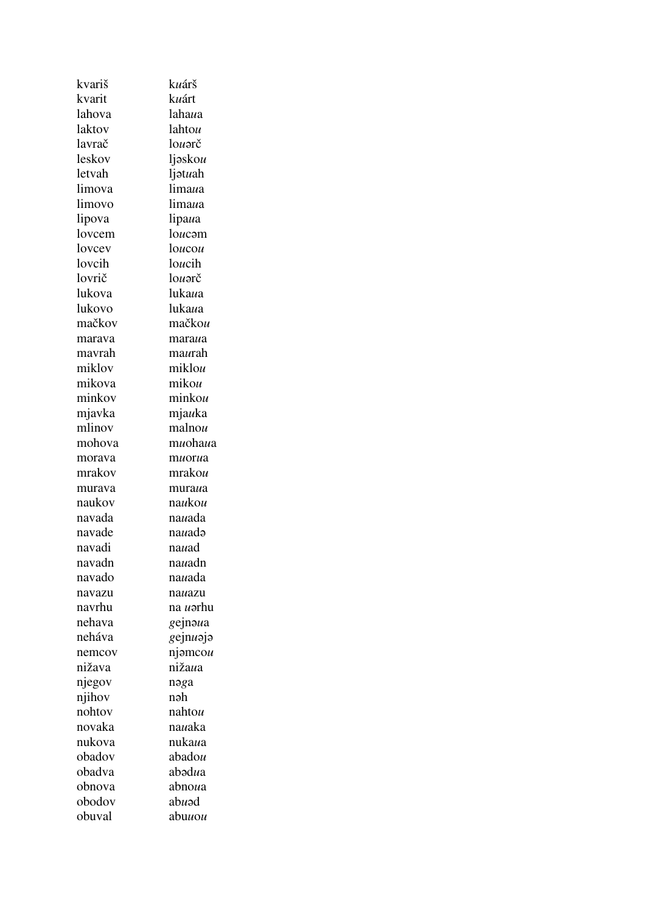| kvariš | kuárš                   |
|--------|-------------------------|
| kvarit | kuárt                   |
| lahova | lahaua                  |
| laktov | lahtou                  |
| lavrač | louərč                  |
| leskov | ljaskou                 |
| letvah | ljatuah                 |
| limova | limaua                  |
| limovo | limaua                  |
| lipova | lipaua                  |
| lovcem | loucom                  |
| lovcev | loucou                  |
| lovcih | loucih                  |
| lovrič | louarč                  |
| lukova | lukaua                  |
| lukovo | lukaua                  |
| mačkov | mačkou                  |
| marava | maraua                  |
| mavrah | maurah                  |
| miklov | miklou                  |
| mikova | mikou                   |
| minkov | minkou                  |
| mjavka | mjauka                  |
| mlinov | malnou                  |
| mohova | muohaua                 |
| morava | muorua                  |
| mrakov | mrakou                  |
| murava | muraua                  |
| naukov | naukou                  |
| navada | nauada                  |
| navade | nauadə                  |
| navadi | nauad                   |
| navadn | nauadn                  |
| navado | nauada                  |
| navazu | nauazu                  |
| navrhu | na uorhu                |
| nehava | gejnəua                 |
| neháva | gejnuaja                |
| nemcov | $nj$ amcou              |
| nižava | nižaua                  |
| njegov | nəga                    |
| njihov | nəh                     |
| nohtov | nahtou                  |
| novaka | nauaka                  |
| nukova | nukaua                  |
| obadov | abadou                  |
| obadva | abədua                  |
| obnova | abnoua                  |
| obodov | abuəd                   |
| obuval | abu <i>u</i> o <i>u</i> |
|        |                         |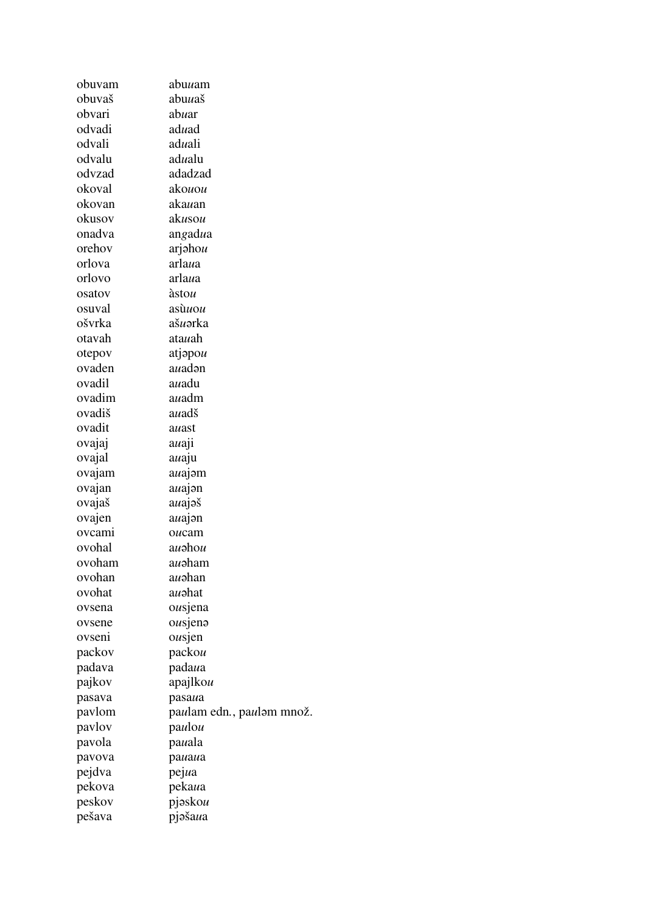| obuvam | abu <i>u</i> am           |
|--------|---------------------------|
| obuvaš | abu <i>u</i> aš           |
| obvari | abuar                     |
| odvadi | aduad                     |
| odvali | aduali                    |
| odvalu | adualu                    |
| odvzad | adadzad                   |
| okoval | akouou                    |
| okovan | akauan                    |
| okusov | akusou                    |
| onadva | angadua                   |
| orehov | arjahou                   |
| orlova | arla <i>u</i> a           |
| orlovo | arlaua                    |
| osatov | àstou                     |
| osuval | asùuou                    |
| ošvrka | ašuorka                   |
| otavah | atauah                    |
| otepov | atjəpou                   |
| ovaden | auadən                    |
| ovadil | auadu                     |
| ovadim | auadm                     |
| ovadiš | auadš                     |
| ovadit | auast                     |
| ovajaj | auaji                     |
| ovajal | auaju                     |
| ovajam | auajom                    |
| ovajan | auajon                    |
| ovajaš | auajoš                    |
| ovajen | auajon                    |
| ovcami | oucam                     |
| ovohal | auahou                    |
| ovoham | auəham                    |
| ovohan | auəhan                    |
| ovohat | auəhat                    |
| ovsena | ousjena                   |
| ovsene | ousjena                   |
| ovseni | ousjen                    |
| packov | packou                    |
| padava | padaua                    |
| pajkov | apajlkou                  |
|        |                           |
| pasava | pasaua                    |
| pavlom | paulam edn., paulam množ. |
| pavlov | paulou                    |
| pavola | pauala                    |
| pavova | раиаиа                    |
| pejdva | pejua                     |
| pekova | pekaua                    |
| peskov | pjəskou                   |
| pešava | pjašaua                   |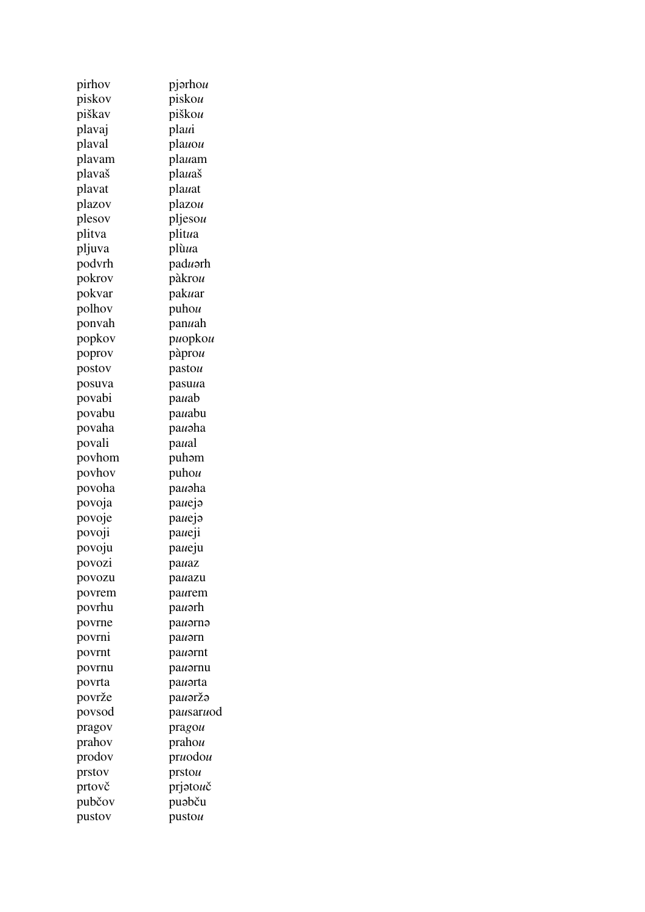| piskov<br>piskou<br>piškav<br>piškou<br>plavaj<br>plaui<br>plaval<br>plauou |  |
|-----------------------------------------------------------------------------|--|
|                                                                             |  |
|                                                                             |  |
|                                                                             |  |
|                                                                             |  |
| plavam<br>plauam                                                            |  |
| plavaš<br>plauaš                                                            |  |
| plavat<br>plauat                                                            |  |
| plazov<br>plazou                                                            |  |
| pljesou<br>plesov                                                           |  |
| plitva<br>plitua                                                            |  |
| pljuva<br>plùua                                                             |  |
| podvrh<br>paduərh                                                           |  |
| pokrov<br>pàkrou                                                            |  |
| pokvar<br>pakuar                                                            |  |
| polhov<br>puhou                                                             |  |
| ponvah<br>panuah                                                            |  |
| popkov<br>puopkou                                                           |  |
| poprov<br>pàprou                                                            |  |
| postov<br>pastou                                                            |  |
| posuva<br>pasuua                                                            |  |
| povabi<br>pauab                                                             |  |
| povabu<br>pauabu                                                            |  |
| povaha<br>pauaha                                                            |  |
| povali                                                                      |  |
| paual                                                                       |  |
| povhom<br>puhəm                                                             |  |
| povhov<br>puhou                                                             |  |
| povoha<br>pauaha                                                            |  |
| povoja<br>paueja                                                            |  |
| povoje<br>paueja                                                            |  |
| povoji<br>paueji                                                            |  |
| povoju<br>paueju                                                            |  |
| povozi<br>pauaz                                                             |  |
| povozu<br>pauazu                                                            |  |
| povrem<br>paurem                                                            |  |
| povrhu<br>pauərh                                                            |  |
| povrne<br>pauorno                                                           |  |
| povrni<br>pauorn                                                            |  |
| povrnt<br>pauornt                                                           |  |
| povrnu<br>pauarnu                                                           |  |
| povrta<br>pauorta                                                           |  |
| povrže<br>pauoržo                                                           |  |
| povsod<br>pausaruod                                                         |  |
|                                                                             |  |
| pragov<br>pragou                                                            |  |
| prahov<br>prahou                                                            |  |
| prodov<br>pruodou                                                           |  |
| prstov<br>prstou                                                            |  |
| prtovč<br>prjatouč                                                          |  |
| pubčov<br>puəbču                                                            |  |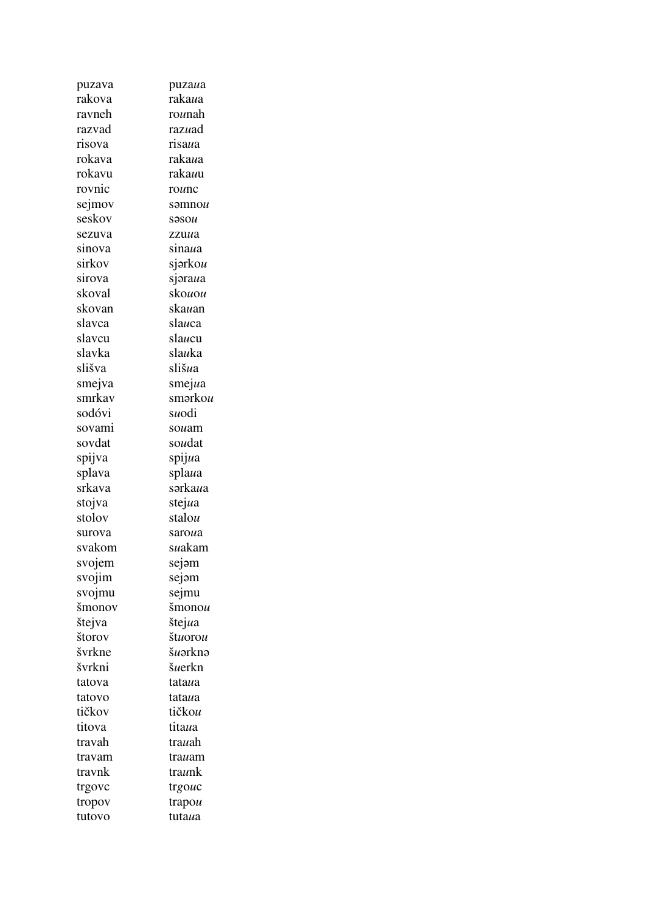| puzava | puzaua                          |
|--------|---------------------------------|
| rakova | rakaua                          |
| ravneh | rounah                          |
| razvad | razuad                          |
| risova | risaua                          |
| rokava | rakaua                          |
| rokavu | rakauu                          |
| rovnic | rounc                           |
| sejmov | səmnou                          |
| seskov | s <sub>9</sub> s <sub>0</sub> u |
| sezuva | zzuua                           |
| sinova | sinaua                          |
| sirkov | sjərkou                         |
| sirova | sjəraua                         |
| skoval | skouou                          |
| skovan | ska <i>u</i> an                 |
| slavca | slauca                          |
| slavcu | slaucu                          |
| slavka | slauka                          |
| slišva | slišua                          |
| smejva | smejua                          |
| smrkav | smərkou                         |
| sodóvi | suodi                           |
| sovami | souam                           |
| sovdat | soudat                          |
| spijva | spijua                          |
| splava | splaua                          |
| srkava | sərkaua                         |
| stojva | stejua                          |
| stolov | stalou                          |
| surova | saroua                          |
| svakom | suakam                          |
| svojem | sejəm                           |
| svojim | sejəm                           |
| svojmu | sejmu                           |
| šmonov | šmonou                          |
| štejva | štejua                          |
| štorov | štuorou                         |
| švrkne | š <i>u</i> ərknə                |
| švrkni | šuerkn                          |
| tatova | tata <i>u</i> a                 |
| tatovo | tataua                          |
| tičkov | tičkou                          |
| titova | titaua                          |
| travah | trauah                          |
| travam | tra <i>u</i> am                 |
| travnk | traunk                          |
| trgove | trgouc                          |
| tropov | trapou                          |
| tutovo | tutaua                          |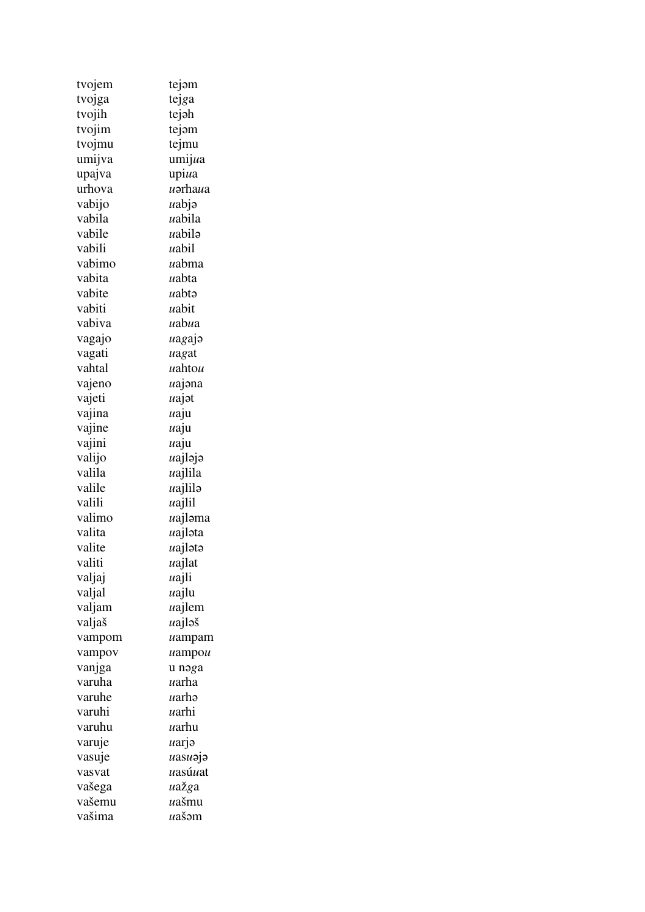| tvojem | tejəm   |
|--------|---------|
| tvojga | tejga   |
| tvojih | tejəh   |
| tvojim | tejam   |
| tvojmu | tejmu   |
| umijva | umijua  |
| upajva | upiua   |
| urhova | uərhaua |
| vabijo | uabja   |
| vabila | uabila  |
| vabile | uabilə  |
| vabili | uabil   |
| vabimo | uabma   |
| vabita | uabta   |
| vabite | uabtə   |
| vabiti | uabit   |
| vabiva | uabua   |
| vagajo | uagajə  |
| vagati | uagat   |
| vahtal | uahtou  |
| vajeno | uajona  |
| vajeti | uajat   |
| vajina | uaju    |
| vajine | uaju    |
| vajini | uaju    |
| valijo | uajləjə |
| valila | uajlila |
| valile | uajlilə |
| valili | uajlil  |
| valimo | uajləma |
| valita | uajlata |
| valite | uajlata |
| valiti | uajlat  |
| valjaj | uajli   |
| valjal | uajlu   |
| valjam | uajlem  |
| valjaš | uajlaš  |
| vampom | uampam  |
| vampov | uampou  |
| vanjga | u nəga  |
| varuha | uarha   |
| varuhe | uarhə   |
| varuhi | uarhi   |
| varuhu | uarhu   |
| varuje | uarjə   |
| vasuje | uasuojo |
| vasvat | uasúuat |
| vašega | uažga   |
| vašemu | uašmu   |
| vašima | uašəm   |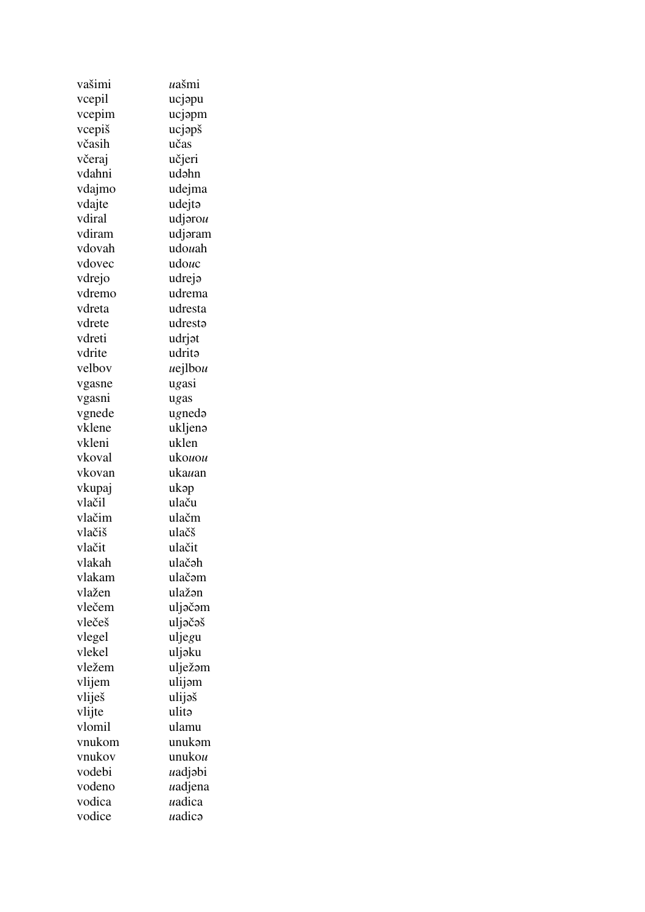| vašimi | uašmi   |
|--------|---------|
| vcepil | ucjəpu  |
| vcepim | ucjapm  |
| vcepiš | ucjapš  |
| včasih | učas    |
| včeraj | učjeri  |
| vdahni | udəhn   |
| vdajmo | udejma  |
| vdajte | udejtə  |
| vdiral | udjarou |
| vdiram | udjaram |
| vdovah | udouah  |
| vdovec | udouc   |
| vdrejo | udreja  |
| vdremo | udrema  |
| vdreta | udresta |
| vdrete | udresta |
| vdreti | udrjat  |
| vdrite | udritə  |
| velbov | uejlbou |
| vgasne | ugasi   |
| vgasni | ugas    |
| vgnede | ugnedə  |
| vklene | ukljena |
| vkleni | uklen   |
| vkoval | ukouou  |
| vkovan | ukauan  |
| vkupaj | ukəp    |
| vlačil | ulaču   |
| vlačim | ulačm   |
| vlačiš | ulačš   |
| vlačit | ulačit  |
| vlakah | ulačah  |
| vlakam | ulačəm  |
| vlažen | ulažən  |
| vlečem | uljəčəm |
| vlečeš | uljəčəš |
| vlegel | uljegu  |
| vlekel | uljəku  |
| vležem | ulježom |
| vlijem | ulijam  |
| vliješ | ulijaš  |
| vlijte | ulitə   |
| vlomil | ulamu   |
| vnukom | unukəm  |
| vnukov | unukou  |
| vodebi | uadjabi |
| vodeno | uadjena |
| vodica | uadica  |
| vodice | uadicə  |
|        |         |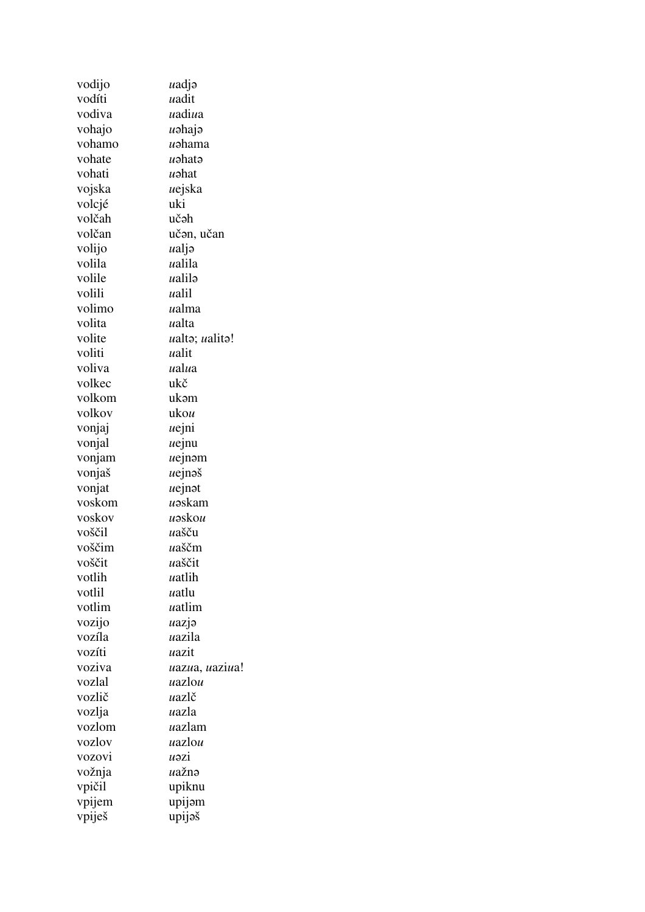| vodijo | uadja          |
|--------|----------------|
| vodíti | uadit          |
| vodiva | uadiua         |
| vohajo | uəhajə         |
| vohamo | uəhama         |
| vohate | uəhatə         |
| vohati | uahat          |
| vojska | uejska         |
| volcjé | uki            |
| volčah | učəh           |
| volčan | učan, učan     |
| volijo | ualja          |
| volila | ualila         |
| volile | ualilə         |
| volili | ualil          |
| volimo | ualma          |
| volita | ualta          |
| volite | ualto; ualito! |
| voliti | ualit          |
| voliva | ualua          |
| volkec | ukč            |
| volkom | ukəm           |
| volkov | ukou           |
| vonjaj | uejni          |
| vonjal | $ue$ jnu       |
| vonjam | uejnəm         |
| vonjaš | uejnəš         |
| vonjat | $ue$ inat      |
| voskom | uəskam         |
| voskov | uəskou         |
| voščil | uašču          |
| voščim | uaščm          |
| voščit | uaščit         |
| votlih | uatlih         |
| votlil | uatlu          |
| votlim | uatlim         |
| vozijo | uazja          |
| vozíla | uazila         |
| vozíti | uazit          |
| voziva | uazua, uaziua! |
| vozlal | uazlou         |
| vozlič | uazlč          |
| vozlja | uazla          |
| vozlom | uazlam         |
| vozlov | uazlou         |
| vozovi | uazi           |
| vožnja | uažnə          |
| vpičil | upiknu         |
| vpijem | upijam         |
| vpiješ | upijəš         |
|        |                |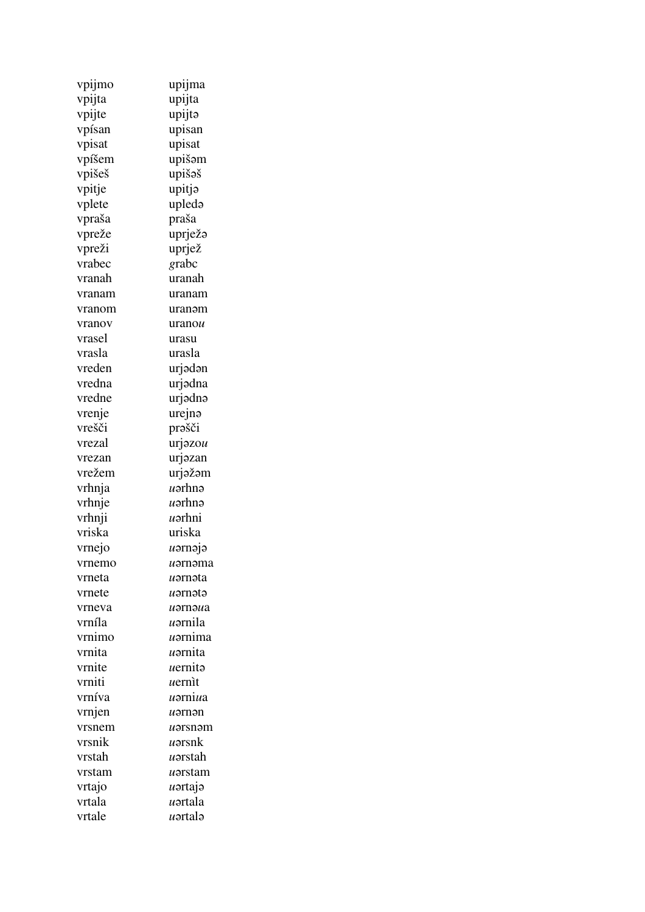| vpijmo | upijma          |
|--------|-----------------|
| vpijta | upijta          |
| vpijte | upijtə          |
| vpísan | upisan          |
| vpisat | upisat          |
| vpíšem | upišəm          |
| vpišeš | upišəš          |
| vpitje | upitjə          |
| vplete | upledə          |
| vpraša | praša           |
| vpreže | uprježa         |
| vpreži | uprjež          |
| vrabec | grabc           |
| vranah | uranah          |
| vranam | uranam          |
| vranom | uranəm          |
| vranov | uranou          |
| vrasel | urasu           |
| vrasla | urasla          |
| vreden | urjədən         |
| vredna | urjədna         |
| vredne | urjədnə         |
| vrenje | urejnə          |
| vrešči | prəšči          |
| vrezal | urjəzou         |
| vrezan | urjəzan         |
| vrežem | urjəžəm         |
| vrhnja | uərhnə          |
| vrhnje | uərhnə          |
| vrhnji | uərhni          |
| vriska | uriska          |
| vrnejo | uərnəjə         |
| vrnemo | µarnama         |
| vrneta | uərnəta         |
| vrnete | uərnətə         |
| vrneva | uərnəua         |
| vrníla | uərnila         |
| vrnimo | <i>u</i> ərnima |
| vrnita | uərnita         |
| vrnite | uernitə         |
| vrniti | uernit          |
| vrníva | uərniua         |
| vrnjen | uərnən          |
| vrsnem | uərsnəm         |
| vrsnik | uərsnk          |
| vrstah | uərstah         |
| vrstam | uərstam         |
| vrtajo | uərtajə         |
| vrtala | uərtala         |
| vrtale | uərtalə         |
|        |                 |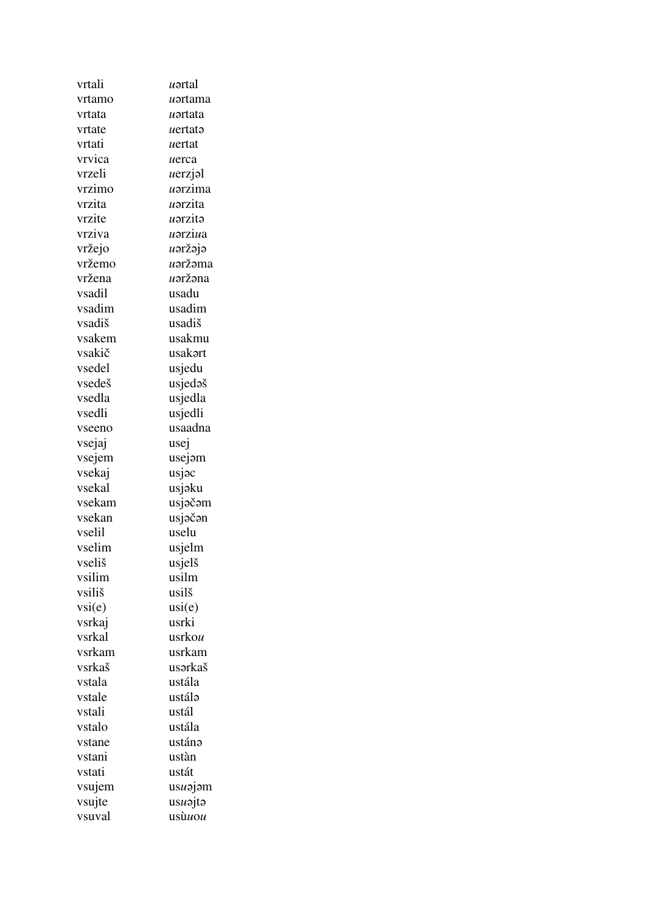| vrtali | uərtal  |
|--------|---------|
| vrtamo | uərtama |
| vrtata | uərtata |
| vrtate | uertatə |
| vrtati | uertat  |
| vrvica | uerca   |
| vrzeli | uerzjal |
| vrzimo | uərzima |
| vrzita | uorzita |
| vrzite | uərzitə |
| vrziva | uərziua |
| vržejo | uəržəjə |
| vržemo | uəržəma |
| vržena | uəržəna |
| vsadil | usadu   |
| vsadim | usadim  |
| vsadiš | usadiš  |
| vsakem | usakmu  |
| vsakič | usakart |
| vsedel | usjedu  |
| vsedeš | usjedaš |
| vsedla | usjedla |
| vsedli | usjedli |
| vseeno | usaadna |
| vsejaj | usej    |
| vsejem | usejam  |
| vsekaj | usjac   |
| vsekal | usjəku  |
| vsekam | usjəčəm |
| vsekan | usjəčən |
| vselil | uselu   |
| vselim | usjelm  |
| vseliš | usjelš  |
| vsilim | usilm   |
| vsiliš | usilš   |
| vsi(e) | usi(e)  |
| vsrkaj | usrki   |
| vsrkal | usrkou  |
| vsrkam | usrkam  |
| vsrkaš | usərkaš |
| vstala | ustála  |
| vstale | ustálə  |
| vstali | ustál   |
| vstalo | ustála  |
| vstane | ustánə  |
| vstani | ustàn   |
| vstati | ustát   |
| vsujem | usuajam |
| vsujte | usuojto |
| vsuval | usùuou  |
|        |         |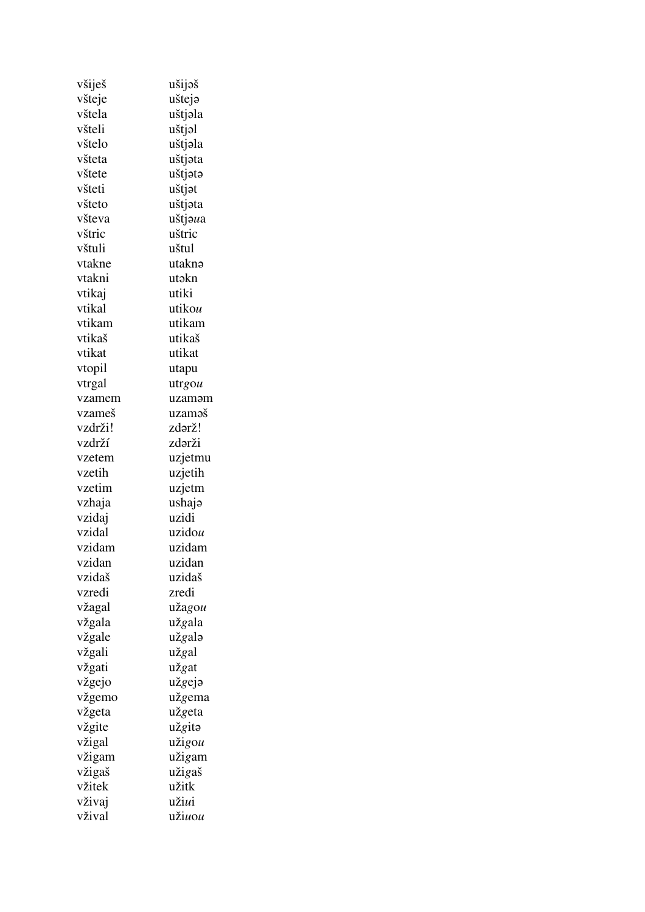| všiješ  | ušijəš         |
|---------|----------------|
| všteje  | uštejə         |
| vštela  | uštjəla        |
| všteli  | uštjal         |
| vštelo  | uštjəla        |
| všteta  | uštjəta        |
| vštete  | uštjata        |
| všteti  | uštjat         |
| všteto  | uštjəta        |
| všteva  | uštjaua        |
| vštric  | uštric         |
| vštuli  | uštul          |
| vtakne  | utaknə         |
| vtakni  | utəkn          |
| vtikaj  | utiki          |
| vtikal  | utikou         |
| vtikam  | utikam         |
| vtikaš  | utikaš         |
| vtikat  | utikat         |
| vtopil  | utapu          |
| vtrgal  | utrgou         |
| vzamem  | uzaməm         |
| vzameš  | uzaməš         |
| vzdrži! | zdərž!         |
| vzdrží  | zdərži         |
| vzetem  | uzjetmu        |
| vzetih  | uzjetih        |
| vzetim  | uzjetm         |
| vzhaja  | ushaja         |
| vzidaj  | uzidi          |
| vzidal  | uzidou         |
| vzidam  | uzidam         |
| vzidan  | uzidan         |
| vzidaš  | uzidaš         |
| vzredi  | zredi          |
| vžagal  | užagou         |
| vžgala  | užgala         |
| vžgale  | užgalə         |
| vžgali  | užgal          |
| vžgati  | užgat          |
| vžgejo  | užgeja         |
| vžgemo  | užgema         |
| vžgeta  | užgeta         |
| vžgite  | užgitə         |
| vžigal  | užigou         |
| vžigam  | užigam         |
| vžigaš  | užigaš         |
| vžitek  | užitk          |
| vživaj  | užiui          |
| vžival  | uži <i>uou</i> |